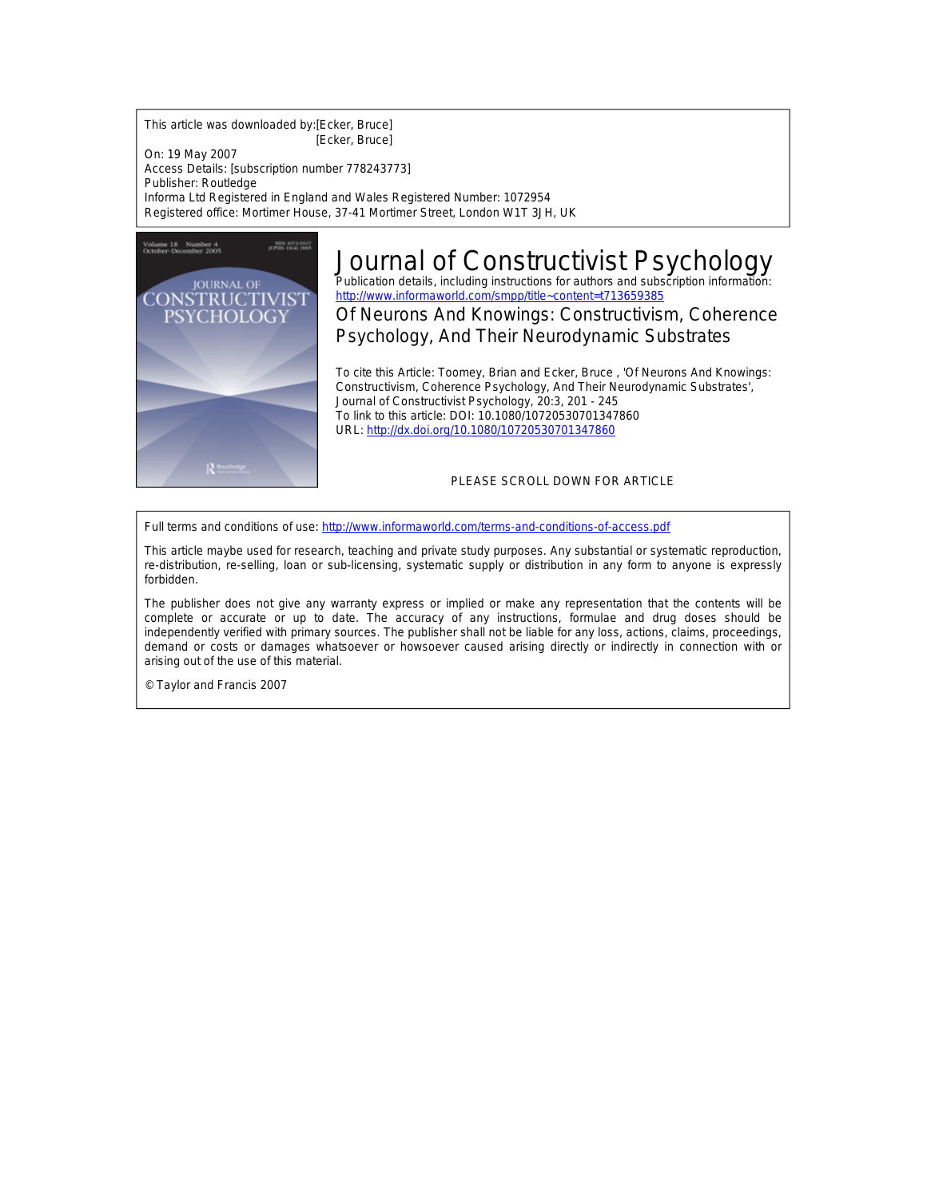This article was downloaded by:[Ecker, Bruce] [Ecker, Bruce]

On: 19 May 2007 Access Details: [subscription number 778243773] Publisher: Routledge Informa Ltd Registered in England and Wales Registered Number: 1072954 Registered office: Mortimer House, 37-41 Mortimer Street, London W1T 3JH, UK



# Journal of Constructivist Psychology Publication details, including instructions for authors and subscription information:

<http://www.informaworld.com/smpp/title~content=t713659385>

Of Neurons And Knowings: Constructivism, Coherence Psychology, And Their Neurodynamic Substrates

To cite this Article: Toomey, Brian and Ecker, Bruce , 'Of Neurons And Knowings: Constructivism, Coherence Psychology, And Their Neurodynamic Substrates', Journal of Constructivist Psychology, 20:3, 201 - 245 To link to this article: DOI: 10.1080/10720530701347860 URL: <http://dx.doi.org/10.1080/10720530701347860>

## PLEASE SCROLL DOWN FOR ARTICLE

Full terms and conditions of use: <http://www.informaworld.com/terms-and-conditions-of-access.pdf>

This article maybe used for research, teaching and private study purposes. Any substantial or systematic reproduction, re-distribution, re-selling, loan or sub-licensing, systematic supply or distribution in any form to anyone is expressly forbidden.

The publisher does not give any warranty express or implied or make any representation that the contents will be complete or accurate or up to date. The accuracy of any instructions, formulae and drug doses should be independently verified with primary sources. The publisher shall not be liable for any loss, actions, claims, proceedings, demand or costs or damages whatsoever or howsoever caused arising directly or indirectly in connection with or arising out of the use of this material.

© Taylor and Francis 2007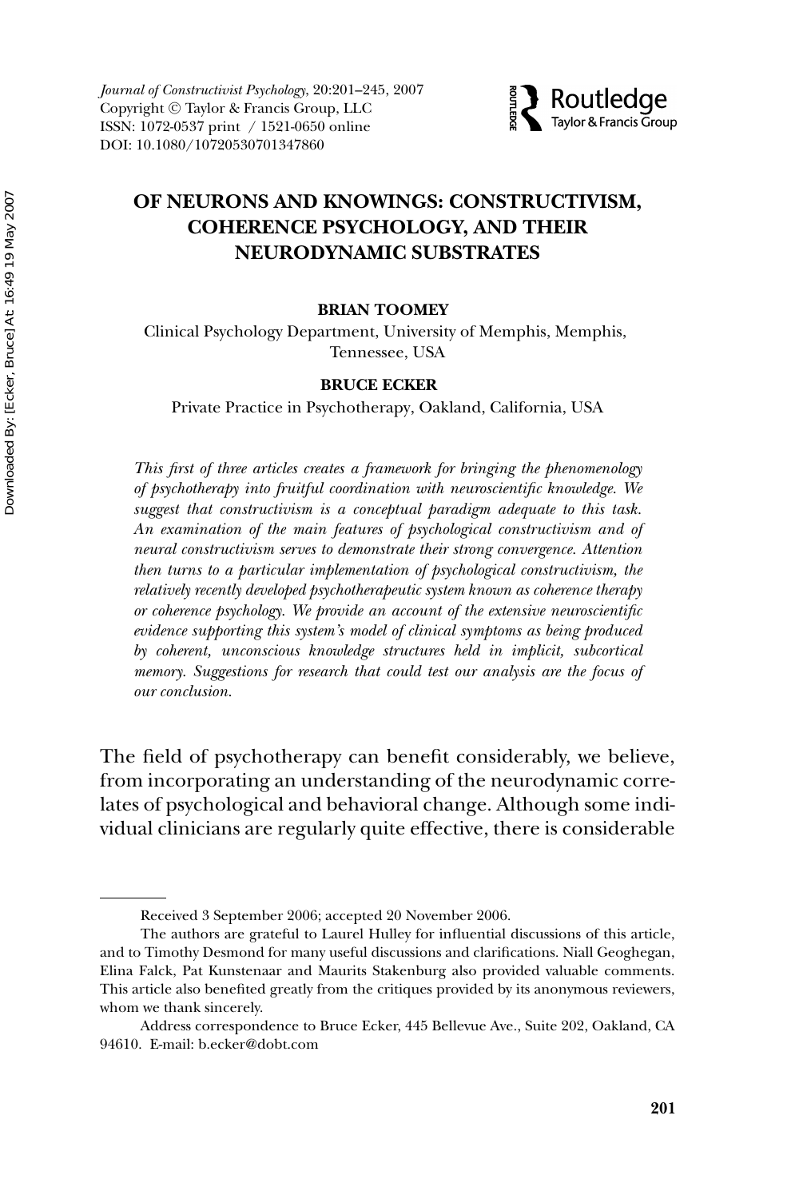*Journal of Constructivist Psychology*, 20:201–245, 2007 Copyright <sup>C</sup> Taylor & Francis Group, LLC ISSN: 1072-0537 print / 1521-0650 online DOI: 10.1080/10720530701347860



# **OF NEURONS AND KNOWINGS: CONSTRUCTIVISM, COHERENCE PSYCHOLOGY, AND THEIR NEURODYNAMIC SUBSTRATES**

#### **BRIAN TOOMEY**

Clinical Psychology Department, University of Memphis, Memphis, Tennessee, USA

#### **BRUCE ECKER**

Private Practice in Psychotherapy, Oakland, California, USA

*This first of three articles creates a framework for bringing the phenomenology of psychotherapy into fruitful coordination with neuroscientific knowledge. We suggest that constructivism is a conceptual paradigm adequate to this task. An examination of the main features of psychological constructivism and of neural constructivism serves to demonstrate their strong convergence. Attention then turns to a particular implementation of psychological constructivism, the relatively recently developed psychotherapeutic system known as coherence therapy or coherence psychology. We provide an account of the extensive neuroscientific evidence supporting this system's model of clinical symptoms as being produced by coherent, unconscious knowledge structures held in implicit, subcortical memory. Suggestions for research that could test our analysis are the focus of our conclusion.*

The field of psychotherapy can benefit considerably, we believe, from incorporating an understanding of the neurodynamic correlates of psychological and behavioral change. Although some individual clinicians are regularly quite effective, there is considerable

Received 3 September 2006; accepted 20 November 2006.

The authors are grateful to Laurel Hulley for influential discussions of this article, and to Timothy Desmond for many useful discussions and clarifications. Niall Geoghegan, Elina Falck, Pat Kunstenaar and Maurits Stakenburg also provided valuable comments. This article also benefited greatly from the critiques provided by its anonymous reviewers, whom we thank sincerely.

Address correspondence to Bruce Ecker, 445 Bellevue Ave., Suite 202, Oakland, CA 94610. E-mail: b.ecker@dobt.com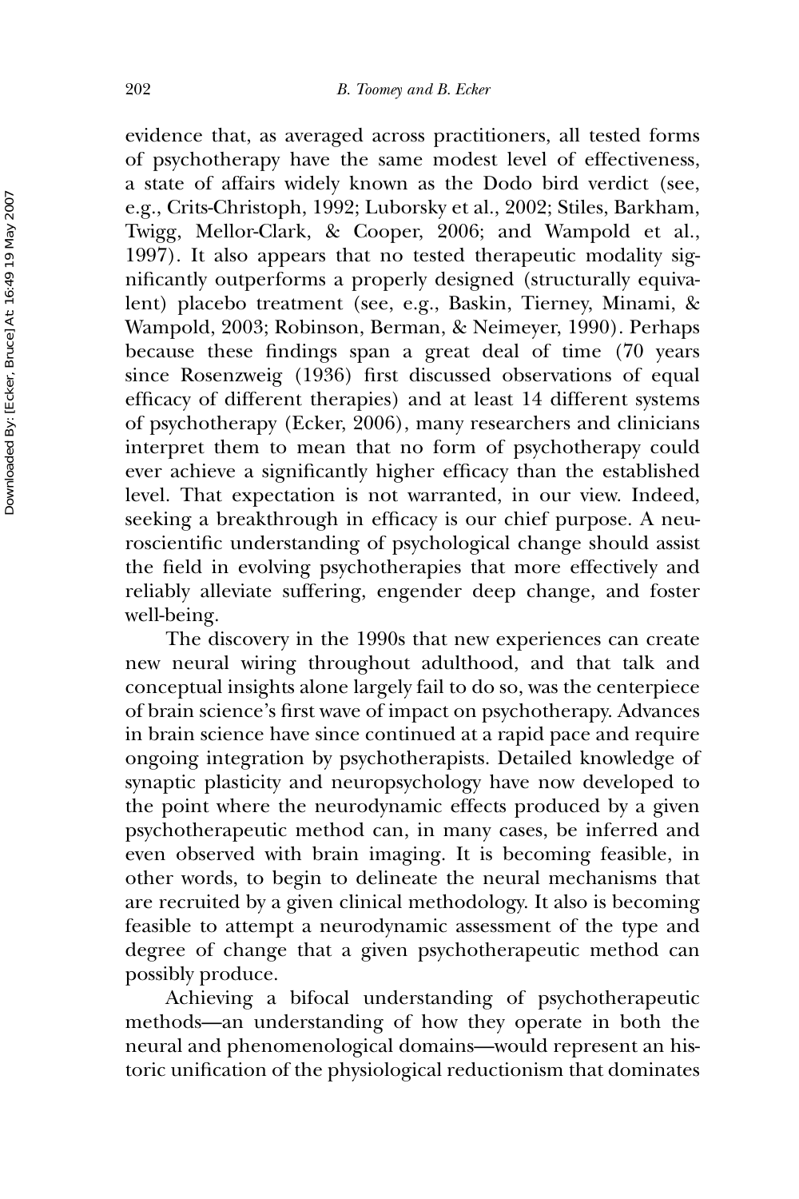evidence that, as averaged across practitioners, all tested forms of psychotherapy have the same modest level of effectiveness, a state of affairs widely known as the Dodo bird verdict (see, e.g., Crits-Christoph, 1992; Luborsky et al., 2002; Stiles, Barkham, Twigg, Mellor-Clark, & Cooper, 2006; and Wampold et al., 1997). It also appears that no tested therapeutic modality significantly outperforms a properly designed (structurally equivalent) placebo treatment (see, e.g., Baskin, Tierney, Minami, & Wampold, 2003; Robinson, Berman, & Neimeyer, 1990). Perhaps because these findings span a great deal of time (70 years since Rosenzweig (1936) first discussed observations of equal efficacy of different therapies) and at least 14 different systems of psychotherapy (Ecker, 2006), many researchers and clinicians interpret them to mean that no form of psychotherapy could ever achieve a significantly higher efficacy than the established level. That expectation is not warranted, in our view. Indeed, seeking a breakthrough in efficacy is our chief purpose. A neuroscientific understanding of psychological change should assist the field in evolving psychotherapies that more effectively and reliably alleviate suffering, engender deep change, and foster well-being.

The discovery in the 1990s that new experiences can create new neural wiring throughout adulthood, and that talk and conceptual insights alone largely fail to do so, was the centerpiece of brain science's first wave of impact on psychotherapy. Advances in brain science have since continued at a rapid pace and require ongoing integration by psychotherapists. Detailed knowledge of synaptic plasticity and neuropsychology have now developed to the point where the neurodynamic effects produced by a given psychotherapeutic method can, in many cases, be inferred and even observed with brain imaging. It is becoming feasible, in other words, to begin to delineate the neural mechanisms that are recruited by a given clinical methodology. It also is becoming feasible to attempt a neurodynamic assessment of the type and degree of change that a given psychotherapeutic method can possibly produce.

Achieving a bifocal understanding of psychotherapeutic methods—an understanding of how they operate in both the neural and phenomenological domains—would represent an historic unification of the physiological reductionism that dominates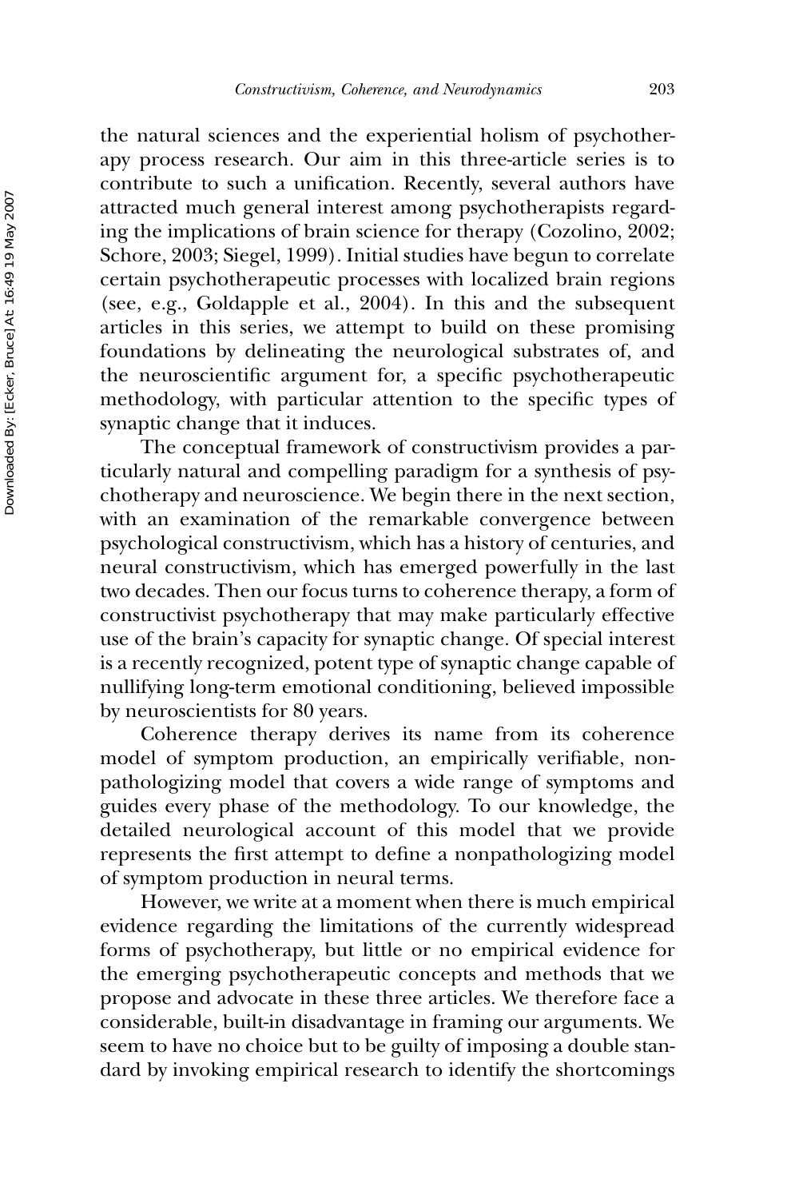the natural sciences and the experiential holism of psychotherapy process research. Our aim in this three-article series is to contribute to such a unification. Recently, several authors have attracted much general interest among psychotherapists regarding the implications of brain science for therapy (Cozolino, 2002; Schore, 2003; Siegel, 1999). Initial studies have begun to correlate certain psychotherapeutic processes with localized brain regions (see, e.g., Goldapple et al., 2004). In this and the subsequent articles in this series, we attempt to build on these promising foundations by delineating the neurological substrates of, and the neuroscientific argument for, a specific psychotherapeutic methodology, with particular attention to the specific types of synaptic change that it induces.

The conceptual framework of constructivism provides a particularly natural and compelling paradigm for a synthesis of psychotherapy and neuroscience. We begin there in the next section, with an examination of the remarkable convergence between psychological constructivism, which has a history of centuries, and neural constructivism, which has emerged powerfully in the last two decades. Then our focus turns to coherence therapy, a form of constructivist psychotherapy that may make particularly effective use of the brain's capacity for synaptic change. Of special interest is a recently recognized, potent type of synaptic change capable of nullifying long-term emotional conditioning, believed impossible by neuroscientists for 80 years.

Coherence therapy derives its name from its coherence model of symptom production, an empirically verifiable, nonpathologizing model that covers a wide range of symptoms and guides every phase of the methodology. To our knowledge, the detailed neurological account of this model that we provide represents the first attempt to define a nonpathologizing model of symptom production in neural terms.

However, we write at a moment when there is much empirical evidence regarding the limitations of the currently widespread forms of psychotherapy, but little or no empirical evidence for the emerging psychotherapeutic concepts and methods that we propose and advocate in these three articles. We therefore face a considerable, built-in disadvantage in framing our arguments. We seem to have no choice but to be guilty of imposing a double standard by invoking empirical research to identify the shortcomings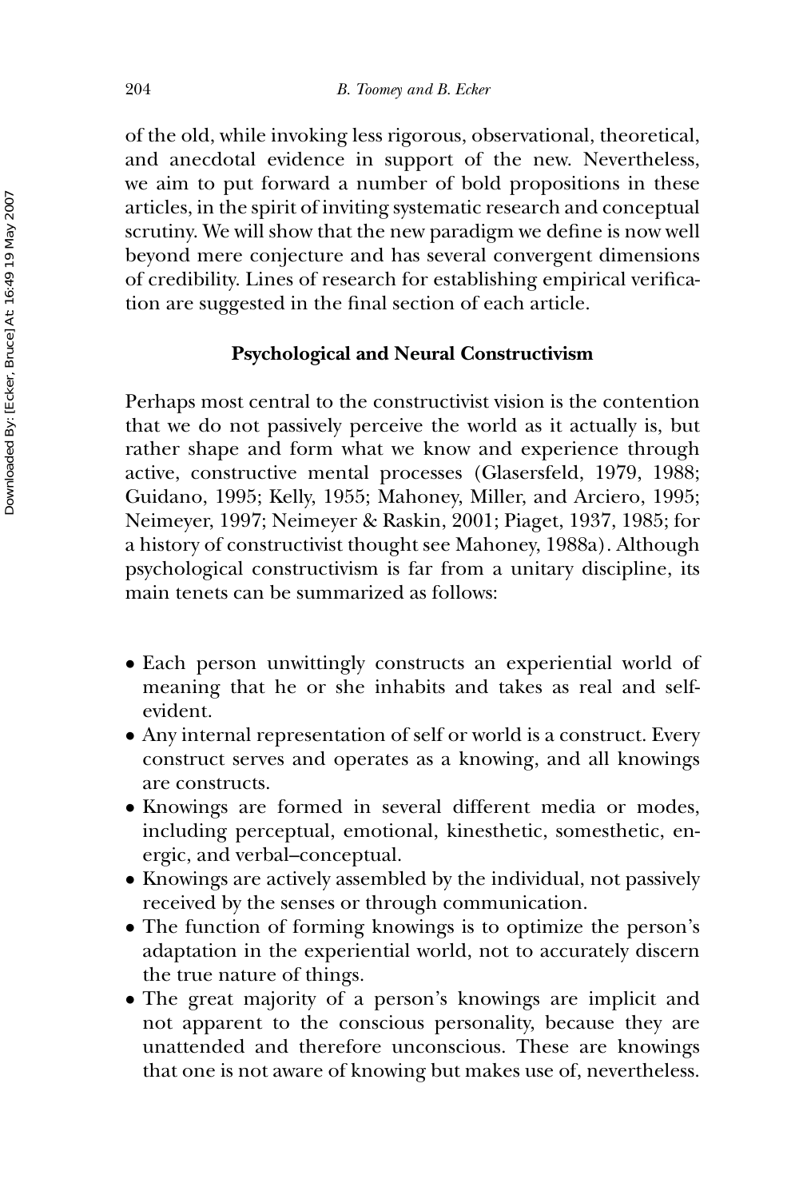of the old, while invoking less rigorous, observational, theoretical, and anecdotal evidence in support of the new. Nevertheless, we aim to put forward a number of bold propositions in these articles, in the spirit of inviting systematic research and conceptual scrutiny. We will show that the new paradigm we define is now well beyond mere conjecture and has several convergent dimensions of credibility. Lines of research for establishing empirical verification are suggested in the final section of each article.

## **Psychological and Neural Constructivism**

Perhaps most central to the constructivist vision is the contention that we do not passively perceive the world as it actually is, but rather shape and form what we know and experience through active, constructive mental processes (Glasersfeld, 1979, 1988; Guidano, 1995; Kelly, 1955; Mahoney, Miller, and Arciero, 1995; Neimeyer, 1997; Neimeyer & Raskin, 2001; Piaget, 1937, 1985; for a history of constructivist thought see Mahoney, 1988a). Although psychological constructivism is far from a unitary discipline, its main tenets can be summarized as follows:

- Each person unwittingly constructs an experiential world of meaning that he or she inhabits and takes as real and selfevident.
- Any internal representation of self or world is a construct. Every construct serves and operates as a knowing, and all knowings are constructs.
- Knowings are formed in several different media or modes, including perceptual, emotional, kinesthetic, somesthetic, energic, and verbal–conceptual.
- Knowings are actively assembled by the individual, not passively received by the senses or through communication.
- The function of forming knowings is to optimize the person's adaptation in the experiential world, not to accurately discern the true nature of things.
- The great majority of a person's knowings are implicit and not apparent to the conscious personality, because they are unattended and therefore unconscious. These are knowings that one is not aware of knowing but makes use of, nevertheless.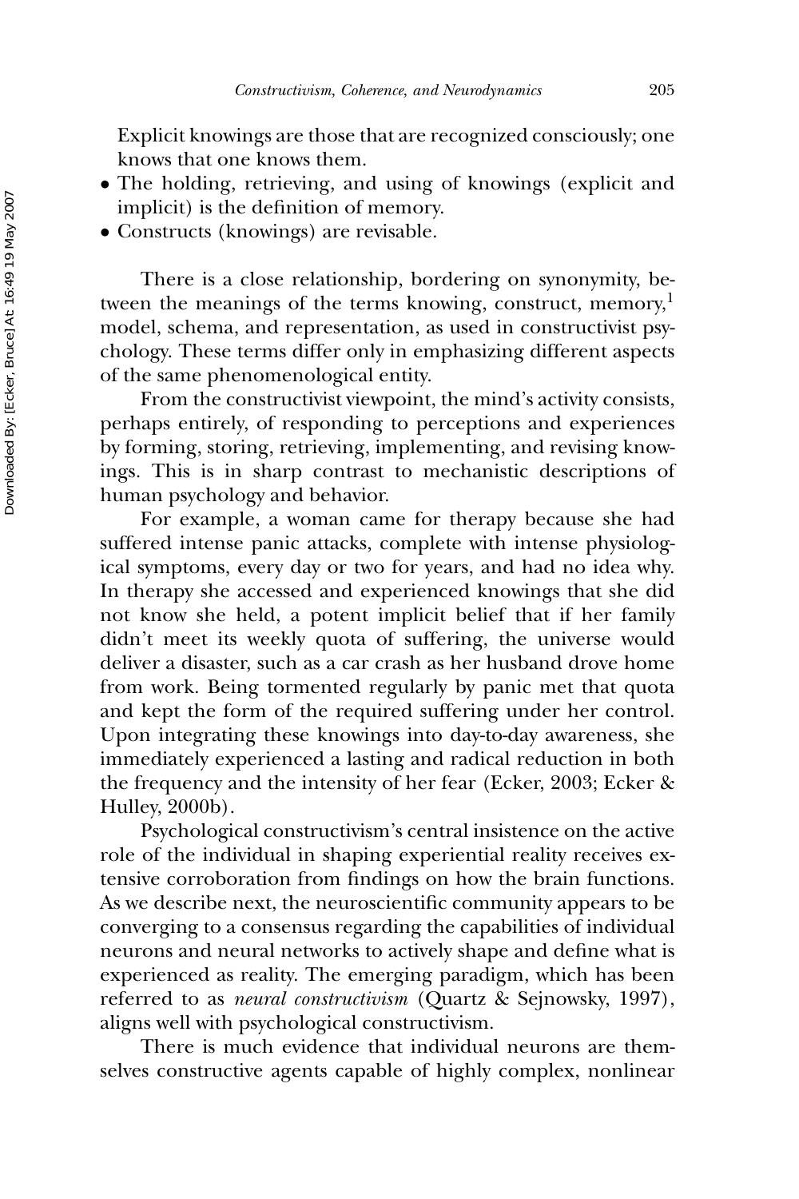Explicit knowings are those that are recognized consciously; one knows that one knows them.

- The holding, retrieving, and using of knowings (explicit and implicit) is the definition of memory.
- Constructs (knowings) are revisable.

There is a close relationship, bordering on synonymity, between the meanings of the terms knowing, construct, memory,<sup>1</sup> model, schema, and representation, as used in constructivist psychology. These terms differ only in emphasizing different aspects of the same phenomenological entity.

From the constructivist viewpoint, the mind's activity consists, perhaps entirely, of responding to perceptions and experiences by forming, storing, retrieving, implementing, and revising knowings. This is in sharp contrast to mechanistic descriptions of human psychology and behavior.

For example, a woman came for therapy because she had suffered intense panic attacks, complete with intense physiological symptoms, every day or two for years, and had no idea why. In therapy she accessed and experienced knowings that she did not know she held, a potent implicit belief that if her family didn't meet its weekly quota of suffering, the universe would deliver a disaster, such as a car crash as her husband drove home from work. Being tormented regularly by panic met that quota and kept the form of the required suffering under her control. Upon integrating these knowings into day-to-day awareness, she immediately experienced a lasting and radical reduction in both the frequency and the intensity of her fear (Ecker, 2003; Ecker & Hulley, 2000b).

Psychological constructivism's central insistence on the active role of the individual in shaping experiential reality receives extensive corroboration from findings on how the brain functions. As we describe next, the neuroscientific community appears to be converging to a consensus regarding the capabilities of individual neurons and neural networks to actively shape and define what is experienced as reality. The emerging paradigm, which has been referred to as *neural constructivism* (Quartz & Sejnowsky, 1997), aligns well with psychological constructivism.

There is much evidence that individual neurons are themselves constructive agents capable of highly complex, nonlinear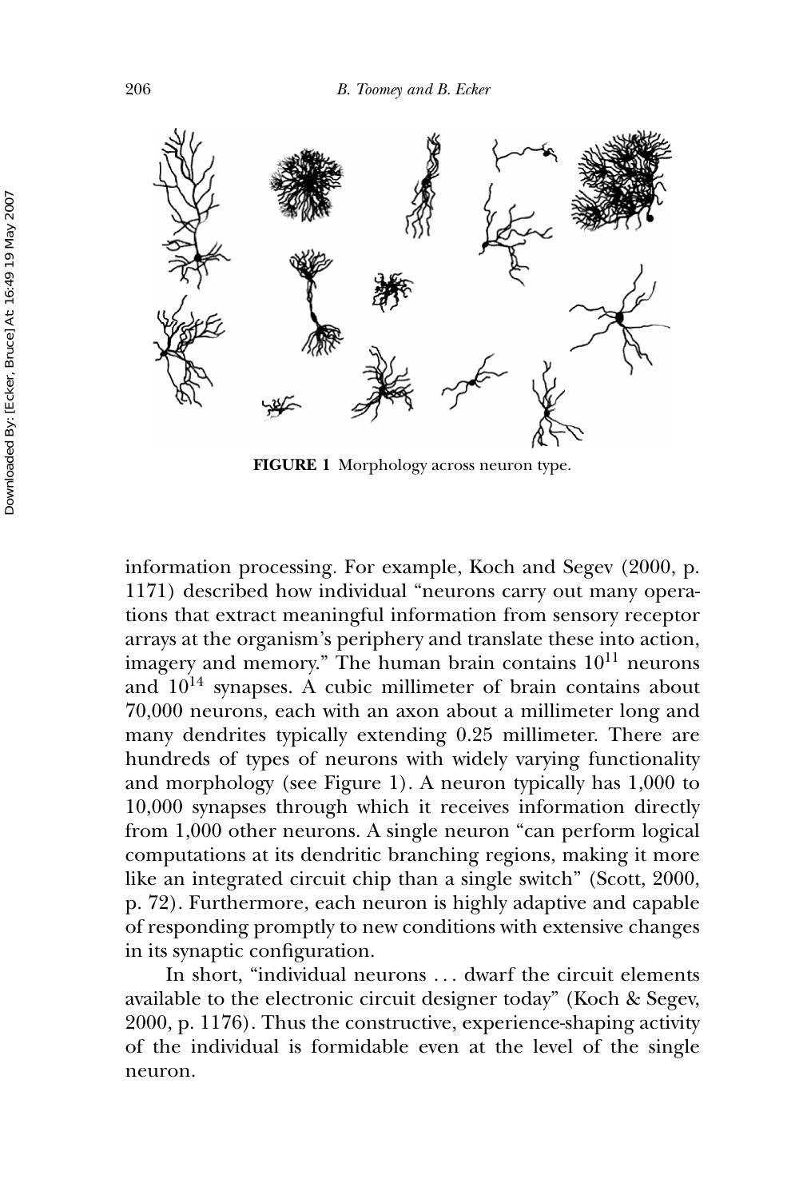

**FIGURE 1** Morphology across neuron type.

information processing. For example, Koch and Segev (2000, p. 1171) described how individual "neurons carry out many operations that extract meaningful information from sensory receptor arrays at the organism's periphery and translate these into action, imagery and memory." The human brain contains  $10^{11}$  neurons and  $10^{14}$  synapses. A cubic millimeter of brain contains about 70,000 neurons, each with an axon about a millimeter long and many dendrites typically extending 0.25 millimeter. There are hundreds of types of neurons with widely varying functionality and morphology (see Figure 1). A neuron typically has 1,000 to 10,000 synapses through which it receives information directly from 1,000 other neurons. A single neuron "can perform logical computations at its dendritic branching regions, making it more like an integrated circuit chip than a single switch" (Scott, 2000, p. 72). Furthermore, each neuron is highly adaptive and capable of responding promptly to new conditions with extensive changes in its synaptic configuration.

In short, "individual neurons ... dwarf the circuit elements available to the electronic circuit designer today" (Koch & Segev, 2000, p. 1176). Thus the constructive, experience-shaping activity of the individual is formidable even at the level of the single neuron.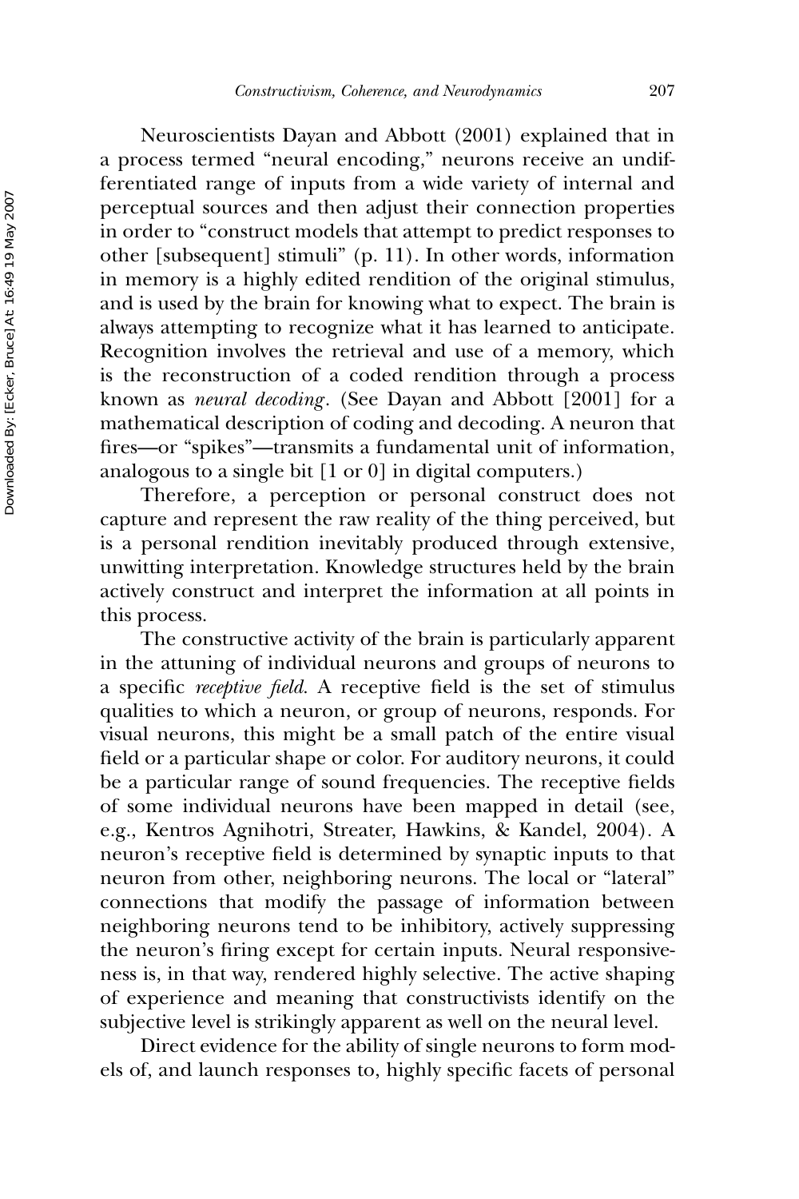Neuroscientists Dayan and Abbott (2001) explained that in a process termed "neural encoding," neurons receive an undifferentiated range of inputs from a wide variety of internal and perceptual sources and then adjust their connection properties in order to "construct models that attempt to predict responses to other [subsequent] stimuli" (p. 11). In other words, information in memory is a highly edited rendition of the original stimulus, and is used by the brain for knowing what to expect. The brain is always attempting to recognize what it has learned to anticipate. Recognition involves the retrieval and use of a memory, which is the reconstruction of a coded rendition through a process known as *neural decoding* . (See Dayan and Abbott [2001] for a mathematical description of coding and decoding. A neuron that fires—or "spikes"—transmits a fundamental unit of information, analogous to a single bit [1 or 0] in digital computers.)

Therefore, a perception or personal construct does not capture and represent the raw reality of the thing perceived, but is a personal rendition inevitably produced through extensive, unwitting interpretation. Knowledge structures held by the brain actively construct and interpret the information at all points in this process.

The constructive activity of the brain is particularly apparent in the attuning of individual neurons and groups of neurons to a specific *receptive field.* A receptive field is the set of stimulus qualities to which a neuron, or group of neurons, responds. For visual neurons, this might be a small patch of the entire visual field or a particular shape or color. For auditory neurons, it could be a particular range of sound frequencies. The receptive fields of some individual neurons have been mapped in detail (see, e.g., Kentros Agnihotri, Streater, Hawkins, & Kandel, 2004). A neuron's receptive field is determined by synaptic inputs to that neuron from other, neighboring neurons. The local or "lateral" connections that modify the passage of information between neighboring neurons tend to be inhibitory, actively suppressing the neuron's firing except for certain inputs. Neural responsiveness is, in that way, rendered highly selective. The active shaping of experience and meaning that constructivists identify on the subjective level is strikingly apparent as well on the neural level.

Direct evidence for the ability of single neurons to form models of, and launch responses to, highly specific facets of personal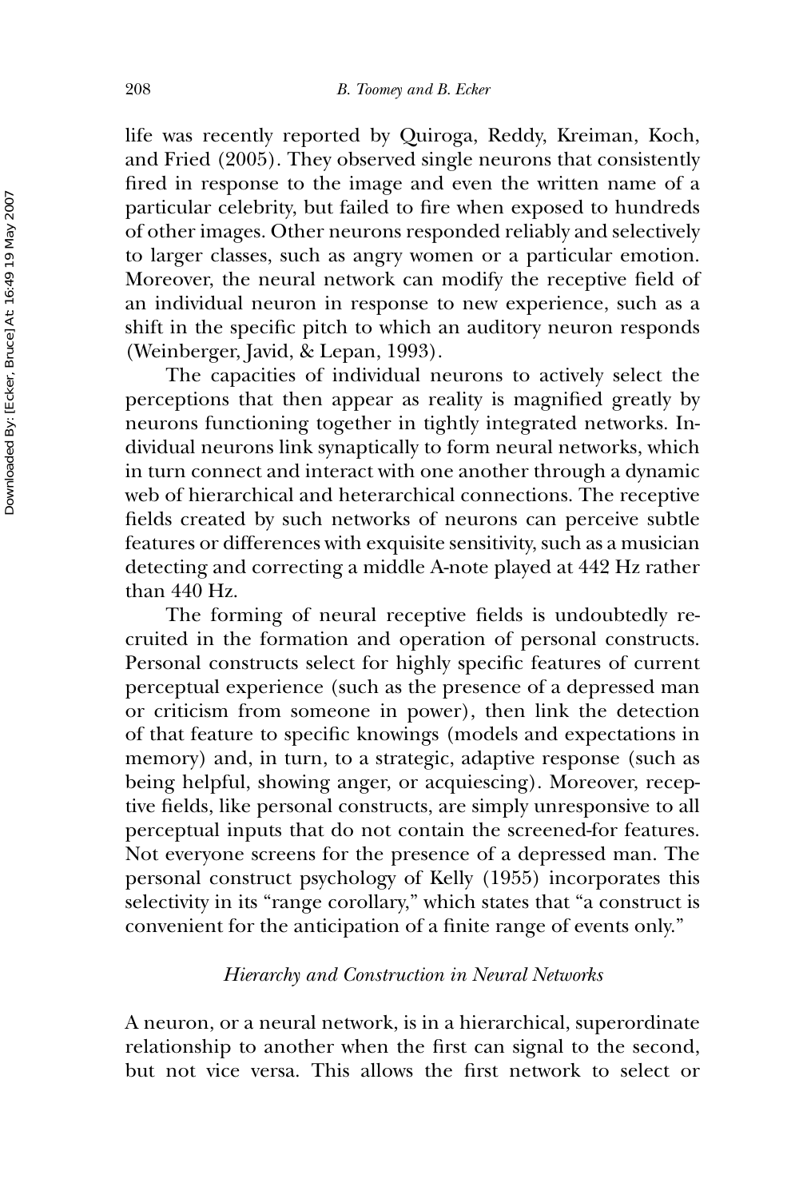life was recently reported by Quiroga, Reddy, Kreiman, Koch, and Fried (2005). They observed single neurons that consistently fired in response to the image and even the written name of a particular celebrity, but failed to fire when exposed to hundreds of other images. Other neurons responded reliably and selectively to larger classes, such as angry women or a particular emotion. Moreover, the neural network can modify the receptive field of an individual neuron in response to new experience, such as a shift in the specific pitch to which an auditory neuron responds (Weinberger, Javid, & Lepan, 1993).

The capacities of individual neurons to actively select the perceptions that then appear as reality is magnified greatly by neurons functioning together in tightly integrated networks. Individual neurons link synaptically to form neural networks, which in turn connect and interact with one another through a dynamic web of hierarchical and heterarchical connections. The receptive fields created by such networks of neurons can perceive subtle features or differences with exquisite sensitivity, such as a musician detecting and correcting a middle A-note played at 442 Hz rather than 440 Hz.

The forming of neural receptive fields is undoubtedly recruited in the formation and operation of personal constructs. Personal constructs select for highly specific features of current perceptual experience (such as the presence of a depressed man or criticism from someone in power), then link the detection of that feature to specific knowings (models and expectations in memory) and, in turn, to a strategic, adaptive response (such as being helpful, showing anger, or acquiescing). Moreover, receptive fields, like personal constructs, are simply unresponsive to all perceptual inputs that do not contain the screened-for features. Not everyone screens for the presence of a depressed man. The personal construct psychology of Kelly (1955) incorporates this selectivity in its "range corollary," which states that "a construct is convenient for the anticipation of a finite range of events only."

## *Hierarchy and Construction in Neural Networks*

A neuron, or a neural network, is in a hierarchical, superordinate relationship to another when the first can signal to the second, but not vice versa. This allows the first network to select or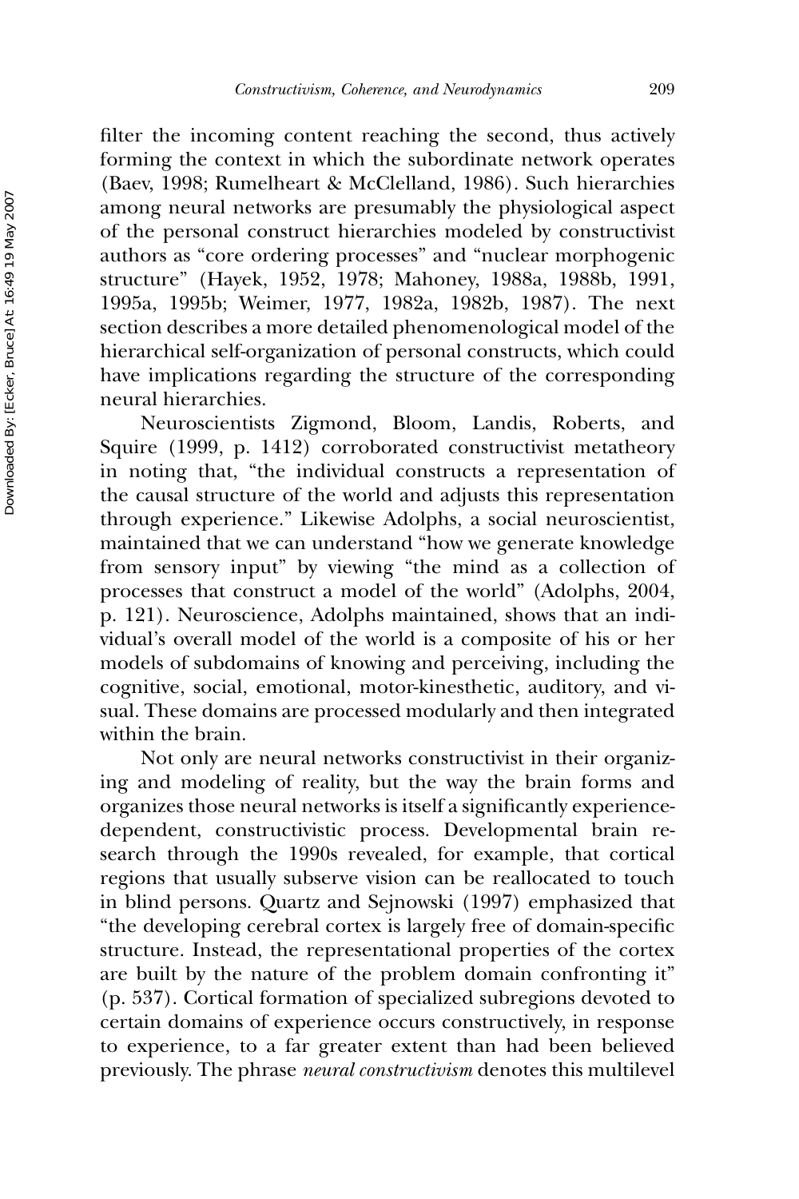filter the incoming content reaching the second, thus actively forming the context in which the subordinate network operates (Baev, 1998; Rumelheart & McClelland, 1986). Such hierarchies among neural networks are presumably the physiological aspect of the personal construct hierarchies modeled by constructivist authors as "core ordering processes" and "nuclear morphogenic structure" (Hayek, 1952, 1978; Mahoney, 1988a, 1988b, 1991, 1995a, 1995b; Weimer, 1977, 1982a, 1982b, 1987). The next section describes a more detailed phenomenological model of the hierarchical self-organization of personal constructs, which could have implications regarding the structure of the corresponding neural hierarchies.

Neuroscientists Zigmond, Bloom, Landis, Roberts, and Squire (1999, p. 1412) corroborated constructivist metatheory in noting that, "the individual constructs a representation of the causal structure of the world and adjusts this representation through experience." Likewise Adolphs, a social neuroscientist, maintained that we can understand "how we generate knowledge from sensory input" by viewing "the mind as a collection of processes that construct a model of the world" (Adolphs, 2004, p. 121). Neuroscience, Adolphs maintained, shows that an individual's overall model of the world is a composite of his or her models of subdomains of knowing and perceiving, including the cognitive, social, emotional, motor-kinesthetic, auditory, and visual. These domains are processed modularly and then integrated within the brain.

Not only are neural networks constructivist in their organizing and modeling of reality, but the way the brain forms and organizes those neural networks is itself a significantly experiencedependent, constructivistic process. Developmental brain research through the 1990s revealed, for example, that cortical regions that usually subserve vision can be reallocated to touch in blind persons. Quartz and Sejnowski (1997) emphasized that "the developing cerebral cortex is largely free of domain-specific structure. Instead, the representational properties of the cortex are built by the nature of the problem domain confronting it" (p. 537). Cortical formation of specialized subregions devoted to certain domains of experience occurs constructively, in response to experience, to a far greater extent than had been believed previously. The phrase *neural constructivism* denotes this multilevel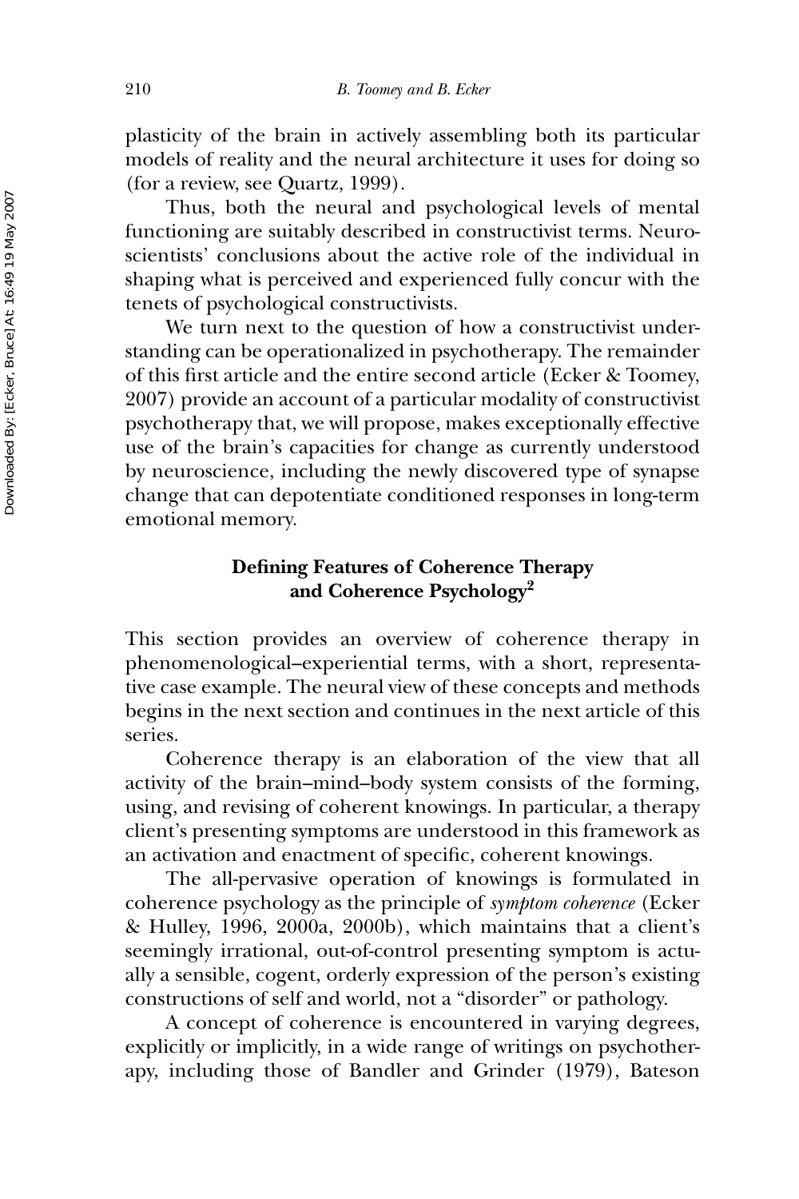plasticity of the brain in actively assembling both its particular models of reality and the neural architecture it uses for doing so (for a review, see Quartz, 1999).

Thus, both the neural and psychological levels of mental functioning are suitably described in constructivist terms. Neuroscientists' conclusions about the active role of the individual in shaping what is perceived and experienced fully concur with the tenets of psychological constructivists.

We turn next to the question of how a constructivist understanding can be operationalized in psychotherapy. The remainder of this first article and the entire second article (Ecker & Toomey, 2007) provide an account of a particular modality of constructivist psychotherapy that, we will propose, makes exceptionally effective use of the brain's capacities for change as currently understood by neuroscience, including the newly discovered type of synapse change that can depotentiate conditioned responses in long-term emotional memory.

# **Defining Features of Coherence Therapy and Coherence Psychology<sup>2</sup>**

This section provides an overview of coherence therapy in phenomenological–experiential terms, with a short, representative case example. The neural view of these concepts and methods begins in the next section and continues in the next article of this series.

Coherence therapy is an elaboration of the view that all activity of the brain–mind–body system consists of the forming, using, and revising of coherent knowings. In particular, a therapy client's presenting symptoms are understood in this framework as an activation and enactment of specific, coherent knowings.

The all-pervasive operation of knowings is formulated in coherence psychology as the principle of *symptom coherence* (Ecker & Hulley, 1996, 2000a, 2000b), which maintains that a client's seemingly irrational, out-of-control presenting symptom is actually a sensible, cogent, orderly expression of the person's existing constructions of self and world, not a "disorder" or pathology.

A concept of coherence is encountered in varying degrees, explicitly or implicitly, in a wide range of writings on psychotherapy, including those of Bandler and Grinder (1979), Bateson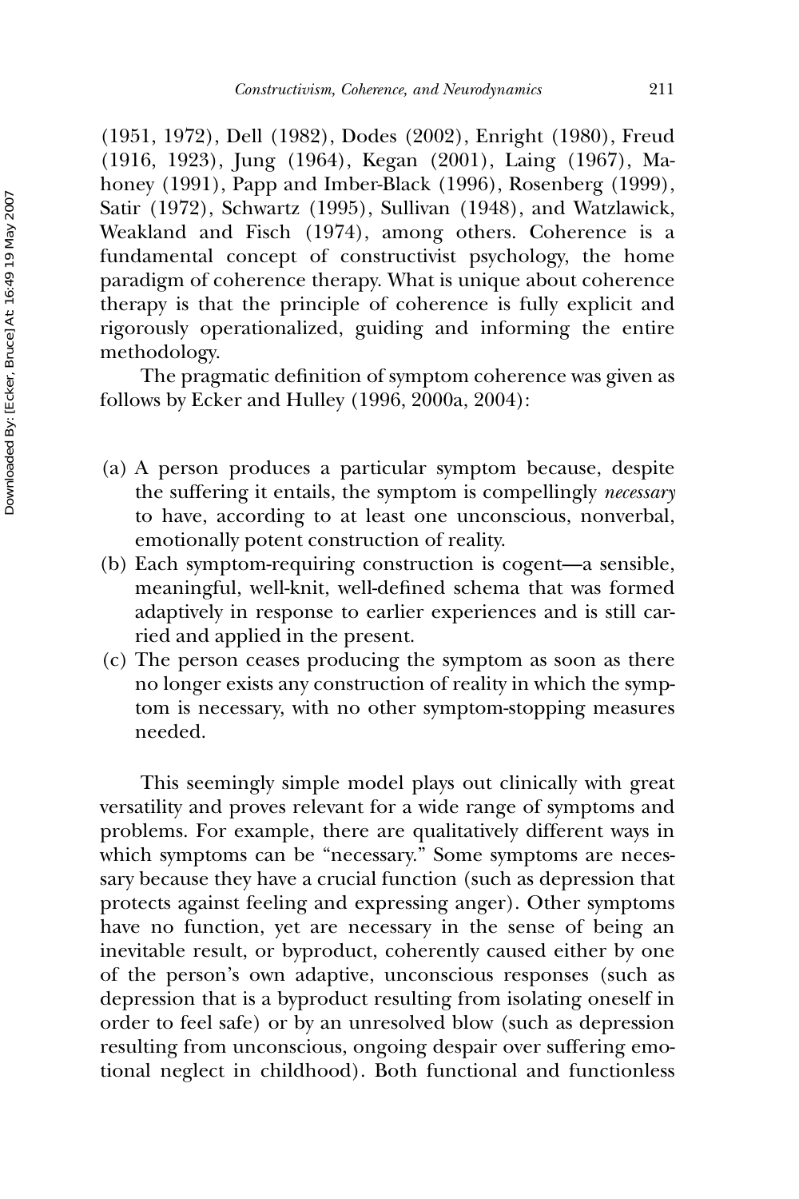(1951, 1972), Dell (1982), Dodes (2002), Enright (1980), Freud (1916, 1923), Jung (1964), Kegan (2001), Laing (1967), Mahoney (1991), Papp and Imber-Black (1996), Rosenberg (1999), Satir (1972), Schwartz (1995), Sullivan (1948), and Watzlawick, Weakland and Fisch (1974), among others. Coherence is a fundamental concept of constructivist psychology, the home paradigm of coherence therapy. What is unique about coherence therapy is that the principle of coherence is fully explicit and rigorously operationalized, guiding and informing the entire methodology.

The pragmatic definition of symptom coherence was given as follows by Ecker and Hulley (1996, 2000a, 2004):

- (a) A person produces a particular symptom because, despite the suffering it entails, the symptom is compellingly *necessary* to have, according to at least one unconscious, nonverbal, emotionally potent construction of reality.
- (b) Each symptom-requiring construction is cogent—a sensible, meaningful, well-knit, well-defined schema that was formed adaptively in response to earlier experiences and is still carried and applied in the present.
- (c) The person ceases producing the symptom as soon as there no longer exists any construction of reality in which the symptom is necessary, with no other symptom-stopping measures needed.

This seemingly simple model plays out clinically with great versatility and proves relevant for a wide range of symptoms and problems. For example, there are qualitatively different ways in which symptoms can be "necessary." Some symptoms are necessary because they have a crucial function (such as depression that protects against feeling and expressing anger). Other symptoms have no function, yet are necessary in the sense of being an inevitable result, or byproduct, coherently caused either by one of the person's own adaptive, unconscious responses (such as depression that is a byproduct resulting from isolating oneself in order to feel safe) or by an unresolved blow (such as depression resulting from unconscious, ongoing despair over suffering emotional neglect in childhood). Both functional and functionless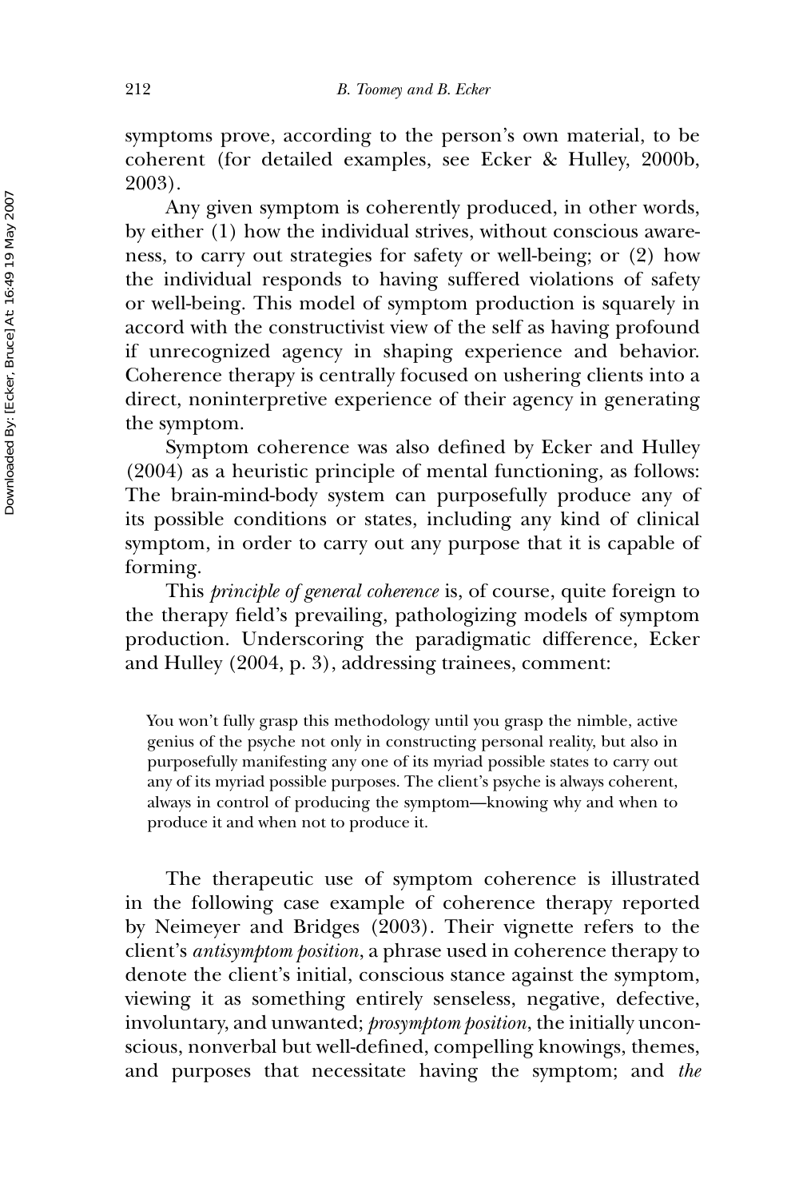symptoms prove, according to the person's own material, to be coherent (for detailed examples, see Ecker & Hulley, 2000b, 2003).

Any given symptom is coherently produced, in other words, by either (1) how the individual strives, without conscious awareness, to carry out strategies for safety or well-being; or (2) how the individual responds to having suffered violations of safety or well-being. This model of symptom production is squarely in accord with the constructivist view of the self as having profound if unrecognized agency in shaping experience and behavior. Coherence therapy is centrally focused on ushering clients into a direct, noninterpretive experience of their agency in generating the symptom.

Symptom coherence was also defined by Ecker and Hulley (2004) as a heuristic principle of mental functioning, as follows: The brain-mind-body system can purposefully produce any of its possible conditions or states, including any kind of clinical symptom, in order to carry out any purpose that it is capable of forming.

This *principle of general coherence* is, of course, quite foreign to the therapy field's prevailing, pathologizing models of symptom production. Underscoring the paradigmatic difference, Ecker and Hulley (2004, p. 3), addressing trainees, comment:

You won't fully grasp this methodology until you grasp the nimble, active genius of the psyche not only in constructing personal reality, but also in purposefully manifesting any one of its myriad possible states to carry out any of its myriad possible purposes. The client's psyche is always coherent, always in control of producing the symptom—knowing why and when to produce it and when not to produce it.

The therapeutic use of symptom coherence is illustrated in the following case example of coherence therapy reported by Neimeyer and Bridges (2003). Their vignette refers to the client's *antisymptom position*, a phrase used in coherence therapy to denote the client's initial, conscious stance against the symptom, viewing it as something entirely senseless, negative, defective, involuntary, and unwanted; *prosymptom position*, the initially unconscious, nonverbal but well-defined, compelling knowings, themes, and purposes that necessitate having the symptom; and *the*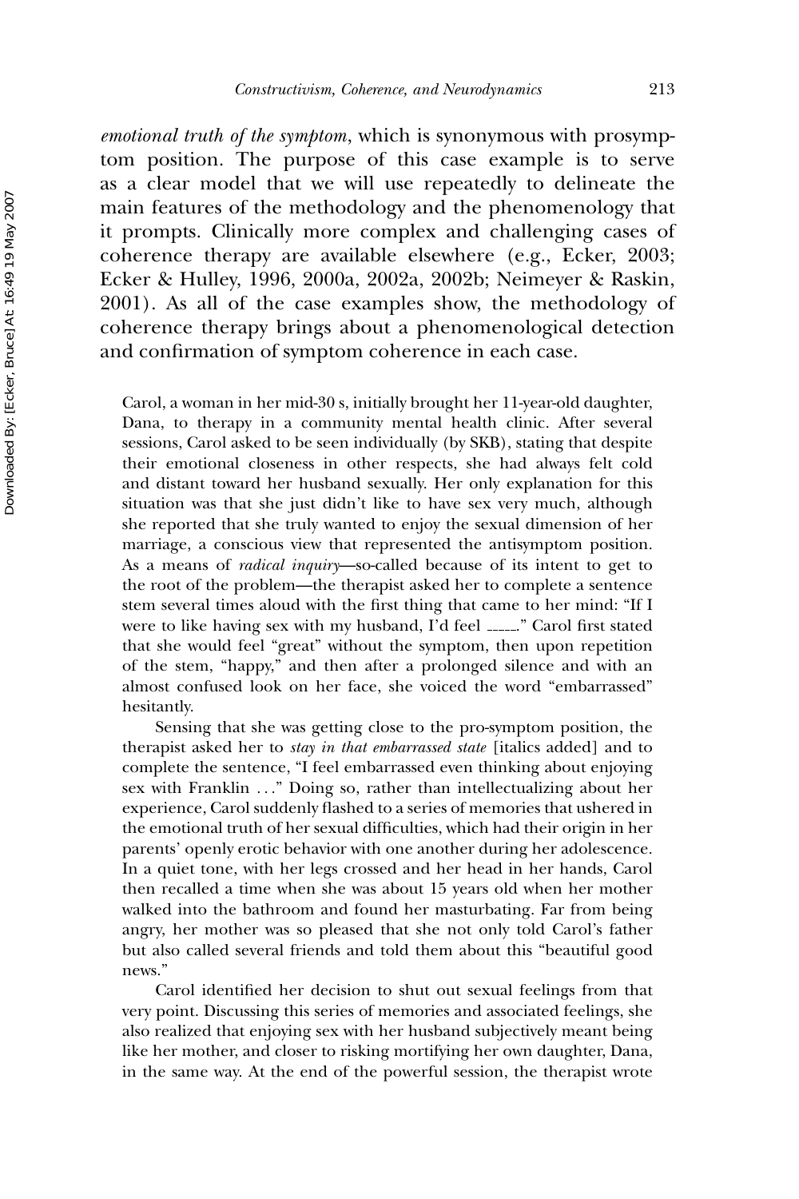*emotional truth of the symptom*, which is synonymous with prosymptom position. The purpose of this case example is to serve as a clear model that we will use repeatedly to delineate the main features of the methodology and the phenomenology that it prompts. Clinically more complex and challenging cases of coherence therapy are available elsewhere (e.g., Ecker, 2003; Ecker & Hulley, 1996, 2000a, 2002a, 2002b; Neimeyer & Raskin, 2001). As all of the case examples show, the methodology of coherence therapy brings about a phenomenological detection and confirmation of symptom coherence in each case.

Carol, a woman in her mid-30 s, initially brought her 11-year-old daughter, Dana, to therapy in a community mental health clinic. After several sessions, Carol asked to be seen individually (by SKB), stating that despite their emotional closeness in other respects, she had always felt cold and distant toward her husband sexually. Her only explanation for this situation was that she just didn't like to have sex very much, although she reported that she truly wanted to enjoy the sexual dimension of her marriage, a conscious view that represented the antisymptom position. As a means of *radical inquiry*—so-called because of its intent to get to the root of the problem—the therapist asked her to complete a sentence stem several times aloud with the first thing that came to her mind: "If I were to like having sex with my husband, I'd feel ......." Carol first stated that she would feel "great" without the symptom, then upon repetition of the stem, "happy," and then after a prolonged silence and with an almost confused look on her face, she voiced the word "embarrassed" hesitantly.

Sensing that she was getting close to the pro-symptom position, the therapist asked her to *stay in that embarrassed state* [italics added] and to complete the sentence, "I feel embarrassed even thinking about enjoying sex with Franklin ..." Doing so, rather than intellectualizing about her experience, Carol suddenly flashed to a series of memories that ushered in the emotional truth of her sexual difficulties, which had their origin in her parents' openly erotic behavior with one another during her adolescence. In a quiet tone, with her legs crossed and her head in her hands, Carol then recalled a time when she was about 15 years old when her mother walked into the bathroom and found her masturbating. Far from being angry, her mother was so pleased that she not only told Carol's father but also called several friends and told them about this "beautiful good news."

Carol identified her decision to shut out sexual feelings from that very point. Discussing this series of memories and associated feelings, she also realized that enjoying sex with her husband subjectively meant being like her mother, and closer to risking mortifying her own daughter, Dana, in the same way. At the end of the powerful session, the therapist wrote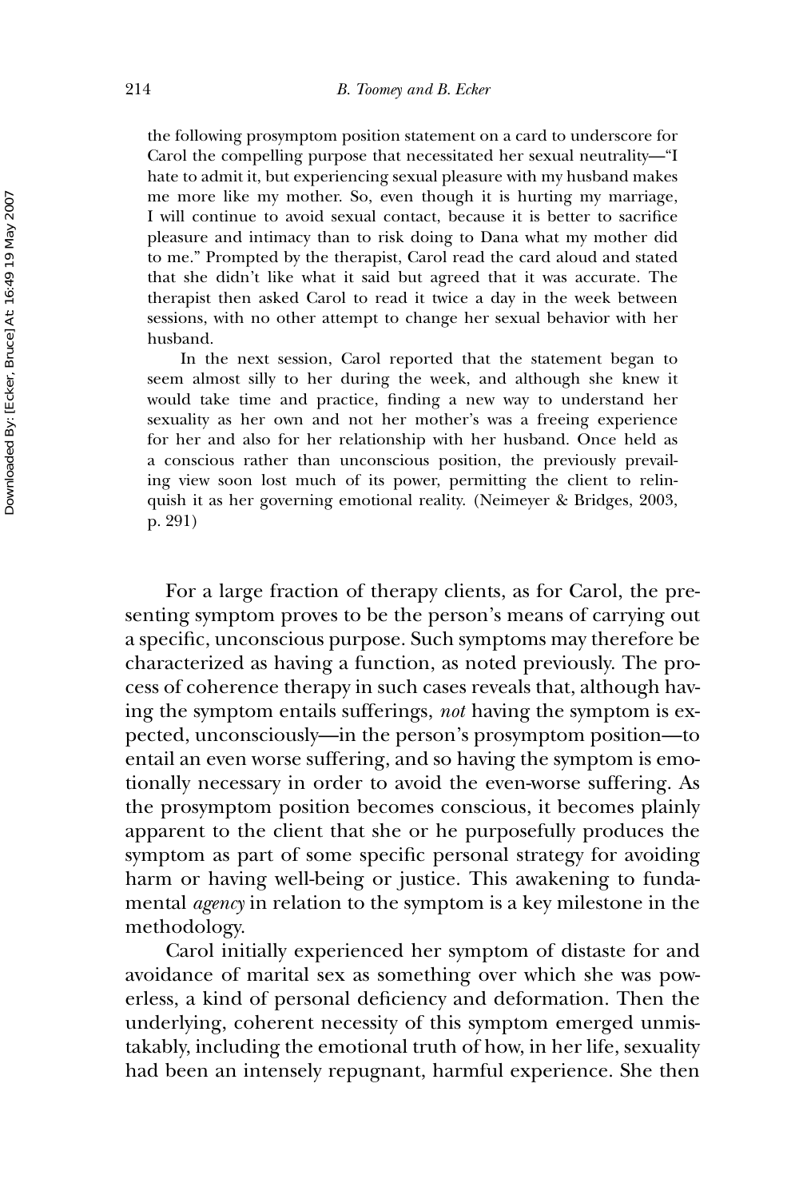the following prosymptom position statement on a card to underscore for Carol the compelling purpose that necessitated her sexual neutrality—"I hate to admit it, but experiencing sexual pleasure with my husband makes me more like my mother. So, even though it is hurting my marriage, I will continue to avoid sexual contact, because it is better to sacrifice pleasure and intimacy than to risk doing to Dana what my mother did to me." Prompted by the therapist, Carol read the card aloud and stated that she didn't like what it said but agreed that it was accurate. The therapist then asked Carol to read it twice a day in the week between sessions, with no other attempt to change her sexual behavior with her husband.

In the next session, Carol reported that the statement began to seem almost silly to her during the week, and although she knew it would take time and practice, finding a new way to understand her sexuality as her own and not her mother's was a freeing experience for her and also for her relationship with her husband. Once held as a conscious rather than unconscious position, the previously prevailing view soon lost much of its power, permitting the client to relinquish it as her governing emotional reality. (Neimeyer & Bridges, 2003, p. 291)

For a large fraction of therapy clients, as for Carol, the presenting symptom proves to be the person's means of carrying out a specific, unconscious purpose. Such symptoms may therefore be characterized as having a function, as noted previously. The process of coherence therapy in such cases reveals that, although having the symptom entails sufferings, *not* having the symptom is expected, unconsciously—in the person's prosymptom position—to entail an even worse suffering, and so having the symptom is emotionally necessary in order to avoid the even-worse suffering. As the prosymptom position becomes conscious, it becomes plainly apparent to the client that she or he purposefully produces the symptom as part of some specific personal strategy for avoiding harm or having well-being or justice. This awakening to fundamental *agency* in relation to the symptom is a key milestone in the methodology.

Carol initially experienced her symptom of distaste for and avoidance of marital sex as something over which she was powerless, a kind of personal deficiency and deformation. Then the underlying, coherent necessity of this symptom emerged unmistakably, including the emotional truth of how, in her life, sexuality had been an intensely repugnant, harmful experience. She then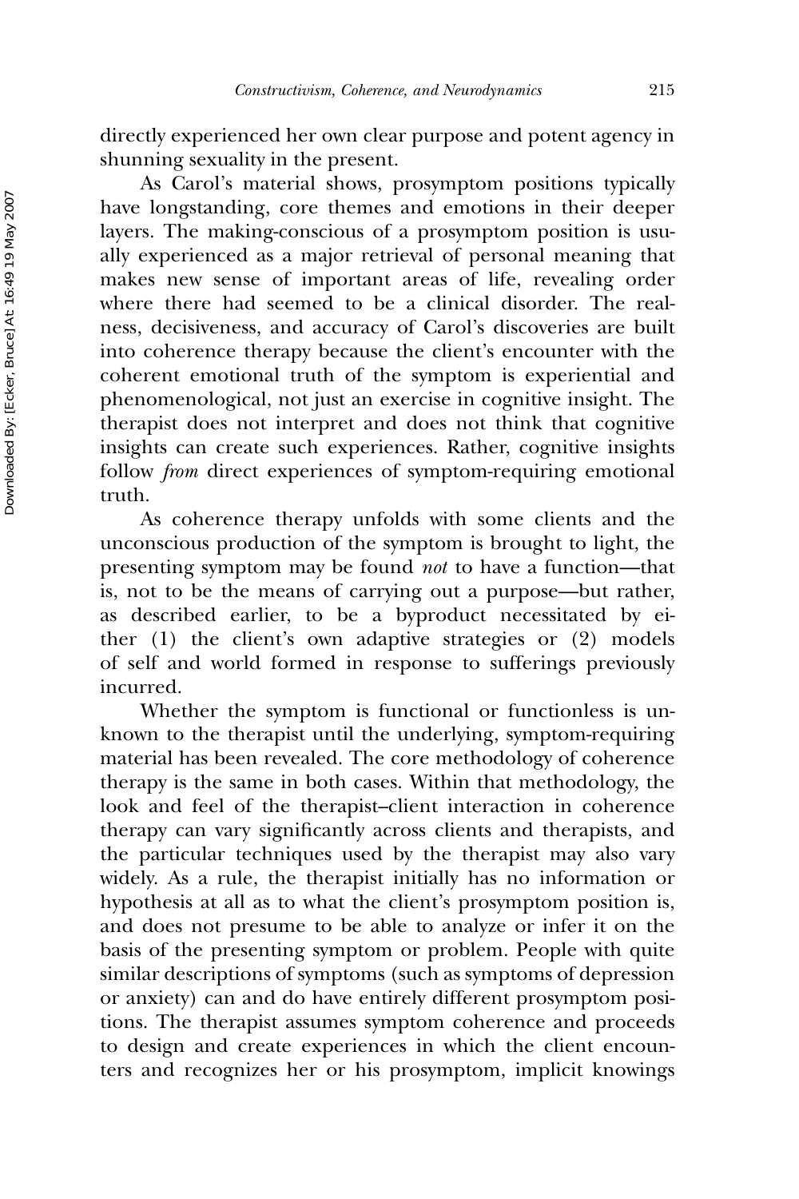directly experienced her own clear purpose and potent agency in shunning sexuality in the present.

As Carol's material shows, prosymptom positions typically have longstanding, core themes and emotions in their deeper layers. The making-conscious of a prosymptom position is usually experienced as a major retrieval of personal meaning that makes new sense of important areas of life, revealing order where there had seemed to be a clinical disorder. The realness, decisiveness, and accuracy of Carol's discoveries are built into coherence therapy because the client's encounter with the coherent emotional truth of the symptom is experiential and phenomenological, not just an exercise in cognitive insight. The therapist does not interpret and does not think that cognitive insights can create such experiences. Rather, cognitive insights follow *from* direct experiences of symptom-requiring emotional truth.

As coherence therapy unfolds with some clients and the unconscious production of the symptom is brought to light, the presenting symptom may be found *not* to have a function—that is, not to be the means of carrying out a purpose—but rather, as described earlier, to be a byproduct necessitated by either (1) the client's own adaptive strategies or (2) models of self and world formed in response to sufferings previously incurred.

Whether the symptom is functional or functionless is unknown to the therapist until the underlying, symptom-requiring material has been revealed. The core methodology of coherence therapy is the same in both cases. Within that methodology, the look and feel of the therapist–client interaction in coherence therapy can vary significantly across clients and therapists, and the particular techniques used by the therapist may also vary widely. As a rule, the therapist initially has no information or hypothesis at all as to what the client's prosymptom position is, and does not presume to be able to analyze or infer it on the basis of the presenting symptom or problem. People with quite similar descriptions of symptoms (such as symptoms of depression or anxiety) can and do have entirely different prosymptom positions. The therapist assumes symptom coherence and proceeds to design and create experiences in which the client encounters and recognizes her or his prosymptom, implicit knowings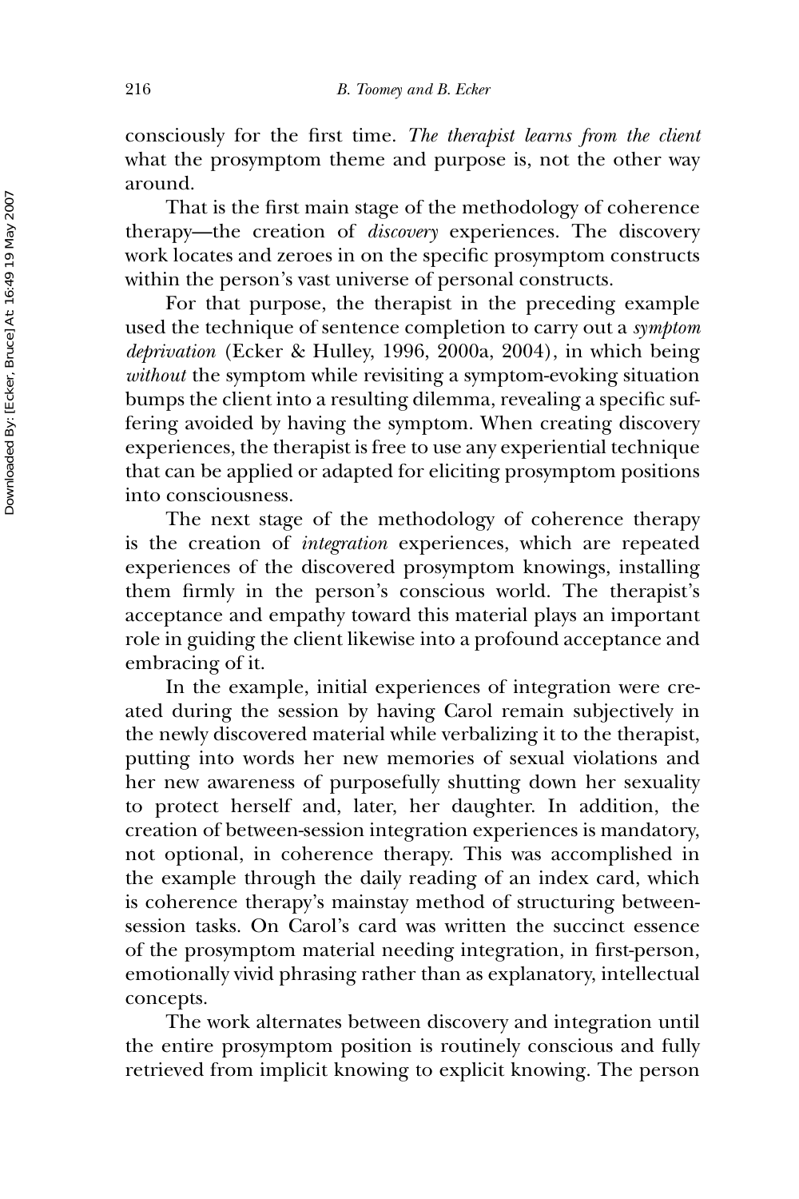consciously for the first time. *The therapist learns from the client* what the prosymptom theme and purpose is, not the other way around.

That is the first main stage of the methodology of coherence therapy—the creation of *discovery* experiences. The discovery work locates and zeroes in on the specific prosymptom constructs within the person's vast universe of personal constructs.

For that purpose, the therapist in the preceding example used the technique of sentence completion to carry out a *symptom deprivation* (Ecker & Hulley, 1996, 2000a, 2004), in which being *without* the symptom while revisiting a symptom-evoking situation bumps the client into a resulting dilemma, revealing a specific suffering avoided by having the symptom. When creating discovery experiences, the therapist is free to use any experiential technique that can be applied or adapted for eliciting prosymptom positions into consciousness.

The next stage of the methodology of coherence therapy is the creation of *integration* experiences, which are repeated experiences of the discovered prosymptom knowings, installing them firmly in the person's conscious world. The therapist's acceptance and empathy toward this material plays an important role in guiding the client likewise into a profound acceptance and embracing of it.

In the example, initial experiences of integration were created during the session by having Carol remain subjectively in the newly discovered material while verbalizing it to the therapist, putting into words her new memories of sexual violations and her new awareness of purposefully shutting down her sexuality to protect herself and, later, her daughter. In addition, the creation of between-session integration experiences is mandatory, not optional, in coherence therapy. This was accomplished in the example through the daily reading of an index card, which is coherence therapy's mainstay method of structuring betweensession tasks. On Carol's card was written the succinct essence of the prosymptom material needing integration, in first-person, emotionally vivid phrasing rather than as explanatory, intellectual concepts.

The work alternates between discovery and integration until the entire prosymptom position is routinely conscious and fully retrieved from implicit knowing to explicit knowing. The person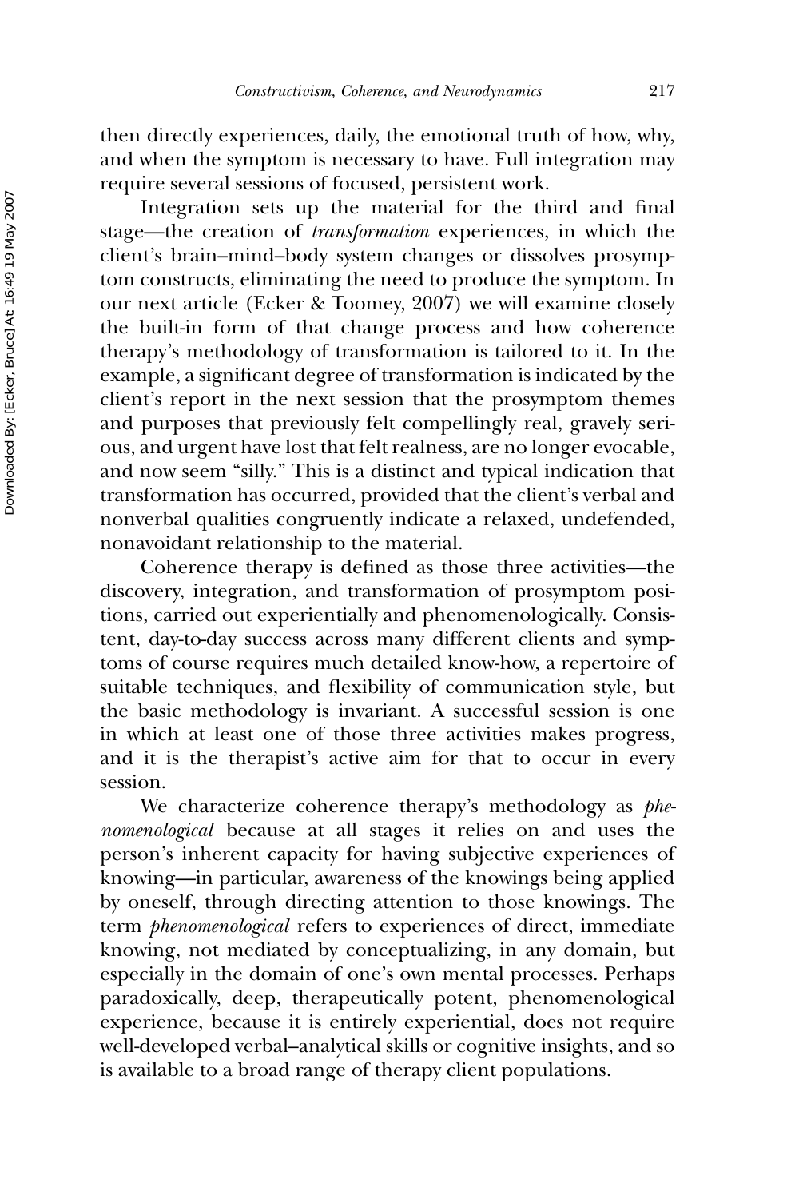then directly experiences, daily, the emotional truth of how, why, and when the symptom is necessary to have. Full integration may require several sessions of focused, persistent work.

Integration sets up the material for the third and final stage—the creation of *transformation* experiences, in which the client's brain–mind–body system changes or dissolves prosymptom constructs, eliminating the need to produce the symptom. In our next article (Ecker & Toomey, 2007) we will examine closely the built-in form of that change process and how coherence therapy's methodology of transformation is tailored to it. In the example, a significant degree of transformation is indicated by the client's report in the next session that the prosymptom themes and purposes that previously felt compellingly real, gravely serious, and urgent have lost that felt realness, are no longer evocable, and now seem "silly." This is a distinct and typical indication that transformation has occurred, provided that the client's verbal and nonverbal qualities congruently indicate a relaxed, undefended, nonavoidant relationship to the material.

Coherence therapy is defined as those three activities—the discovery, integration, and transformation of prosymptom positions, carried out experientially and phenomenologically. Consistent, day-to-day success across many different clients and symptoms of course requires much detailed know-how, a repertoire of suitable techniques, and flexibility of communication style, but the basic methodology is invariant. A successful session is one in which at least one of those three activities makes progress, and it is the therapist's active aim for that to occur in every session.

We characterize coherence therapy's methodology as *phenomenological* because at all stages it relies on and uses the person's inherent capacity for having subjective experiences of knowing—in particular, awareness of the knowings being applied by oneself, through directing attention to those knowings. The term *phenomenological* refers to experiences of direct, immediate knowing, not mediated by conceptualizing, in any domain, but especially in the domain of one's own mental processes. Perhaps paradoxically, deep, therapeutically potent, phenomenological experience, because it is entirely experiential, does not require well-developed verbal–analytical skills or cognitive insights, and so is available to a broad range of therapy client populations.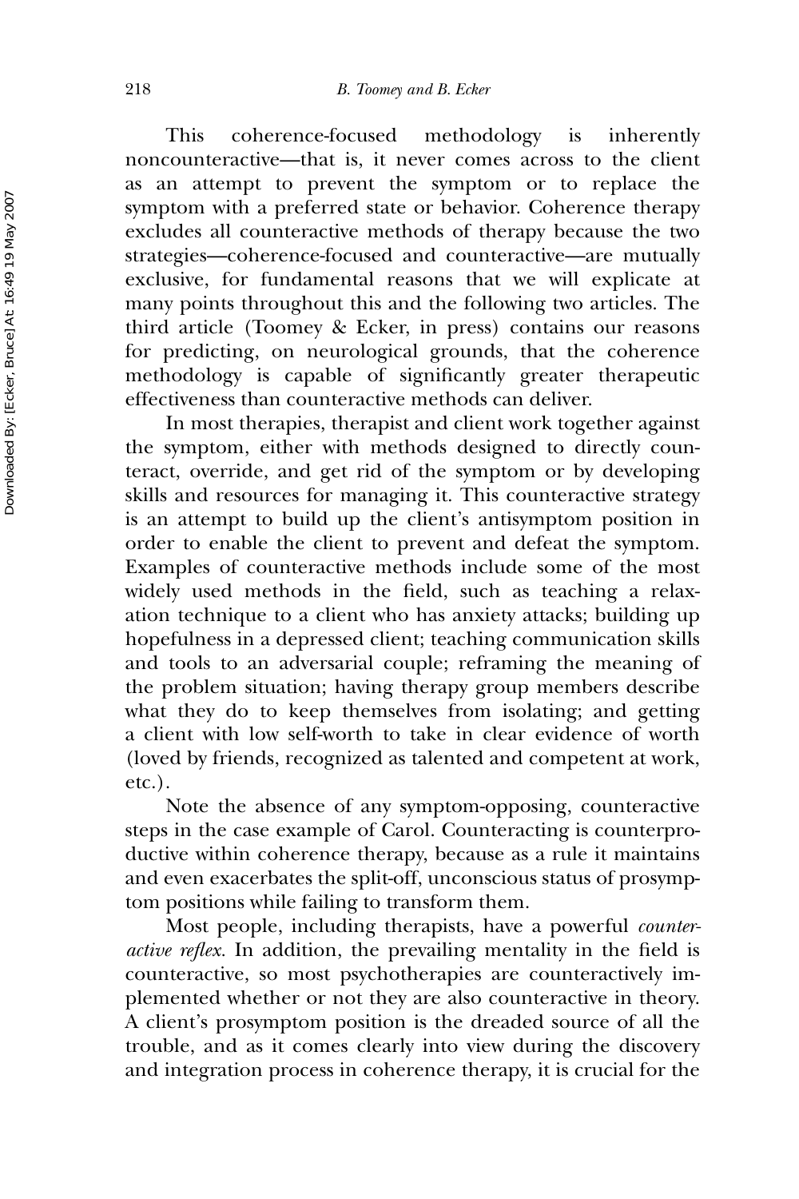This coherence-focused methodology is inherently noncounteractive—that is, it never comes across to the client as an attempt to prevent the symptom or to replace the symptom with a preferred state or behavior. Coherence therapy excludes all counteractive methods of therapy because the two strategies—coherence-focused and counteractive—are mutually exclusive, for fundamental reasons that we will explicate at many points throughout this and the following two articles. The third article (Toomey & Ecker, in press) contains our reasons for predicting, on neurological grounds, that the coherence methodology is capable of significantly greater therapeutic effectiveness than counteractive methods can deliver.

In most therapies, therapist and client work together against the symptom, either with methods designed to directly counteract, override, and get rid of the symptom or by developing skills and resources for managing it. This counteractive strategy is an attempt to build up the client's antisymptom position in order to enable the client to prevent and defeat the symptom. Examples of counteractive methods include some of the most widely used methods in the field, such as teaching a relaxation technique to a client who has anxiety attacks; building up hopefulness in a depressed client; teaching communication skills and tools to an adversarial couple; reframing the meaning of the problem situation; having therapy group members describe what they do to keep themselves from isolating; and getting a client with low self-worth to take in clear evidence of worth (loved by friends, recognized as talented and competent at work, etc.).

Note the absence of any symptom-opposing, counteractive steps in the case example of Carol. Counteracting is counterproductive within coherence therapy, because as a rule it maintains and even exacerbates the split-off, unconscious status of prosymptom positions while failing to transform them.

Most people, including therapists, have a powerful *counteractive reflex.* In addition, the prevailing mentality in the field is counteractive, so most psychotherapies are counteractively implemented whether or not they are also counteractive in theory. A client's prosymptom position is the dreaded source of all the trouble, and as it comes clearly into view during the discovery and integration process in coherence therapy, it is crucial for the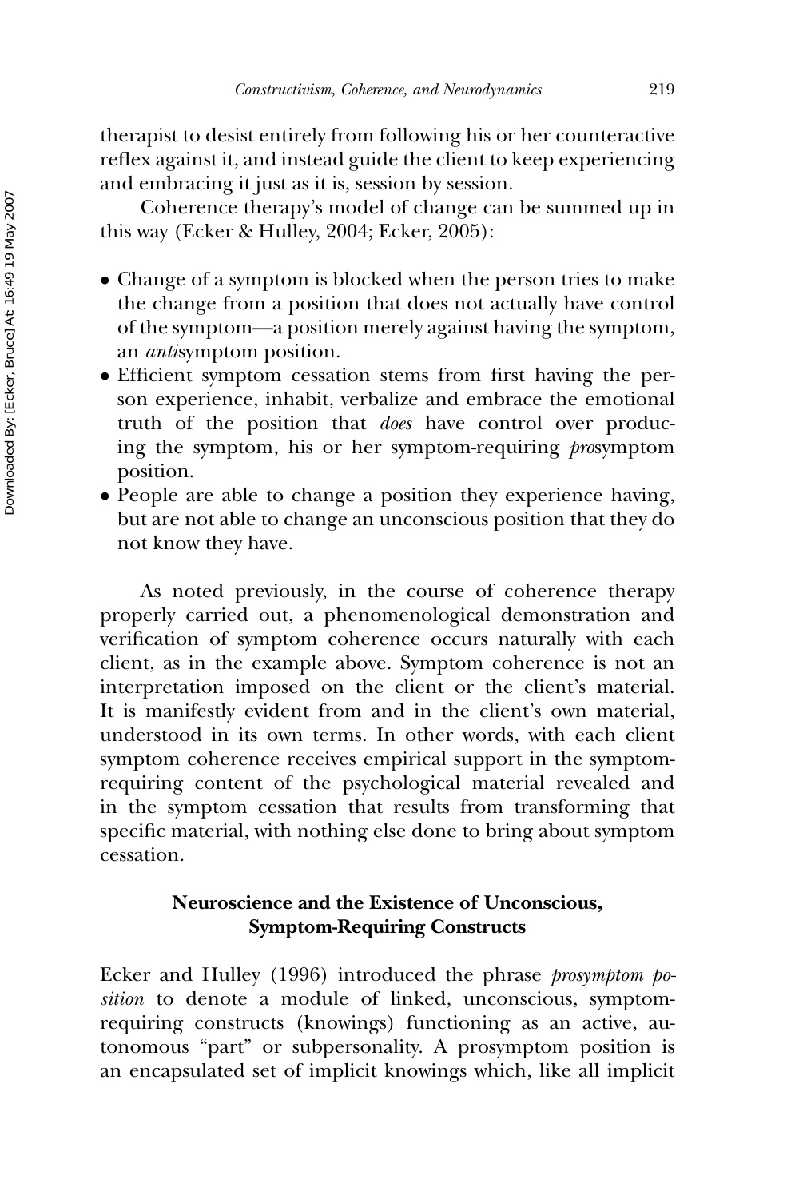therapist to desist entirely from following his or her counteractive reflex against it, and instead guide the client to keep experiencing and embracing it just as it is, session by session.

Coherence therapy's model of change can be summed up in this way (Ecker & Hulley, 2004; Ecker, 2005):

- Change of a symptom is blocked when the person tries to make the change from a position that does not actually have control of the symptom—a position merely against having the symptom, an *anti*symptom position.
- Efficient symptom cessation stems from first having the person experience, inhabit, verbalize and embrace the emotional truth of the position that *does* have control over producing the symptom, his or her symptom-requiring *pro*symptom position.
- People are able to change a position they experience having, but are not able to change an unconscious position that they do not know they have.

As noted previously, in the course of coherence therapy properly carried out, a phenomenological demonstration and verification of symptom coherence occurs naturally with each client, as in the example above. Symptom coherence is not an interpretation imposed on the client or the client's material. It is manifestly evident from and in the client's own material, understood in its own terms. In other words, with each client symptom coherence receives empirical support in the symptomrequiring content of the psychological material revealed and in the symptom cessation that results from transforming that specific material, with nothing else done to bring about symptom cessation.

# **Neuroscience and the Existence of Unconscious, Symptom-Requiring Constructs**

Ecker and Hulley (1996) introduced the phrase *prosymptom position* to denote a module of linked, unconscious, symptomrequiring constructs (knowings) functioning as an active, autonomous "part" or subpersonality. A prosymptom position is an encapsulated set of implicit knowings which, like all implicit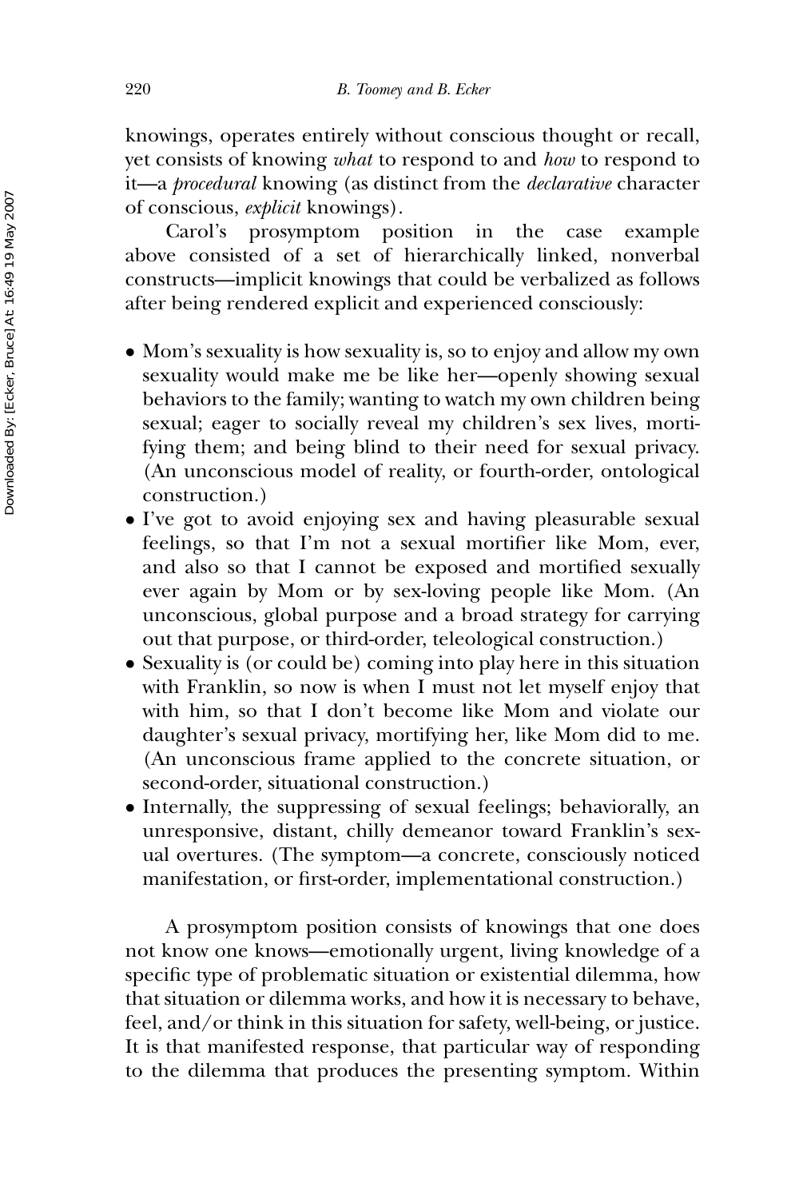knowings, operates entirely without conscious thought or recall, yet consists of knowing *what* to respond to and *how* to respond to it—a *procedural* knowing (as distinct from the *declarative* character of conscious, *explicit* knowings).

Carol's prosymptom position in the case example above consisted of a set of hierarchically linked, nonverbal constructs—implicit knowings that could be verbalized as follows after being rendered explicit and experienced consciously:

- Mom's sexuality is how sexuality is, so to enjoy and allow my own sexuality would make me be like her—openly showing sexual behaviors to the family; wanting to watch my own children being sexual; eager to socially reveal my children's sex lives, mortifying them; and being blind to their need for sexual privacy. (An unconscious model of reality, or fourth-order, ontological construction.)
- I've got to avoid enjoying sex and having pleasurable sexual feelings, so that I'm not a sexual mortifier like Mom, ever, and also so that I cannot be exposed and mortified sexually ever again by Mom or by sex-loving people like Mom. (An unconscious, global purpose and a broad strategy for carrying out that purpose, or third-order, teleological construction.)
- Sexuality is (or could be) coming into play here in this situation with Franklin, so now is when I must not let myself enjoy that with him, so that I don't become like Mom and violate our daughter's sexual privacy, mortifying her, like Mom did to me. (An unconscious frame applied to the concrete situation, or second-order, situational construction.)
- Internally, the suppressing of sexual feelings; behaviorally, an unresponsive, distant, chilly demeanor toward Franklin's sexual overtures. (The symptom—a concrete, consciously noticed manifestation, or first-order, implementational construction.)

A prosymptom position consists of knowings that one does not know one knows—emotionally urgent, living knowledge of a specific type of problematic situation or existential dilemma, how that situation or dilemma works, and how it is necessary to behave, feel, and/or think in this situation for safety, well-being, or justice. It is that manifested response, that particular way of responding to the dilemma that produces the presenting symptom. Within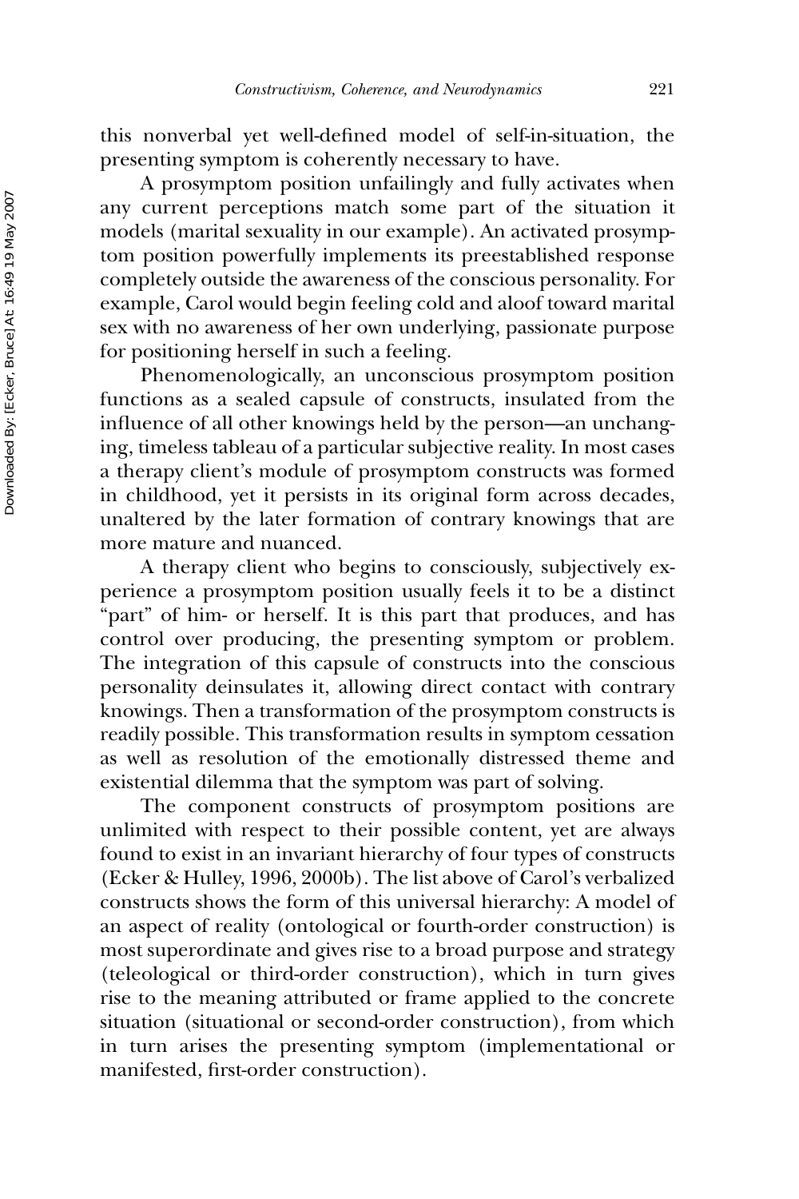this nonverbal yet well-defined model of self-in-situation, the presenting symptom is coherently necessary to have.

A prosymptom position unfailingly and fully activates when any current perceptions match some part of the situation it models (marital sexuality in our example). An activated prosymptom position powerfully implements its preestablished response completely outside the awareness of the conscious personality. For example, Carol would begin feeling cold and aloof toward marital sex with no awareness of her own underlying, passionate purpose for positioning herself in such a feeling.

Phenomenologically, an unconscious prosymptom position functions as a sealed capsule of constructs, insulated from the influence of all other knowings held by the person—an unchanging, timeless tableau of a particular subjective reality. In most cases a therapy client's module of prosymptom constructs was formed in childhood, yet it persists in its original form across decades, unaltered by the later formation of contrary knowings that are more mature and nuanced.

A therapy client who begins to consciously, subjectively experience a prosymptom position usually feels it to be a distinct "part" of him- or herself. It is this part that produces, and has control over producing, the presenting symptom or problem. The integration of this capsule of constructs into the conscious personality deinsulates it, allowing direct contact with contrary knowings. Then a transformation of the prosymptom constructs is readily possible. This transformation results in symptom cessation as well as resolution of the emotionally distressed theme and existential dilemma that the symptom was part of solving.

The component constructs of prosymptom positions are unlimited with respect to their possible content, yet are always found to exist in an invariant hierarchy of four types of constructs (Ecker & Hulley, 1996, 2000b). The list above of Carol's verbalized constructs shows the form of this universal hierarchy: A model of an aspect of reality (ontological or fourth-order construction) is most superordinate and gives rise to a broad purpose and strategy (teleological or third-order construction), which in turn gives rise to the meaning attributed or frame applied to the concrete situation (situational or second-order construction), from which in turn arises the presenting symptom (implementational or manifested, first-order construction).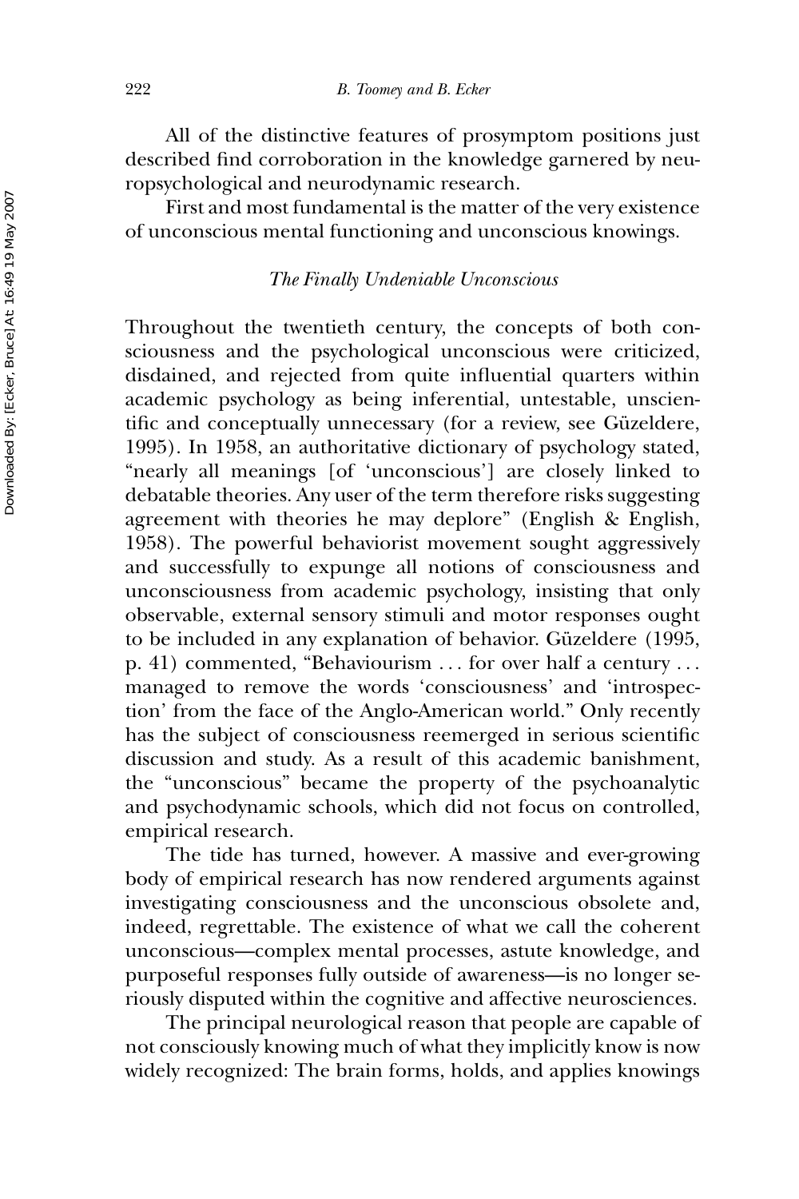All of the distinctive features of prosymptom positions just described find corroboration in the knowledge garnered by neuropsychological and neurodynamic research.

First and most fundamental is the matter of the very existence of unconscious mental functioning and unconscious knowings.

### *The Finally Undeniable Unconscious*

Throughout the twentieth century, the concepts of both consciousness and the psychological unconscious were criticized, disdained, and rejected from quite influential quarters within academic psychology as being inferential, untestable, unscientific and conceptually unnecessary (for a review, see Güzeldere, 1995). In 1958, an authoritative dictionary of psychology stated, "nearly all meanings [of 'unconscious'] are closely linked to debatable theories. Any user of the term therefore risks suggesting agreement with theories he may deplore" (English & English, 1958). The powerful behaviorist movement sought aggressively and successfully to expunge all notions of consciousness and unconsciousness from academic psychology, insisting that only observable, external sensory stimuli and motor responses ought to be included in any explanation of behavior. Güzeldere (1995, p. 41) commented, "Behaviourism ... for over half a century ... managed to remove the words 'consciousness' and 'introspection' from the face of the Anglo-American world." Only recently has the subject of consciousness reemerged in serious scientific discussion and study. As a result of this academic banishment, the "unconscious" became the property of the psychoanalytic and psychodynamic schools, which did not focus on controlled, empirical research.

The tide has turned, however. A massive and ever-growing body of empirical research has now rendered arguments against investigating consciousness and the unconscious obsolete and, indeed, regrettable. The existence of what we call the coherent unconscious—complex mental processes, astute knowledge, and purposeful responses fully outside of awareness—is no longer seriously disputed within the cognitive and affective neurosciences.

The principal neurological reason that people are capable of not consciously knowing much of what they implicitly know is now widely recognized: The brain forms, holds, and applies knowings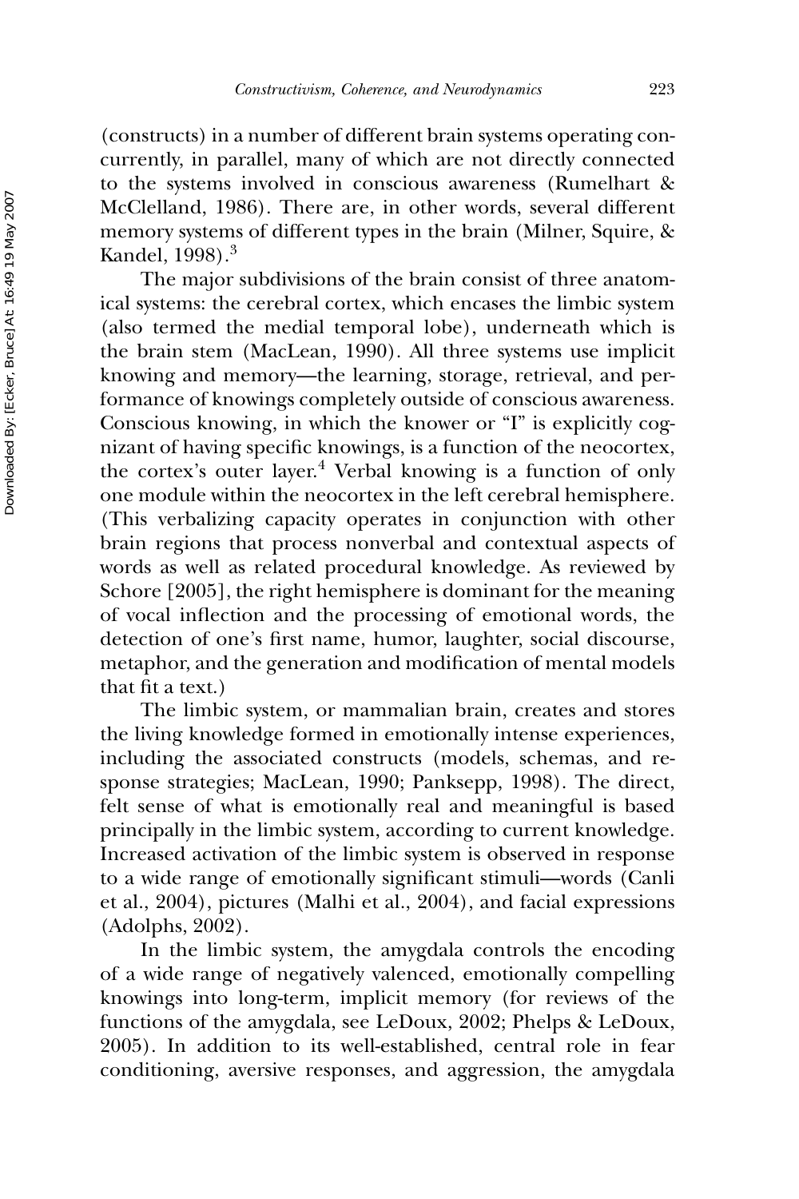(constructs) in a number of different brain systems operating concurrently, in parallel, many of which are not directly connected to the systems involved in conscious awareness (Rumelhart & McClelland, 1986). There are, in other words, several different memory systems of different types in the brain (Milner, Squire, & Kandel, 1998).<sup>3</sup>

The major subdivisions of the brain consist of three anatomical systems: the cerebral cortex, which encases the limbic system (also termed the medial temporal lobe), underneath which is the brain stem (MacLean, 1990). All three systems use implicit knowing and memory—the learning, storage, retrieval, and performance of knowings completely outside of conscious awareness. Conscious knowing, in which the knower or "I" is explicitly cognizant of having specific knowings, is a function of the neocortex, the cortex's outer layer.<sup>4</sup> Verbal knowing is a function of only one module within the neocortex in the left cerebral hemisphere. (This verbalizing capacity operates in conjunction with other brain regions that process nonverbal and contextual aspects of words as well as related procedural knowledge. As reviewed by Schore [2005], the right hemisphere is dominant for the meaning of vocal inflection and the processing of emotional words, the detection of one's first name, humor, laughter, social discourse, metaphor, and the generation and modification of mental models that fit a text.)

The limbic system, or mammalian brain, creates and stores the living knowledge formed in emotionally intense experiences, including the associated constructs (models, schemas, and response strategies; MacLean, 1990; Panksepp, 1998). The direct, felt sense of what is emotionally real and meaningful is based principally in the limbic system, according to current knowledge. Increased activation of the limbic system is observed in response to a wide range of emotionally significant stimuli—words (Canli et al., 2004), pictures (Malhi et al., 2004), and facial expressions (Adolphs, 2002).

In the limbic system, the amygdala controls the encoding of a wide range of negatively valenced, emotionally compelling knowings into long-term, implicit memory (for reviews of the functions of the amygdala, see LeDoux, 2002; Phelps & LeDoux, 2005). In addition to its well-established, central role in fear conditioning, aversive responses, and aggression, the amygdala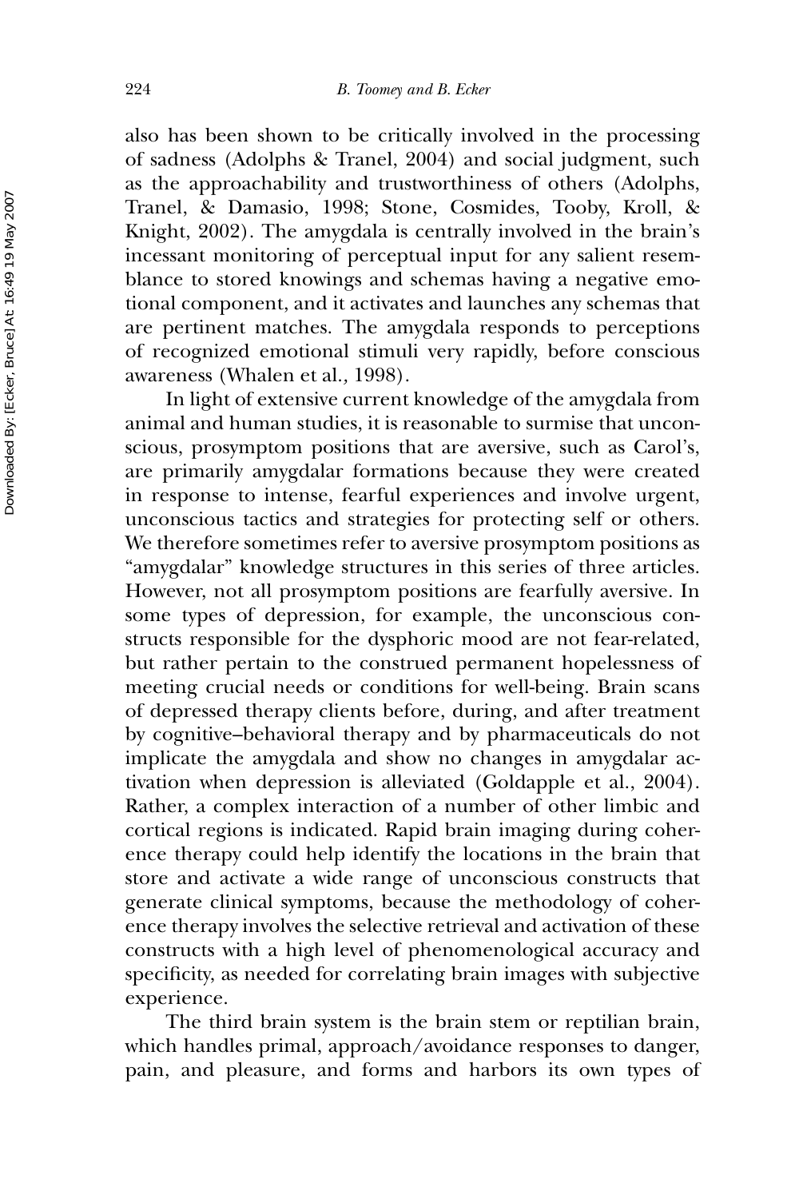also has been shown to be critically involved in the processing of sadness (Adolphs & Tranel, 2004) and social judgment, such as the approachability and trustworthiness of others (Adolphs, Tranel, & Damasio, 1998; Stone, Cosmides, Tooby, Kroll, & Knight, 2002). The amygdala is centrally involved in the brain's incessant monitoring of perceptual input for any salient resemblance to stored knowings and schemas having a negative emotional component, and it activates and launches any schemas that are pertinent matches. The amygdala responds to perceptions of recognized emotional stimuli very rapidly, before conscious awareness (Whalen et al.*,* 1998).

In light of extensive current knowledge of the amygdala from animal and human studies, it is reasonable to surmise that unconscious, prosymptom positions that are aversive, such as Carol's, are primarily amygdalar formations because they were created in response to intense, fearful experiences and involve urgent, unconscious tactics and strategies for protecting self or others. We therefore sometimes refer to aversive prosymptom positions as "amygdalar" knowledge structures in this series of three articles. However, not all prosymptom positions are fearfully aversive. In some types of depression, for example, the unconscious constructs responsible for the dysphoric mood are not fear-related, but rather pertain to the construed permanent hopelessness of meeting crucial needs or conditions for well-being. Brain scans of depressed therapy clients before, during, and after treatment by cognitive–behavioral therapy and by pharmaceuticals do not implicate the amygdala and show no changes in amygdalar activation when depression is alleviated (Goldapple et al., 2004). Rather, a complex interaction of a number of other limbic and cortical regions is indicated. Rapid brain imaging during coherence therapy could help identify the locations in the brain that store and activate a wide range of unconscious constructs that generate clinical symptoms, because the methodology of coherence therapy involves the selective retrieval and activation of these constructs with a high level of phenomenological accuracy and specificity, as needed for correlating brain images with subjective experience.

The third brain system is the brain stem or reptilian brain, which handles primal, approach/avoidance responses to danger, pain, and pleasure, and forms and harbors its own types of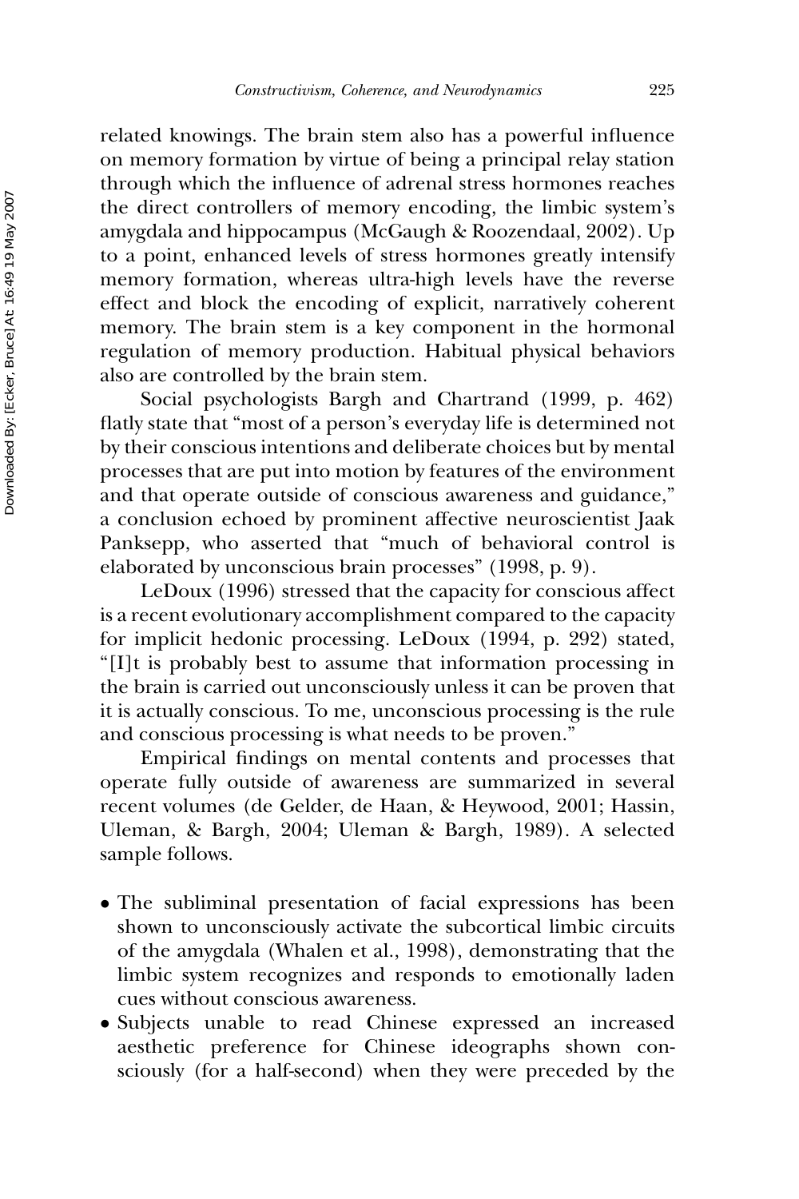related knowings. The brain stem also has a powerful influence on memory formation by virtue of being a principal relay station through which the influence of adrenal stress hormones reaches the direct controllers of memory encoding, the limbic system's amygdala and hippocampus (McGaugh & Roozendaal, 2002). Up to a point, enhanced levels of stress hormones greatly intensify memory formation, whereas ultra-high levels have the reverse effect and block the encoding of explicit, narratively coherent memory. The brain stem is a key component in the hormonal regulation of memory production. Habitual physical behaviors also are controlled by the brain stem.

Social psychologists Bargh and Chartrand (1999, p. 462) flatly state that "most of a person's everyday life is determined not by their conscious intentions and deliberate choices but by mental processes that are put into motion by features of the environment and that operate outside of conscious awareness and guidance," a conclusion echoed by prominent affective neuroscientist Jaak Panksepp, who asserted that "much of behavioral control is elaborated by unconscious brain processes" (1998, p. 9).

LeDoux (1996) stressed that the capacity for conscious affect is a recent evolutionary accomplishment compared to the capacity for implicit hedonic processing. LeDoux (1994, p. 292) stated, "[I]t is probably best to assume that information processing in the brain is carried out unconsciously unless it can be proven that it is actually conscious. To me, unconscious processing is the rule and conscious processing is what needs to be proven."

Empirical findings on mental contents and processes that operate fully outside of awareness are summarized in several recent volumes (de Gelder, de Haan, & Heywood, 2001; Hassin, Uleman, & Bargh, 2004; Uleman & Bargh, 1989). A selected sample follows.

- The subliminal presentation of facial expressions has been shown to unconsciously activate the subcortical limbic circuits of the amygdala (Whalen et al., 1998), demonstrating that the limbic system recognizes and responds to emotionally laden cues without conscious awareness.
- Subjects unable to read Chinese expressed an increased aesthetic preference for Chinese ideographs shown consciously (for a half-second) when they were preceded by the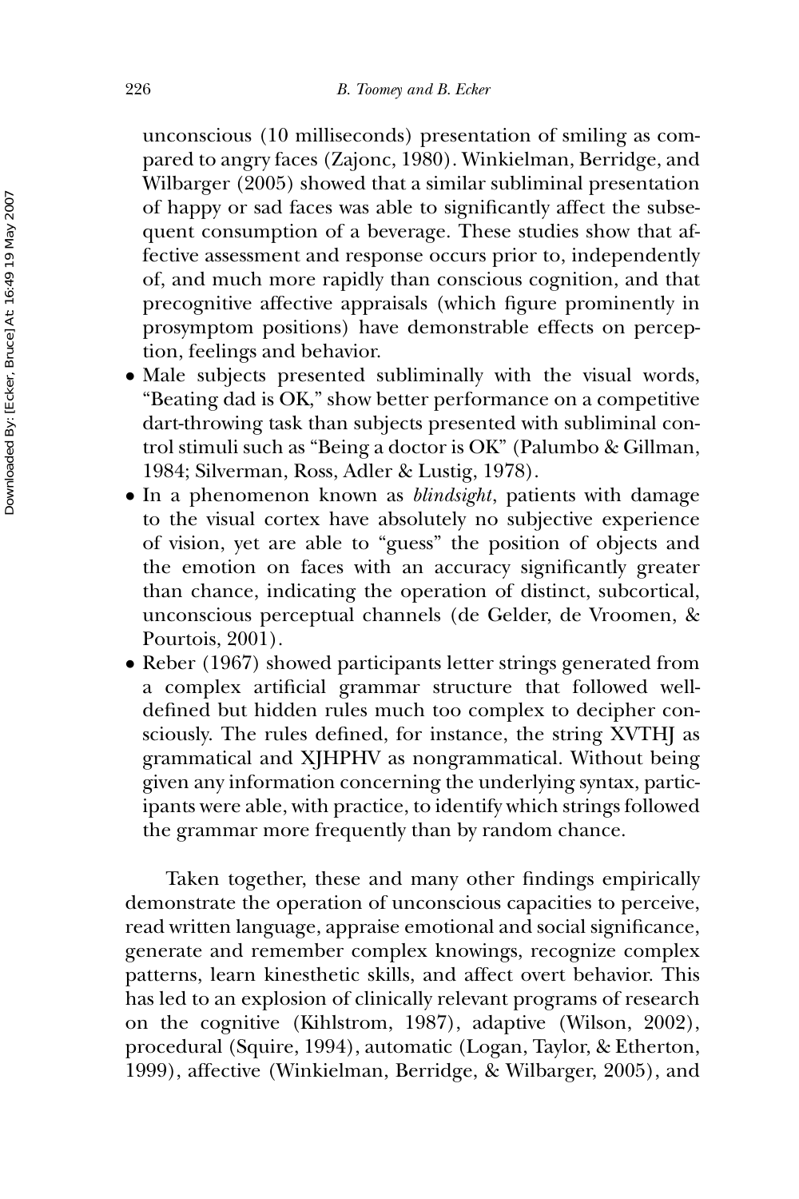unconscious (10 milliseconds) presentation of smiling as compared to angry faces (Zajonc, 1980). Winkielman, Berridge, and Wilbarger (2005) showed that a similar subliminal presentation of happy or sad faces was able to significantly affect the subsequent consumption of a beverage. These studies show that affective assessment and response occurs prior to, independently of, and much more rapidly than conscious cognition, and that precognitive affective appraisals (which figure prominently in prosymptom positions) have demonstrable effects on perception, feelings and behavior.

- Male subjects presented subliminally with the visual words, "Beating dad is OK," show better performance on a competitive dart-throwing task than subjects presented with subliminal control stimuli such as "Being a doctor is OK" (Palumbo & Gillman, 1984; Silverman, Ross, Adler & Lustig, 1978).
- In a phenomenon known as *blindsight*, patients with damage to the visual cortex have absolutely no subjective experience of vision, yet are able to "guess" the position of objects and the emotion on faces with an accuracy significantly greater than chance, indicating the operation of distinct, subcortical, unconscious perceptual channels (de Gelder, de Vroomen, & Pourtois, 2001).
- Reber (1967) showed participants letter strings generated from a complex artificial grammar structure that followed welldefined but hidden rules much too complex to decipher consciously. The rules defined, for instance, the string XVTHJ as grammatical and XJHPHV as nongrammatical. Without being given any information concerning the underlying syntax, participants were able, with practice, to identify which strings followed the grammar more frequently than by random chance.

Taken together, these and many other findings empirically demonstrate the operation of unconscious capacities to perceive, read written language, appraise emotional and social significance, generate and remember complex knowings, recognize complex patterns, learn kinesthetic skills, and affect overt behavior. This has led to an explosion of clinically relevant programs of research on the cognitive (Kihlstrom, 1987), adaptive (Wilson, 2002), procedural (Squire, 1994), automatic (Logan, Taylor, & Etherton, 1999), affective (Winkielman, Berridge, & Wilbarger, 2005), and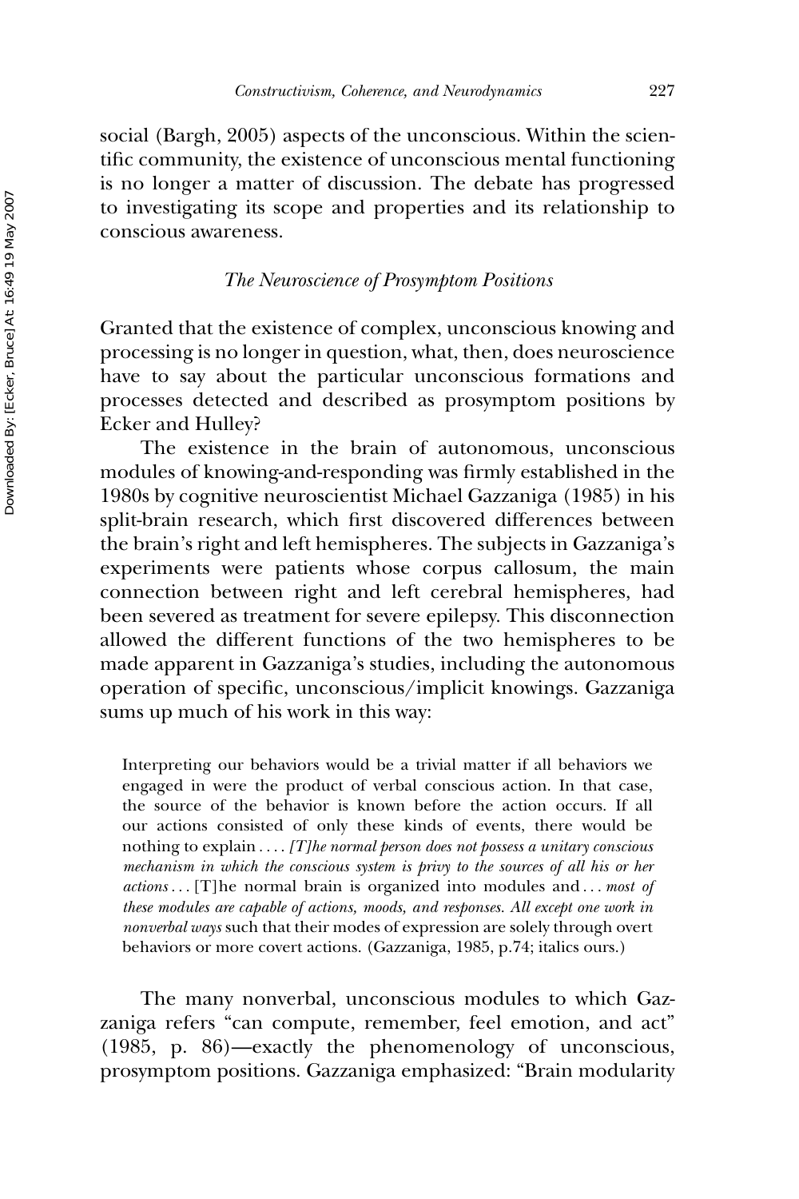social (Bargh, 2005) aspects of the unconscious. Within the scientific community, the existence of unconscious mental functioning is no longer a matter of discussion. The debate has progressed to investigating its scope and properties and its relationship to conscious awareness.

## *The Neuroscience of Prosymptom Positions*

Granted that the existence of complex, unconscious knowing and processing is no longer in question, what, then, does neuroscience have to say about the particular unconscious formations and processes detected and described as prosymptom positions by Ecker and Hulley?

The existence in the brain of autonomous, unconscious modules of knowing-and-responding was firmly established in the 1980s by cognitive neuroscientist Michael Gazzaniga (1985) in his split-brain research, which first discovered differences between the brain's right and left hemispheres. The subjects in Gazzaniga's experiments were patients whose corpus callosum, the main connection between right and left cerebral hemispheres, had been severed as treatment for severe epilepsy. This disconnection allowed the different functions of the two hemispheres to be made apparent in Gazzaniga's studies, including the autonomous operation of specific, unconscious/implicit knowings. Gazzaniga sums up much of his work in this way:

Interpreting our behaviors would be a trivial matter if all behaviors we engaged in were the product of verbal conscious action. In that case, the source of the behavior is known before the action occurs. If all our actions consisted of only these kinds of events, there would be nothing to explain ... .*[T]he normal person does not possess a unitary conscious mechanism in which the conscious system is privy to the sources of all his or her actions* ... [T]he normal brain is organized into modules and ... *most of these modules are capable of actions, moods, and responses. All except one work in nonverbal ways* such that their modes of expression are solely through overt behaviors or more covert actions. (Gazzaniga, 1985, p.74; italics ours.)

The many nonverbal, unconscious modules to which Gazzaniga refers "can compute, remember, feel emotion, and act" (1985, p. 86)—exactly the phenomenology of unconscious, prosymptom positions. Gazzaniga emphasized: "Brain modularity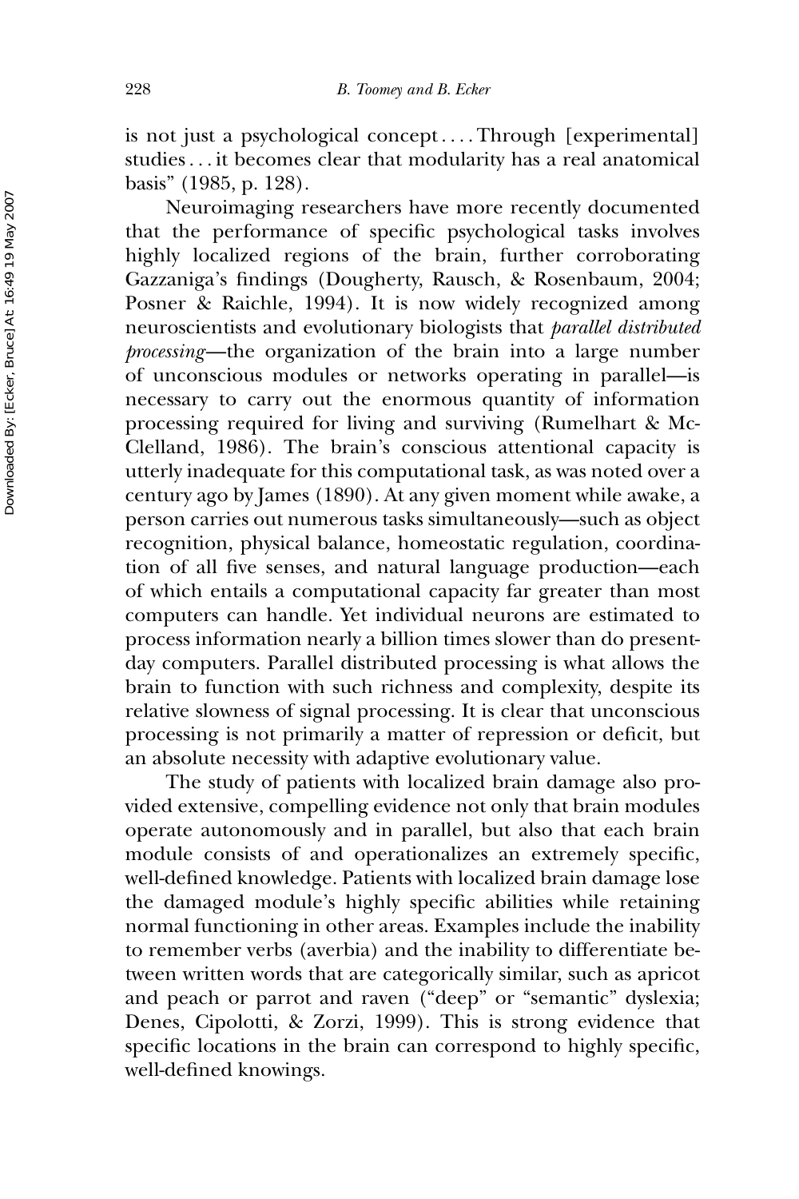is not just a psychological concept ... . Through [experimental] studies... it becomes clear that modularity has a real anatomical basis" (1985, p. 128).

Neuroimaging researchers have more recently documented that the performance of specific psychological tasks involves highly localized regions of the brain, further corroborating Gazzaniga's findings (Dougherty, Rausch, & Rosenbaum, 2004; Posner & Raichle, 1994). It is now widely recognized among neuroscientists and evolutionary biologists that *parallel distributed processing*—the organization of the brain into a large number of unconscious modules or networks operating in parallel—is necessary to carry out the enormous quantity of information processing required for living and surviving (Rumelhart & Mc-Clelland, 1986). The brain's conscious attentional capacity is utterly inadequate for this computational task, as was noted over a century ago by James (1890). At any given moment while awake, a person carries out numerous tasks simultaneously—such as object recognition, physical balance, homeostatic regulation, coordination of all five senses, and natural language production—each of which entails a computational capacity far greater than most computers can handle. Yet individual neurons are estimated to process information nearly a billion times slower than do presentday computers. Parallel distributed processing is what allows the brain to function with such richness and complexity, despite its relative slowness of signal processing. It is clear that unconscious processing is not primarily a matter of repression or deficit, but an absolute necessity with adaptive evolutionary value.

The study of patients with localized brain damage also provided extensive, compelling evidence not only that brain modules operate autonomously and in parallel, but also that each brain module consists of and operationalizes an extremely specific, well-defined knowledge. Patients with localized brain damage lose the damaged module's highly specific abilities while retaining normal functioning in other areas. Examples include the inability to remember verbs (averbia) and the inability to differentiate between written words that are categorically similar, such as apricot and peach or parrot and raven ("deep" or "semantic" dyslexia; Denes, Cipolotti, & Zorzi, 1999). This is strong evidence that specific locations in the brain can correspond to highly specific, well-defined knowings.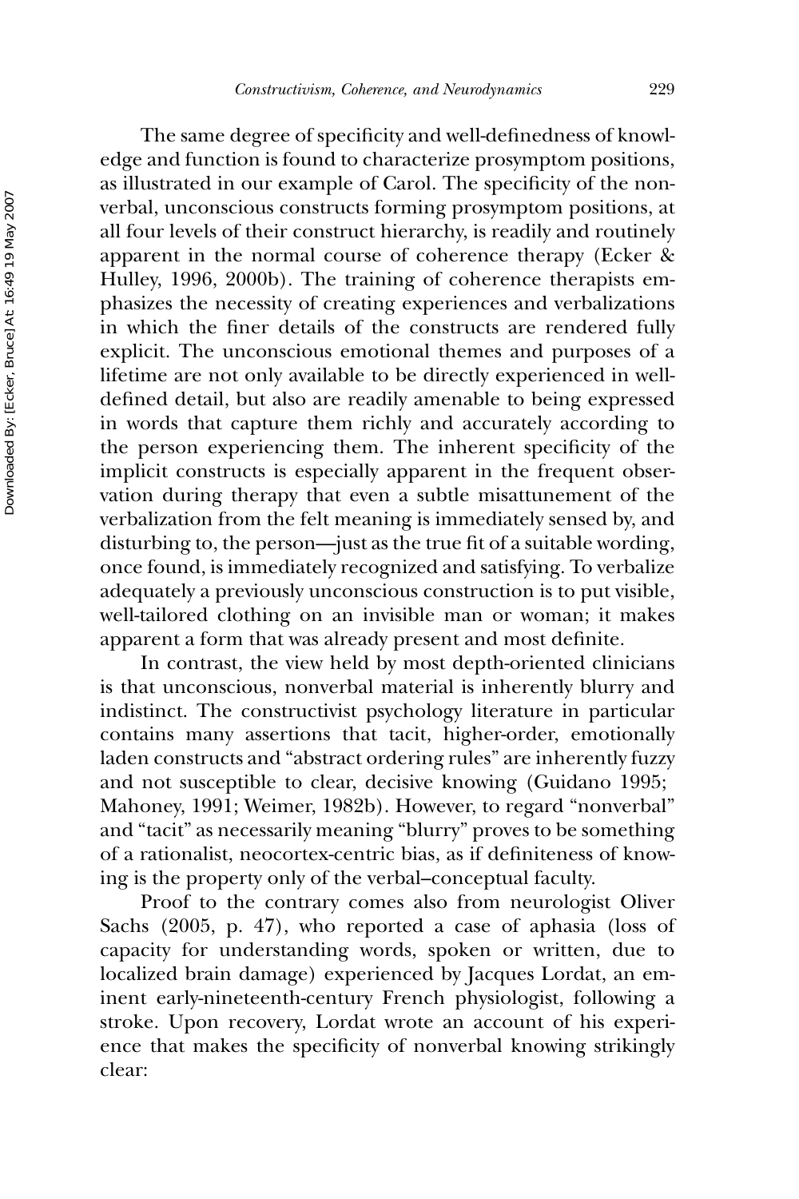The same degree of specificity and well-definedness of knowledge and function is found to characterize prosymptom positions, as illustrated in our example of Carol. The specificity of the nonverbal, unconscious constructs forming prosymptom positions, at all four levels of their construct hierarchy, is readily and routinely apparent in the normal course of coherence therapy (Ecker & Hulley, 1996, 2000b). The training of coherence therapists emphasizes the necessity of creating experiences and verbalizations in which the finer details of the constructs are rendered fully explicit. The unconscious emotional themes and purposes of a lifetime are not only available to be directly experienced in welldefined detail, but also are readily amenable to being expressed in words that capture them richly and accurately according to the person experiencing them. The inherent specificity of the implicit constructs is especially apparent in the frequent observation during therapy that even a subtle misattunement of the verbalization from the felt meaning is immediately sensed by, and disturbing to, the person—just as the true fit of a suitable wording, once found, is immediately recognized and satisfying. To verbalize adequately a previously unconscious construction is to put visible, well-tailored clothing on an invisible man or woman; it makes apparent a form that was already present and most definite.

In contrast, the view held by most depth-oriented clinicians is that unconscious, nonverbal material is inherently blurry and indistinct. The constructivist psychology literature in particular contains many assertions that tacit, higher-order, emotionally laden constructs and "abstract ordering rules" are inherently fuzzy and not susceptible to clear, decisive knowing (Guidano 1995; Mahoney, 1991; Weimer, 1982b). However, to regard "nonverbal" and "tacit" as necessarily meaning "blurry" proves to be something of a rationalist, neocortex-centric bias, as if definiteness of knowing is the property only of the verbal–conceptual faculty.

Proof to the contrary comes also from neurologist Oliver Sachs (2005, p. 47), who reported a case of aphasia (loss of capacity for understanding words, spoken or written, due to localized brain damage) experienced by Jacques Lordat, an eminent early-nineteenth-century French physiologist, following a stroke. Upon recovery, Lordat wrote an account of his experience that makes the specificity of nonverbal knowing strikingly clear: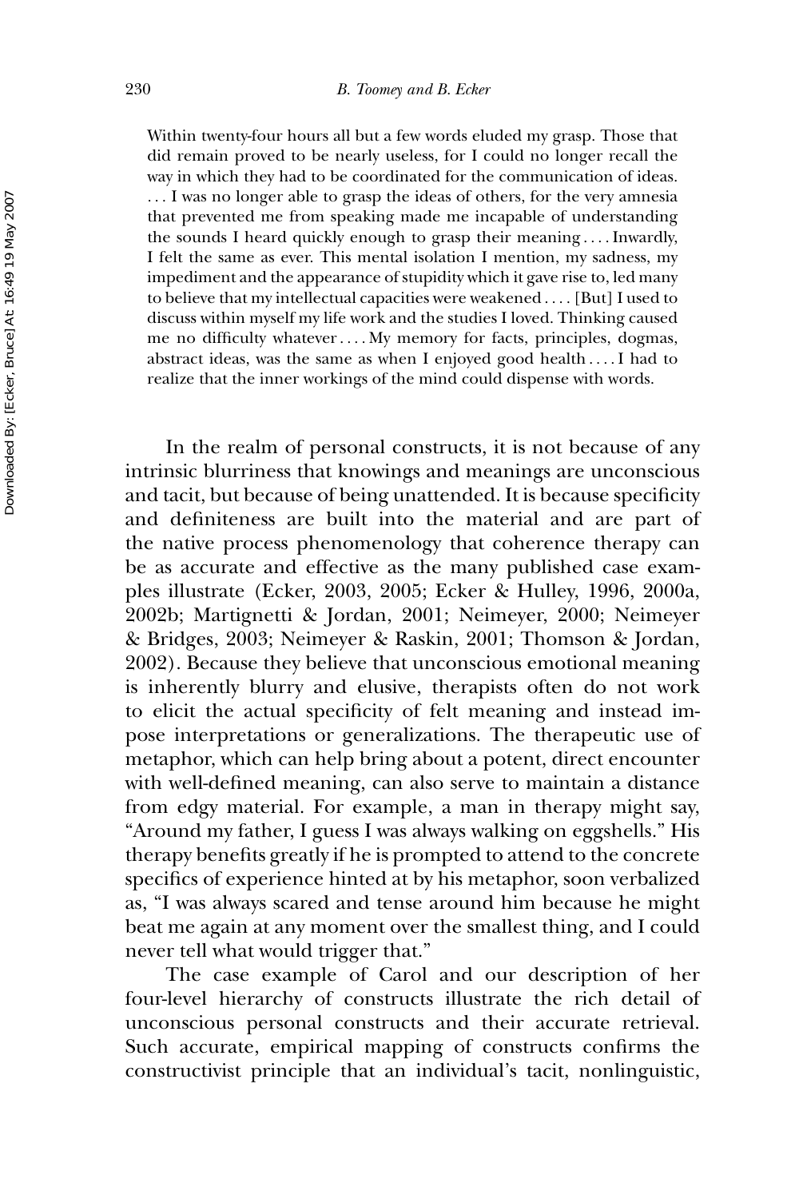Within twenty-four hours all but a few words eluded my grasp. Those that did remain proved to be nearly useless, for I could no longer recall the way in which they had to be coordinated for the communication of ideas. ... I was no longer able to grasp the ideas of others, for the very amnesia that prevented me from speaking made me incapable of understanding the sounds I heard quickly enough to grasp their meaning . ...Inwardly, I felt the same as ever. This mental isolation I mention, my sadness, my impediment and the appearance of stupidity which it gave rise to, led many to believe that my intellectual capacities were weakened . ... [But] I used to discuss within myself my life work and the studies I loved. Thinking caused me no difficulty whatever . ... My memory for facts, principles, dogmas, abstract ideas, was the same as when I enjoyed good health . ...I had to realize that the inner workings of the mind could dispense with words.

In the realm of personal constructs, it is not because of any intrinsic blurriness that knowings and meanings are unconscious and tacit, but because of being unattended. It is because specificity and definiteness are built into the material and are part of the native process phenomenology that coherence therapy can be as accurate and effective as the many published case examples illustrate (Ecker, 2003, 2005; Ecker & Hulley, 1996, 2000a, 2002b; Martignetti & Jordan, 2001; Neimeyer, 2000; Neimeyer & Bridges, 2003; Neimeyer & Raskin, 2001; Thomson & Jordan, 2002). Because they believe that unconscious emotional meaning is inherently blurry and elusive, therapists often do not work to elicit the actual specificity of felt meaning and instead impose interpretations or generalizations. The therapeutic use of metaphor, which can help bring about a potent, direct encounter with well-defined meaning, can also serve to maintain a distance from edgy material. For example, a man in therapy might say, "Around my father, I guess I was always walking on eggshells." His therapy benefits greatly if he is prompted to attend to the concrete specifics of experience hinted at by his metaphor, soon verbalized as, "I was always scared and tense around him because he might beat me again at any moment over the smallest thing, and I could never tell what would trigger that."

The case example of Carol and our description of her four-level hierarchy of constructs illustrate the rich detail of unconscious personal constructs and their accurate retrieval. Such accurate, empirical mapping of constructs confirms the constructivist principle that an individual's tacit, nonlinguistic,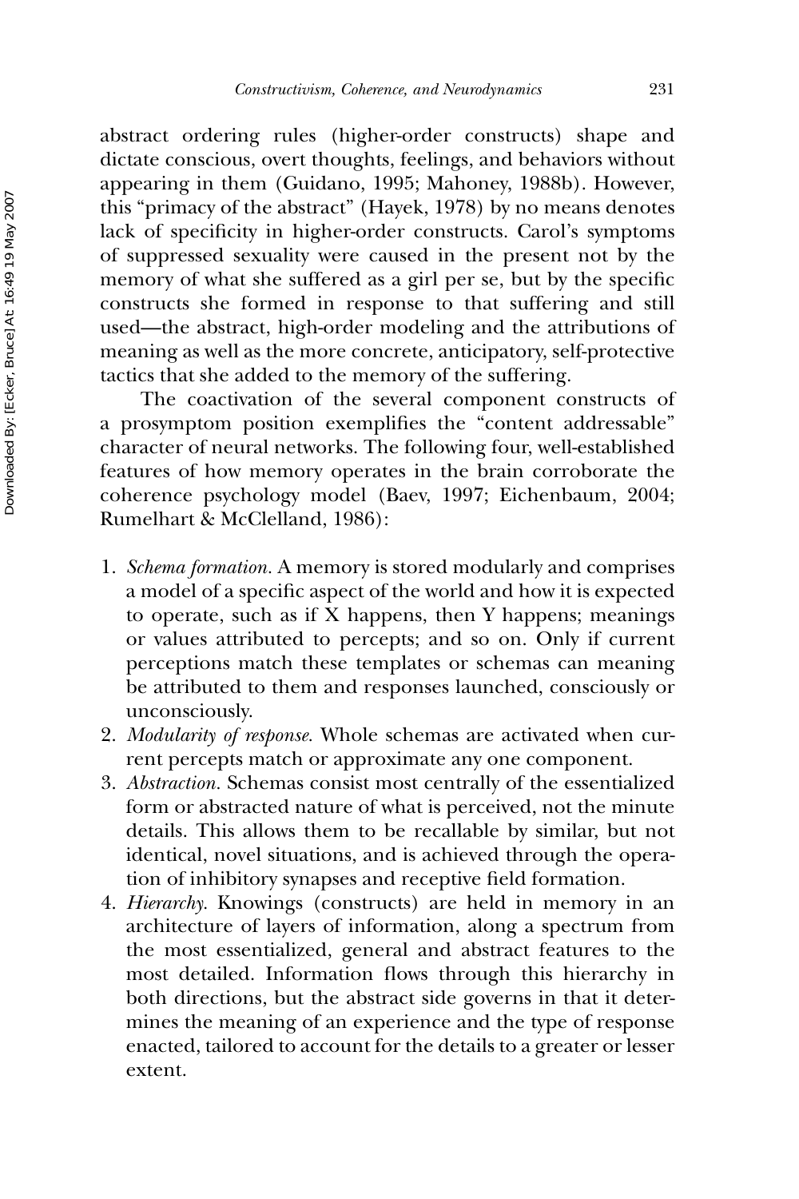abstract ordering rules (higher-order constructs) shape and dictate conscious, overt thoughts, feelings, and behaviors without appearing in them (Guidano, 1995; Mahoney, 1988b). However, this "primacy of the abstract" (Hayek, 1978) by no means denotes lack of specificity in higher-order constructs. Carol's symptoms of suppressed sexuality were caused in the present not by the memory of what she suffered as a girl per se, but by the specific constructs she formed in response to that suffering and still used—the abstract, high-order modeling and the attributions of meaning as well as the more concrete, anticipatory, self-protective tactics that she added to the memory of the suffering.

The coactivation of the several component constructs of a prosymptom position exemplifies the "content addressable" character of neural networks. The following four, well-established features of how memory operates in the brain corroborate the coherence psychology model (Baev, 1997; Eichenbaum, 2004; Rumelhart & McClelland, 1986):

- 1. *Schema formation.* A memory is stored modularly and comprises a model of a specific aspect of the world and how it is expected to operate, such as if X happens, then Y happens; meanings or values attributed to percepts; and so on. Only if current perceptions match these templates or schemas can meaning be attributed to them and responses launched, consciously or unconsciously.
- 2. *Modularity of response.* Whole schemas are activated when current percepts match or approximate any one component.
- 3. *Abstraction.* Schemas consist most centrally of the essentialized form or abstracted nature of what is perceived, not the minute details. This allows them to be recallable by similar, but not identical, novel situations, and is achieved through the operation of inhibitory synapses and receptive field formation.
- 4. *Hierarchy.* Knowings (constructs) are held in memory in an architecture of layers of information, along a spectrum from the most essentialized, general and abstract features to the most detailed. Information flows through this hierarchy in both directions, but the abstract side governs in that it determines the meaning of an experience and the type of response enacted, tailored to account for the details to a greater or lesser extent.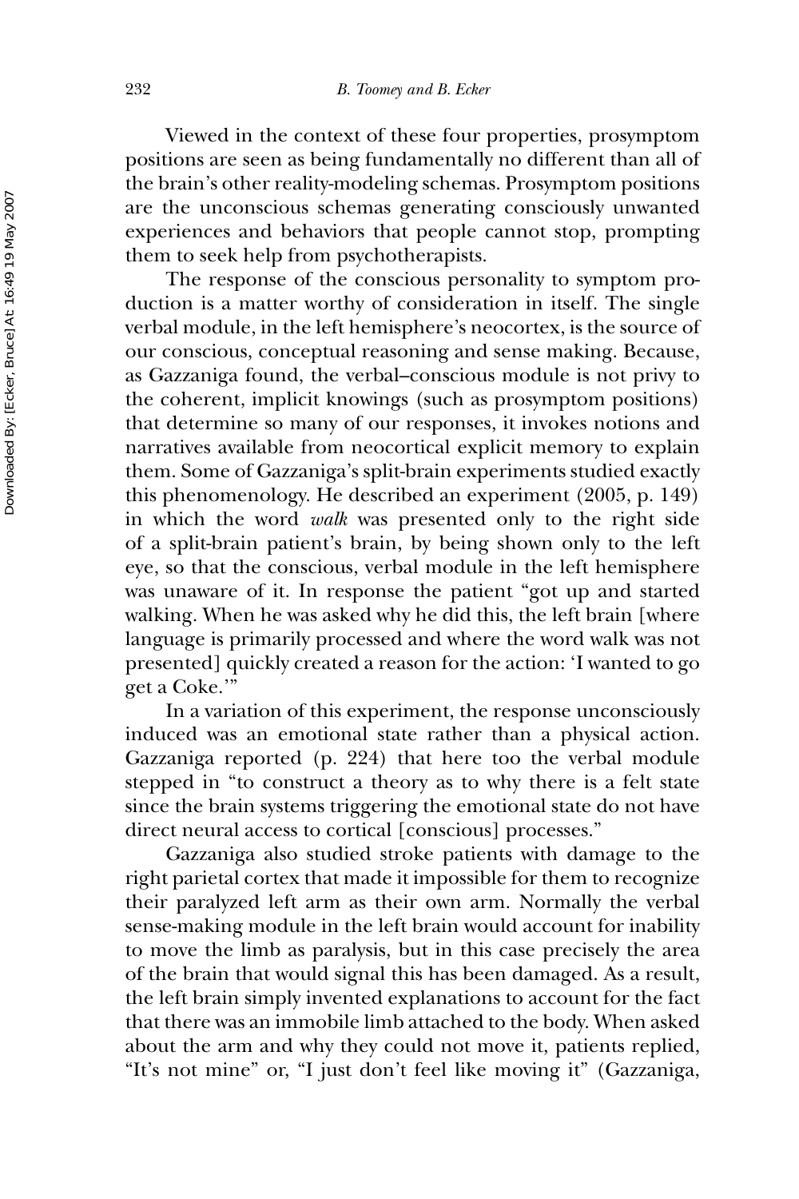Viewed in the context of these four properties, prosymptom positions are seen as being fundamentally no different than all of the brain's other reality-modeling schemas. Prosymptom positions are the unconscious schemas generating consciously unwanted experiences and behaviors that people cannot stop, prompting them to seek help from psychotherapists.

The response of the conscious personality to symptom production is a matter worthy of consideration in itself. The single verbal module, in the left hemisphere's neocortex, is the source of our conscious, conceptual reasoning and sense making. Because, as Gazzaniga found, the verbal–conscious module is not privy to the coherent, implicit knowings (such as prosymptom positions) that determine so many of our responses, it invokes notions and narratives available from neocortical explicit memory to explain them. Some of Gazzaniga's split-brain experiments studied exactly this phenomenology. He described an experiment (2005, p. 149) in which the word *walk* was presented only to the right side of a split-brain patient's brain, by being shown only to the left eye, so that the conscious, verbal module in the left hemisphere was unaware of it. In response the patient "got up and started walking. When he was asked why he did this, the left brain [where language is primarily processed and where the word walk was not presented] quickly created a reason for the action: 'I wanted to go get a Coke.'"

In a variation of this experiment, the response unconsciously induced was an emotional state rather than a physical action. Gazzaniga reported (p. 224) that here too the verbal module stepped in "to construct a theory as to why there is a felt state since the brain systems triggering the emotional state do not have direct neural access to cortical [conscious] processes."

Gazzaniga also studied stroke patients with damage to the right parietal cortex that made it impossible for them to recognize their paralyzed left arm as their own arm. Normally the verbal sense-making module in the left brain would account for inability to move the limb as paralysis, but in this case precisely the area of the brain that would signal this has been damaged. As a result, the left brain simply invented explanations to account for the fact that there was an immobile limb attached to the body. When asked about the arm and why they could not move it, patients replied, "It's not mine" or, "I just don't feel like moving it" (Gazzaniga,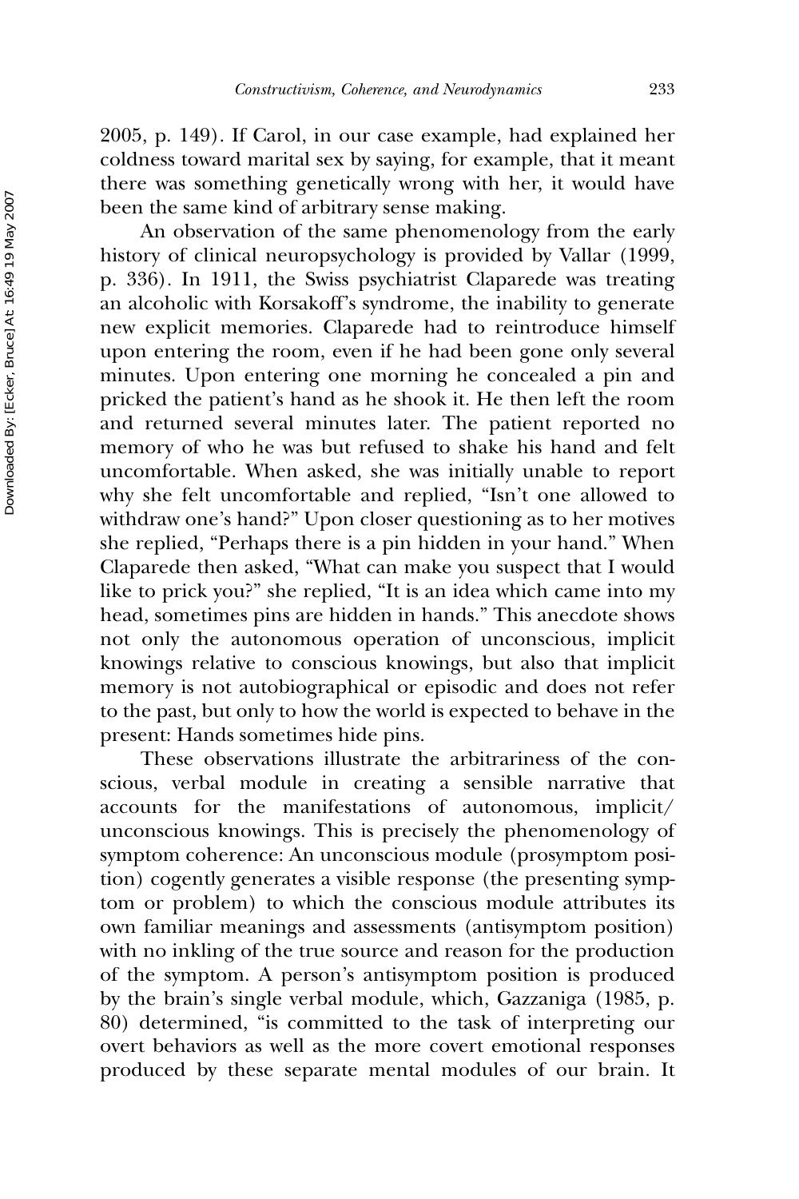2005, p. 149). If Carol, in our case example, had explained her coldness toward marital sex by saying, for example, that it meant there was something genetically wrong with her, it would have been the same kind of arbitrary sense making.

An observation of the same phenomenology from the early history of clinical neuropsychology is provided by Vallar (1999, p. 336). In 1911, the Swiss psychiatrist Claparede was treating an alcoholic with Korsakoff's syndrome, the inability to generate new explicit memories. Claparede had to reintroduce himself upon entering the room, even if he had been gone only several minutes. Upon entering one morning he concealed a pin and pricked the patient's hand as he shook it. He then left the room and returned several minutes later. The patient reported no memory of who he was but refused to shake his hand and felt uncomfortable. When asked, she was initially unable to report why she felt uncomfortable and replied, "Isn't one allowed to withdraw one's hand?" Upon closer questioning as to her motives she replied, "Perhaps there is a pin hidden in your hand." When Claparede then asked, "What can make you suspect that I would like to prick you?" she replied, "It is an idea which came into my head, sometimes pins are hidden in hands." This anecdote shows not only the autonomous operation of unconscious, implicit knowings relative to conscious knowings, but also that implicit memory is not autobiographical or episodic and does not refer to the past, but only to how the world is expected to behave in the present: Hands sometimes hide pins.

These observations illustrate the arbitrariness of the conscious, verbal module in creating a sensible narrative that accounts for the manifestations of autonomous, implicit/ unconscious knowings. This is precisely the phenomenology of symptom coherence: An unconscious module (prosymptom position) cogently generates a visible response (the presenting symptom or problem) to which the conscious module attributes its own familiar meanings and assessments (antisymptom position) with no inkling of the true source and reason for the production of the symptom. A person's antisymptom position is produced by the brain's single verbal module, which, Gazzaniga (1985, p. 80) determined, "is committed to the task of interpreting our overt behaviors as well as the more covert emotional responses produced by these separate mental modules of our brain. It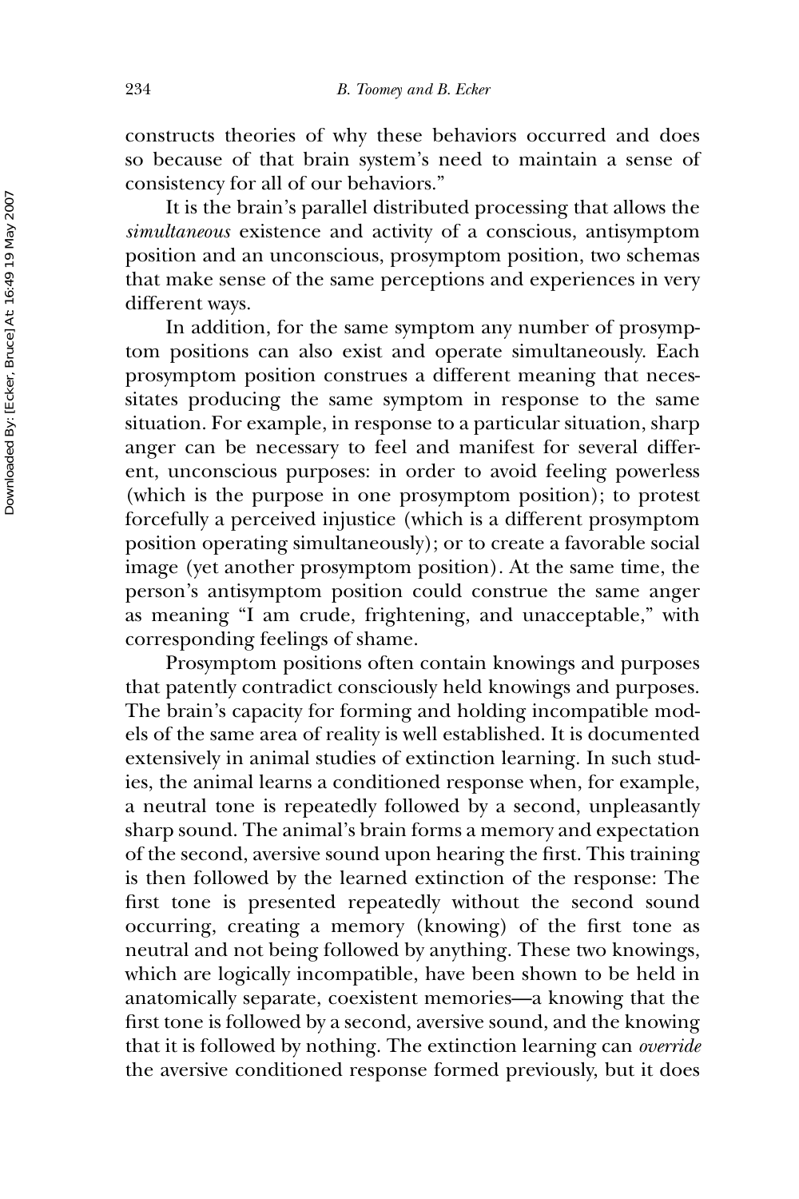constructs theories of why these behaviors occurred and does so because of that brain system's need to maintain a sense of consistency for all of our behaviors."

It is the brain's parallel distributed processing that allows the *simultaneous* existence and activity of a conscious, antisymptom position and an unconscious, prosymptom position, two schemas that make sense of the same perceptions and experiences in very different ways.

In addition, for the same symptom any number of prosymptom positions can also exist and operate simultaneously. Each prosymptom position construes a different meaning that necessitates producing the same symptom in response to the same situation. For example, in response to a particular situation, sharp anger can be necessary to feel and manifest for several different, unconscious purposes: in order to avoid feeling powerless (which is the purpose in one prosymptom position); to protest forcefully a perceived injustice (which is a different prosymptom position operating simultaneously); or to create a favorable social image (yet another prosymptom position). At the same time, the person's antisymptom position could construe the same anger as meaning "I am crude, frightening, and unacceptable," with corresponding feelings of shame.

Prosymptom positions often contain knowings and purposes that patently contradict consciously held knowings and purposes. The brain's capacity for forming and holding incompatible models of the same area of reality is well established. It is documented extensively in animal studies of extinction learning. In such studies, the animal learns a conditioned response when, for example, a neutral tone is repeatedly followed by a second, unpleasantly sharp sound. The animal's brain forms a memory and expectation of the second, aversive sound upon hearing the first. This training is then followed by the learned extinction of the response: The first tone is presented repeatedly without the second sound occurring, creating a memory (knowing) of the first tone as neutral and not being followed by anything. These two knowings, which are logically incompatible, have been shown to be held in anatomically separate, coexistent memories—a knowing that the first tone is followed by a second, aversive sound, and the knowing that it is followed by nothing. The extinction learning can *override* the aversive conditioned response formed previously, but it does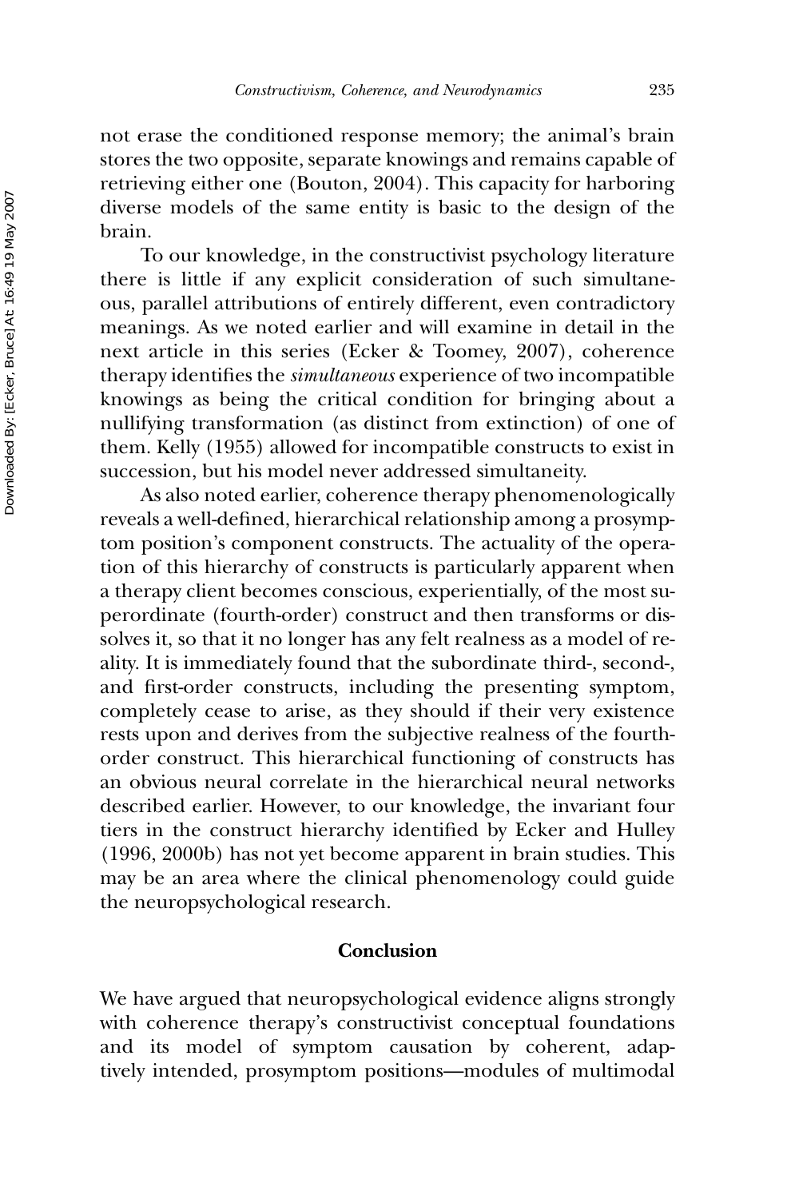not erase the conditioned response memory; the animal's brain stores the two opposite, separate knowings and remains capable of retrieving either one (Bouton, 2004). This capacity for harboring diverse models of the same entity is basic to the design of the brain.

To our knowledge, in the constructivist psychology literature there is little if any explicit consideration of such simultaneous, parallel attributions of entirely different, even contradictory meanings. As we noted earlier and will examine in detail in the next article in this series (Ecker & Toomey, 2007), coherence therapy identifies the *simultaneous* experience of two incompatible knowings as being the critical condition for bringing about a nullifying transformation (as distinct from extinction) of one of them. Kelly (1955) allowed for incompatible constructs to exist in succession, but his model never addressed simultaneity.

As also noted earlier, coherence therapy phenomenologically reveals a well-defined, hierarchical relationship among a prosymptom position's component constructs. The actuality of the operation of this hierarchy of constructs is particularly apparent when a therapy client becomes conscious, experientially, of the most superordinate (fourth-order) construct and then transforms or dissolves it, so that it no longer has any felt realness as a model of reality. It is immediately found that the subordinate third-, second-, and first-order constructs, including the presenting symptom, completely cease to arise, as they should if their very existence rests upon and derives from the subjective realness of the fourthorder construct. This hierarchical functioning of constructs has an obvious neural correlate in the hierarchical neural networks described earlier. However, to our knowledge, the invariant four tiers in the construct hierarchy identified by Ecker and Hulley (1996, 2000b) has not yet become apparent in brain studies. This may be an area where the clinical phenomenology could guide the neuropsychological research.

#### **Conclusion**

We have argued that neuropsychological evidence aligns strongly with coherence therapy's constructivist conceptual foundations and its model of symptom causation by coherent, adaptively intended, prosymptom positions—modules of multimodal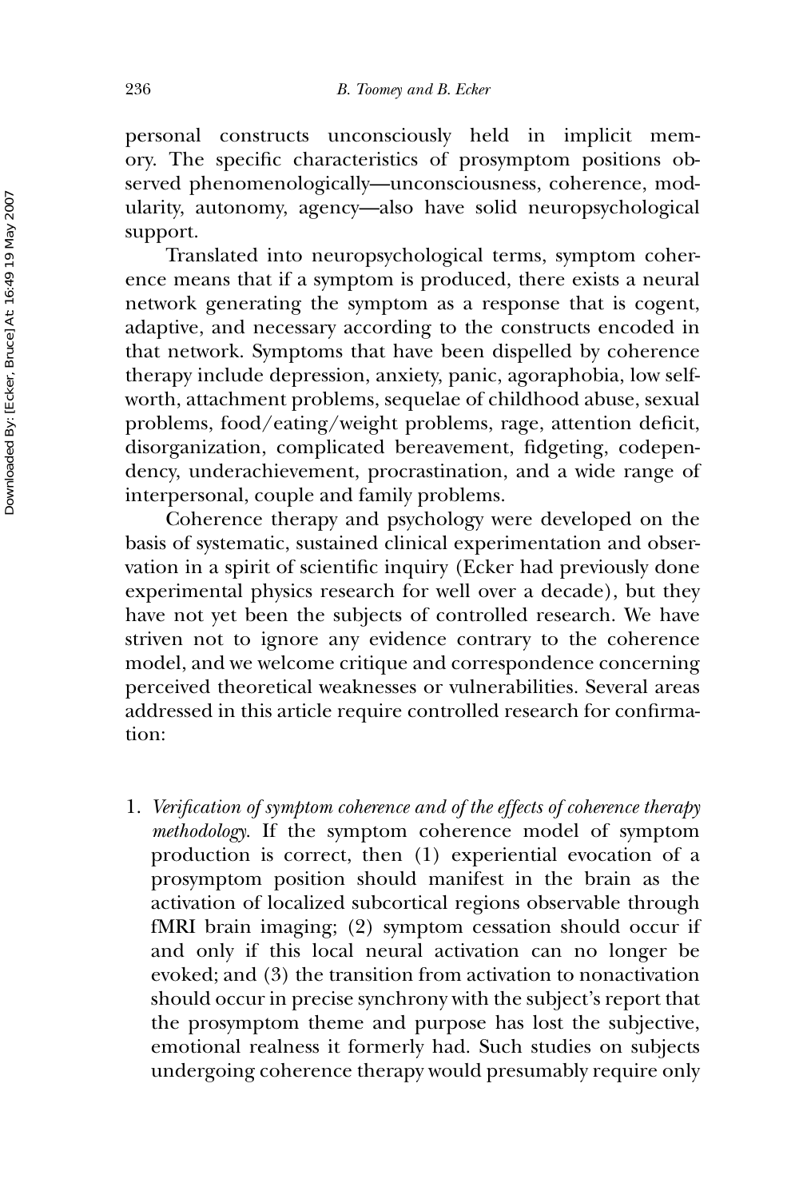personal constructs unconsciously held in implicit memory. The specific characteristics of prosymptom positions observed phenomenologically—unconsciousness, coherence, modularity, autonomy, agency—also have solid neuropsychological support.

Translated into neuropsychological terms, symptom coherence means that if a symptom is produced, there exists a neural network generating the symptom as a response that is cogent, adaptive, and necessary according to the constructs encoded in that network. Symptoms that have been dispelled by coherence therapy include depression, anxiety, panic, agoraphobia, low selfworth, attachment problems, sequelae of childhood abuse, sexual problems, food/eating/weight problems, rage, attention deficit, disorganization, complicated bereavement, fidgeting, codependency, underachievement, procrastination, and a wide range of interpersonal, couple and family problems.

Coherence therapy and psychology were developed on the basis of systematic, sustained clinical experimentation and observation in a spirit of scientific inquiry (Ecker had previously done experimental physics research for well over a decade), but they have not yet been the subjects of controlled research. We have striven not to ignore any evidence contrary to the coherence model, and we welcome critique and correspondence concerning perceived theoretical weaknesses or vulnerabilities. Several areas addressed in this article require controlled research for confirmation:

1. *Verification of symptom coherence and of the effects of coherence therapy methodology.* If the symptom coherence model of symptom production is correct, then (1) experiential evocation of a prosymptom position should manifest in the brain as the activation of localized subcortical regions observable through fMRI brain imaging; (2) symptom cessation should occur if and only if this local neural activation can no longer be evoked; and (3) the transition from activation to nonactivation should occur in precise synchrony with the subject's report that the prosymptom theme and purpose has lost the subjective, emotional realness it formerly had. Such studies on subjects undergoing coherence therapy would presumably require only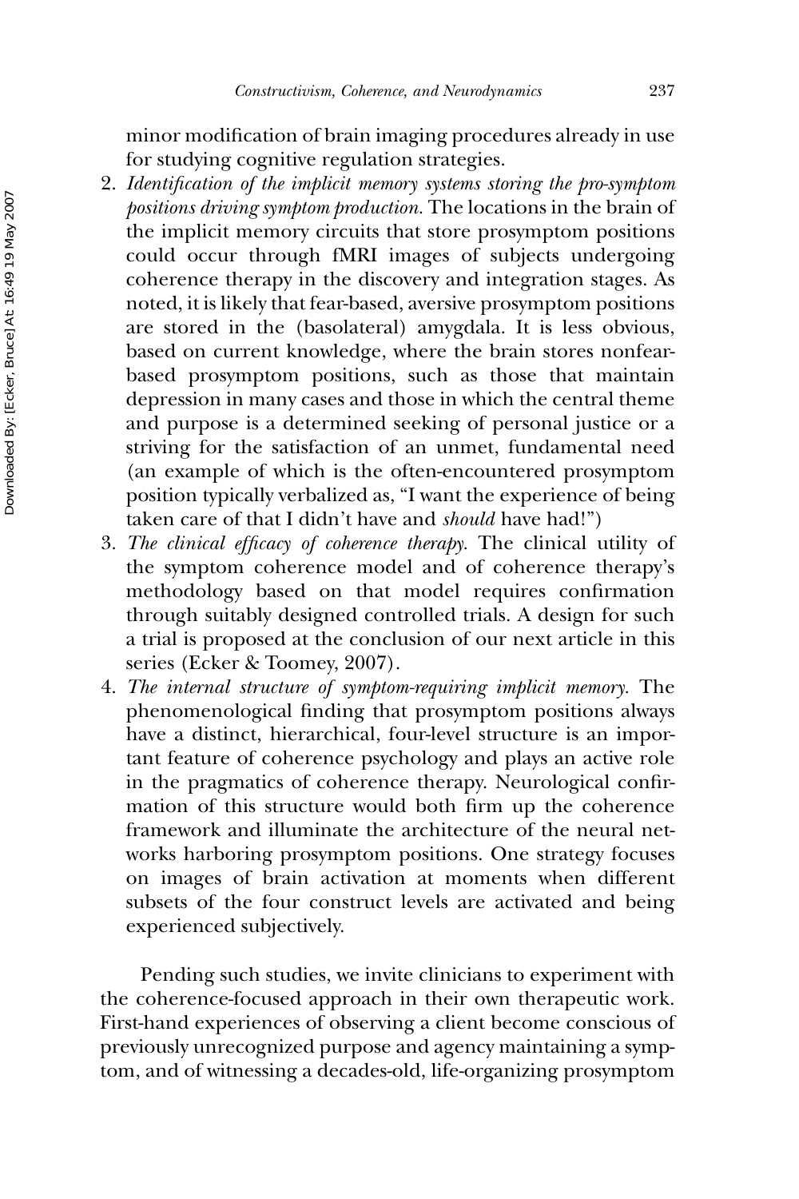minor modification of brain imaging procedures already in use for studying cognitive regulation strategies.

- 2. *Identification of the implicit memory systems storing the pro-symptom positions driving symptom production.* The locations in the brain of the implicit memory circuits that store prosymptom positions could occur through fMRI images of subjects undergoing coherence therapy in the discovery and integration stages. As noted, it is likely that fear-based, aversive prosymptom positions are stored in the (basolateral) amygdala. It is less obvious, based on current knowledge, where the brain stores nonfearbased prosymptom positions, such as those that maintain depression in many cases and those in which the central theme and purpose is a determined seeking of personal justice or a striving for the satisfaction of an unmet, fundamental need (an example of which is the often-encountered prosymptom position typically verbalized as, "I want the experience of being taken care of that I didn't have and *should* have had!")
- 3. *The clinical efficacy of coherence therapy.* The clinical utility of the symptom coherence model and of coherence therapy's methodology based on that model requires confirmation through suitably designed controlled trials. A design for such a trial is proposed at the conclusion of our next article in this series (Ecker & Toomey, 2007).
- 4. *The internal structure of symptom-requiring implicit memory.* The phenomenological finding that prosymptom positions always have a distinct, hierarchical, four-level structure is an important feature of coherence psychology and plays an active role in the pragmatics of coherence therapy. Neurological confirmation of this structure would both firm up the coherence framework and illuminate the architecture of the neural networks harboring prosymptom positions. One strategy focuses on images of brain activation at moments when different subsets of the four construct levels are activated and being experienced subjectively.

Pending such studies, we invite clinicians to experiment with the coherence-focused approach in their own therapeutic work. First-hand experiences of observing a client become conscious of previously unrecognized purpose and agency maintaining a symptom, and of witnessing a decades-old, life-organizing prosymptom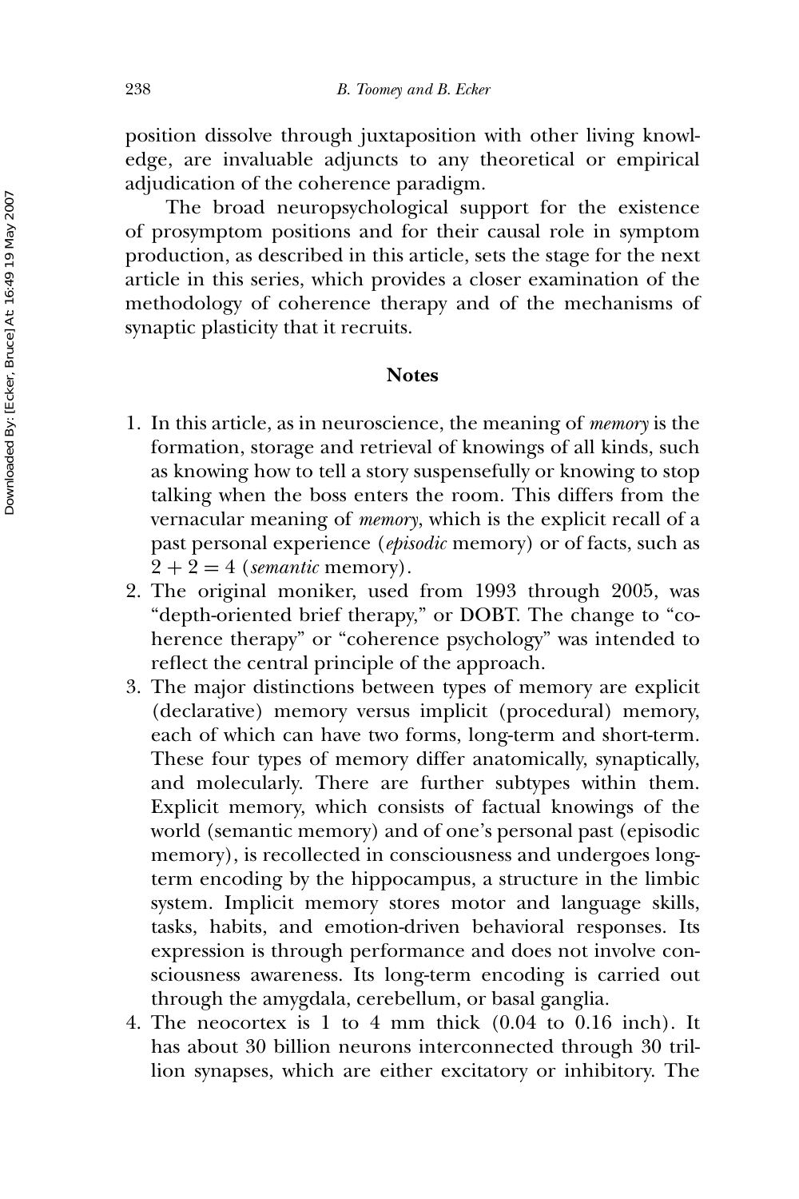position dissolve through juxtaposition with other living knowledge, are invaluable adjuncts to any theoretical or empirical adjudication of the coherence paradigm.

The broad neuropsychological support for the existence of prosymptom positions and for their causal role in symptom production, as described in this article, sets the stage for the next article in this series, which provides a closer examination of the methodology of coherence therapy and of the mechanisms of synaptic plasticity that it recruits.

## **Notes**

- 1. In this article, as in neuroscience, the meaning of *memory* is the formation, storage and retrieval of knowings of all kinds, such as knowing how to tell a story suspensefully or knowing to stop talking when the boss enters the room. This differs from the vernacular meaning of *memory*, which is the explicit recall of a past personal experience (*episodic* memory) or of facts, such as  $2 + 2 = 4$  (*semantic* memory).
- 2. The original moniker, used from 1993 through 2005, was "depth-oriented brief therapy," or DOBT. The change to "coherence therapy" or "coherence psychology" was intended to reflect the central principle of the approach.
- 3. The major distinctions between types of memory are explicit (declarative) memory versus implicit (procedural) memory, each of which can have two forms, long-term and short-term. These four types of memory differ anatomically, synaptically, and molecularly. There are further subtypes within them. Explicit memory, which consists of factual knowings of the world (semantic memory) and of one's personal past (episodic memory), is recollected in consciousness and undergoes longterm encoding by the hippocampus, a structure in the limbic system. Implicit memory stores motor and language skills, tasks, habits, and emotion-driven behavioral responses. Its expression is through performance and does not involve consciousness awareness. Its long-term encoding is carried out through the amygdala, cerebellum, or basal ganglia.
- 4. The neocortex is 1 to 4 mm thick (0.04 to 0.16 inch). It has about 30 billion neurons interconnected through 30 trillion synapses, which are either excitatory or inhibitory. The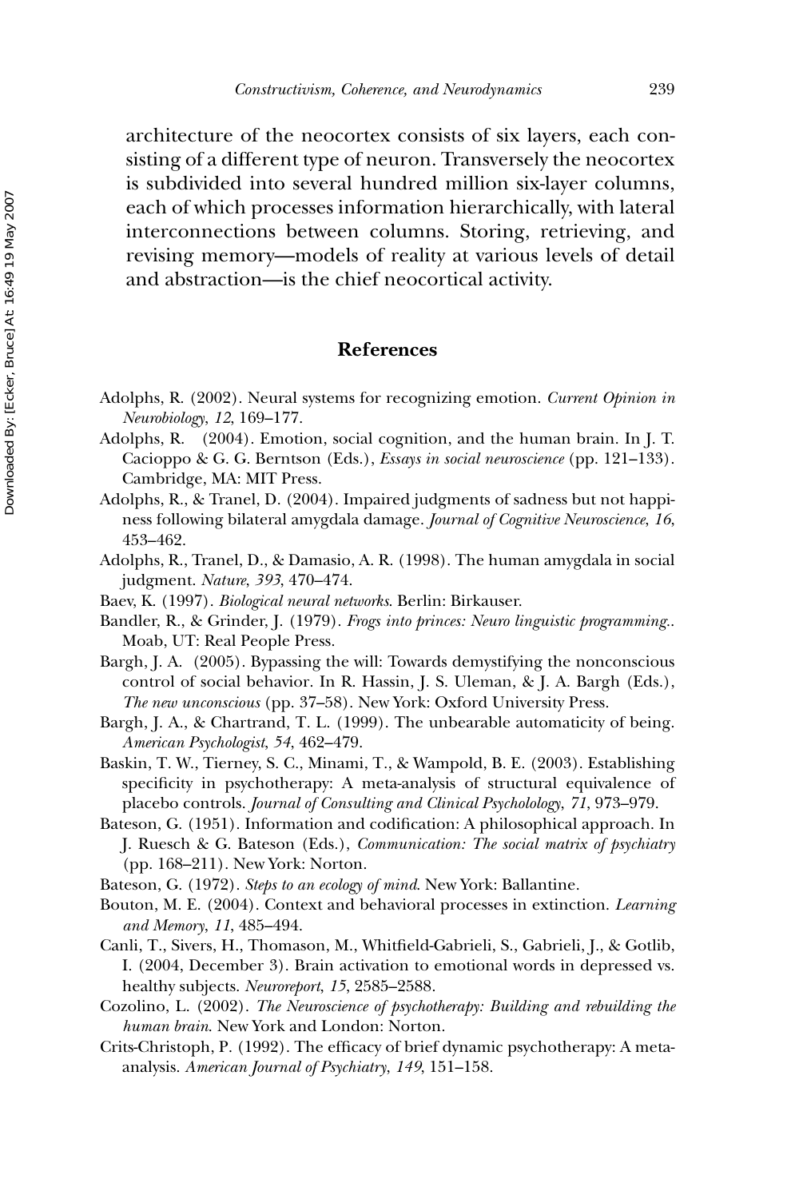architecture of the neocortex consists of six layers, each consisting of a different type of neuron. Transversely the neocortex is subdivided into several hundred million six-layer columns, each of which processes information hierarchically, with lateral interconnections between columns. Storing, retrieving, and revising memory—models of reality at various levels of detail and abstraction—is the chief neocortical activity.

#### **References**

- Adolphs, R. (2002). Neural systems for recognizing emotion. *Current Opinion in Neurobiology*, *12*, 169–177.
- Adolphs, R. (2004). Emotion, social cognition, and the human brain. In J. T. Cacioppo & G. G. Berntson (Eds.), *Essays in social neuroscience* (pp. 121–133). Cambridge, MA: MIT Press.
- Adolphs, R., & Tranel, D. (2004). Impaired judgments of sadness but not happiness following bilateral amygdala damage. *Journal of Cognitive Neuroscience*, *16*, 453–462.
- Adolphs, R., Tranel, D., & Damasio, A. R. (1998). The human amygdala in social judgment. *Nature*, *393*, 470–474.
- Baev, K. (1997). *Biological neural networks*. Berlin: Birkauser.
- Bandler, R., & Grinder, J. (1979). *Frogs into princes: Neuro linguistic programming.*. Moab, UT: Real People Press.
- Bargh, J. A. (2005). Bypassing the will: Towards demystifying the nonconscious control of social behavior. In R. Hassin, J. S. Uleman, & J. A. Bargh (Eds.), *The new unconscious* (pp. 37–58). New York: Oxford University Press.
- Bargh, J. A., & Chartrand, T. L. (1999). The unbearable automaticity of being. *American Psychologist*, *54*, 462–479.
- Baskin, T. W., Tierney, S. C., Minami, T., & Wampold, B. E. (2003). Establishing specificity in psychotherapy: A meta-analysis of structural equivalence of placebo controls. *Journal of Consulting and Clinical Psycholology*, *71*, 973–979.
- Bateson, G. (1951). Information and codification: A philosophical approach. In J. Ruesch & G. Bateson (Eds.), *Communication: The social matrix of psychiatry* (pp. 168–211). New York: Norton.

Bateson, G. (1972). *Steps to an ecology of mind*. New York: Ballantine.

- Bouton, M. E. (2004). Context and behavioral processes in extinction. *Learning and Memory*, *11*, 485–494.
- Canli, T., Sivers, H., Thomason, M., Whitfield-Gabrieli, S., Gabrieli, J., & Gotlib, I. (2004, December 3). Brain activation to emotional words in depressed vs. healthy subjects. *Neuroreport*, *15*, 2585–2588.
- Cozolino, L. (2002). *The Neuroscience of psychotherapy: Building and rebuilding the human brain*. New York and London: Norton.
- Crits-Christoph, P. (1992). The efficacy of brief dynamic psychotherapy: A metaanalysis. *American Journal of Psychiatry*, *149*, 151–158.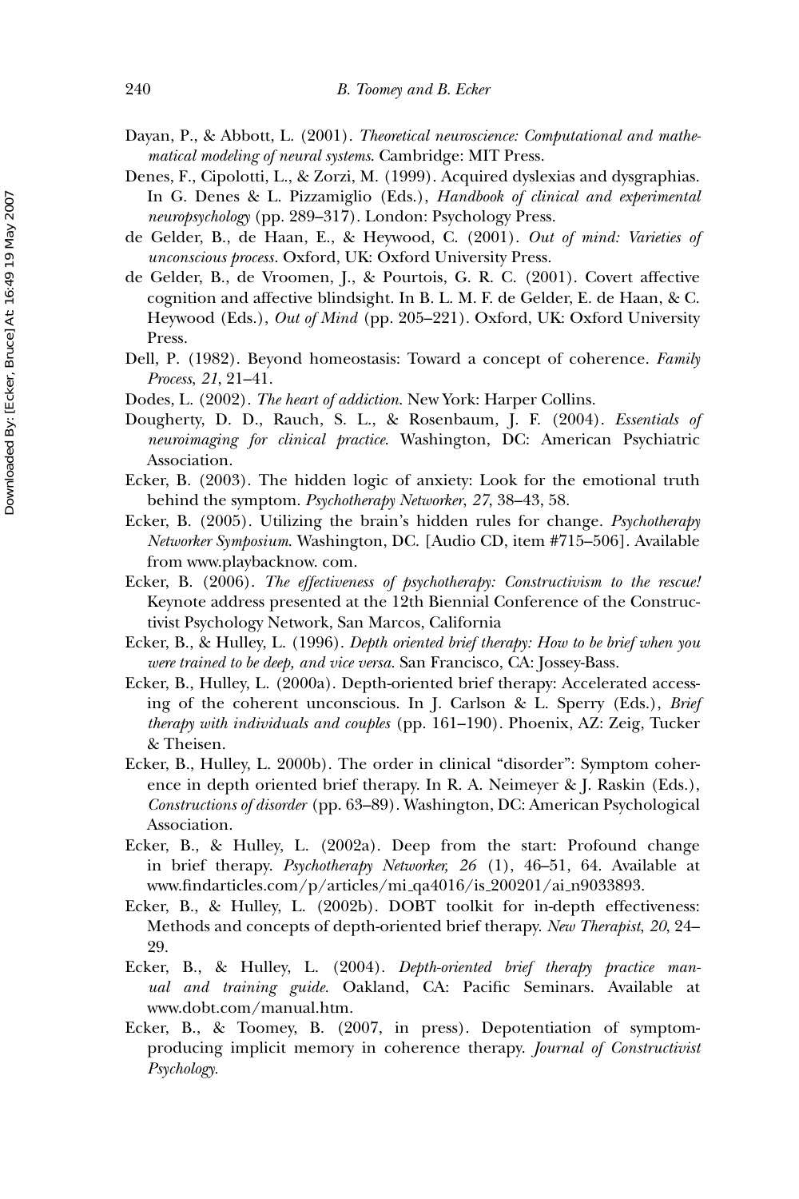- Dayan, P., & Abbott, L. (2001). *Theoretical neuroscience: Computational and mathematical modeling of neural systems*. Cambridge: MIT Press.
- Denes, F., Cipolotti, L., & Zorzi, M. (1999). Acquired dyslexias and dysgraphias. In G. Denes & L. Pizzamiglio (Eds.), *Handbook of clinical and experimental neuropsychology* (pp. 289–317). London: Psychology Press.
- de Gelder, B., de Haan, E., & Heywood, C. (2001). *Out of mind: Varieties of unconscious process*. Oxford, UK: Oxford University Press.
- de Gelder, B., de Vroomen, J., & Pourtois, G. R. C. (2001). Covert affective cognition and affective blindsight. In B. L. M. F. de Gelder, E. de Haan, & C. Heywood (Eds.), *Out of Mind* (pp. 205–221). Oxford, UK: Oxford University Press.
- Dell, P. (1982). Beyond homeostasis: Toward a concept of coherence. *Family Process*, *21*, 21–41.
- Dodes, L. (2002). *The heart of addiction*. New York: Harper Collins.
- Dougherty, D. D., Rauch, S. L., & Rosenbaum, J. F. (2004). *Essentials of neuroimaging for clinical practice*. Washington, DC: American Psychiatric Association.
- Ecker, B. (2003). The hidden logic of anxiety: Look for the emotional truth behind the symptom. *Psychotherapy Networker*, *27*, 38–43, 58.
- Ecker, B. (2005). Utilizing the brain's hidden rules for change. *Psychotherapy Networker Symposium*. Washington, DC. [Audio CD, item #715–506]. Available from www.playbacknow. com.
- Ecker, B. (2006). *The effectiveness of psychotherapy: Constructivism to the rescue!* Keynote address presented at the 12th Biennial Conference of the Constructivist Psychology Network, San Marcos, California
- Ecker, B., & Hulley, L. (1996). *Depth oriented brief therapy: How to be brief when you were trained to be deep, and vice versa.* San Francisco, CA: Jossey-Bass.
- Ecker, B., Hulley, L. (2000a). Depth-oriented brief therapy: Accelerated accessing of the coherent unconscious. In J. Carlson & L. Sperry (Eds.), *Brief therapy with individuals and couples* (pp. 161–190). Phoenix, AZ: Zeig, Tucker & Theisen.
- Ecker, B., Hulley, L. 2000b). The order in clinical "disorder": Symptom coherence in depth oriented brief therapy. In R. A. Neimeyer & J. Raskin (Eds.), *Constructions of disorder* (pp. 63–89). Washington, DC: American Psychological Association.
- Ecker, B., & Hulley, L. (2002a). Deep from the start: Profound change in brief therapy. *Psychotherapy Networker, 26* (1), 46–51, 64. Available at www.findarticles.com/p/articles/mi qa4016/is 200201/ai n9033893.
- Ecker, B., & Hulley, L. (2002b). DOBT toolkit for in-depth effectiveness: Methods and concepts of depth-oriented brief therapy. *New Therapist*, *20*, 24– 29.
- Ecker, B., & Hulley, L. (2004). *Depth-oriented brief therapy practice manual and training guide.* Oakland, CA: Pacific Seminars. Available at www.dobt.com/manual.htm.
- Ecker, B., & Toomey, B. (2007, in press). Depotentiation of symptomproducing implicit memory in coherence therapy. *Journal of Constructivist Psychology.*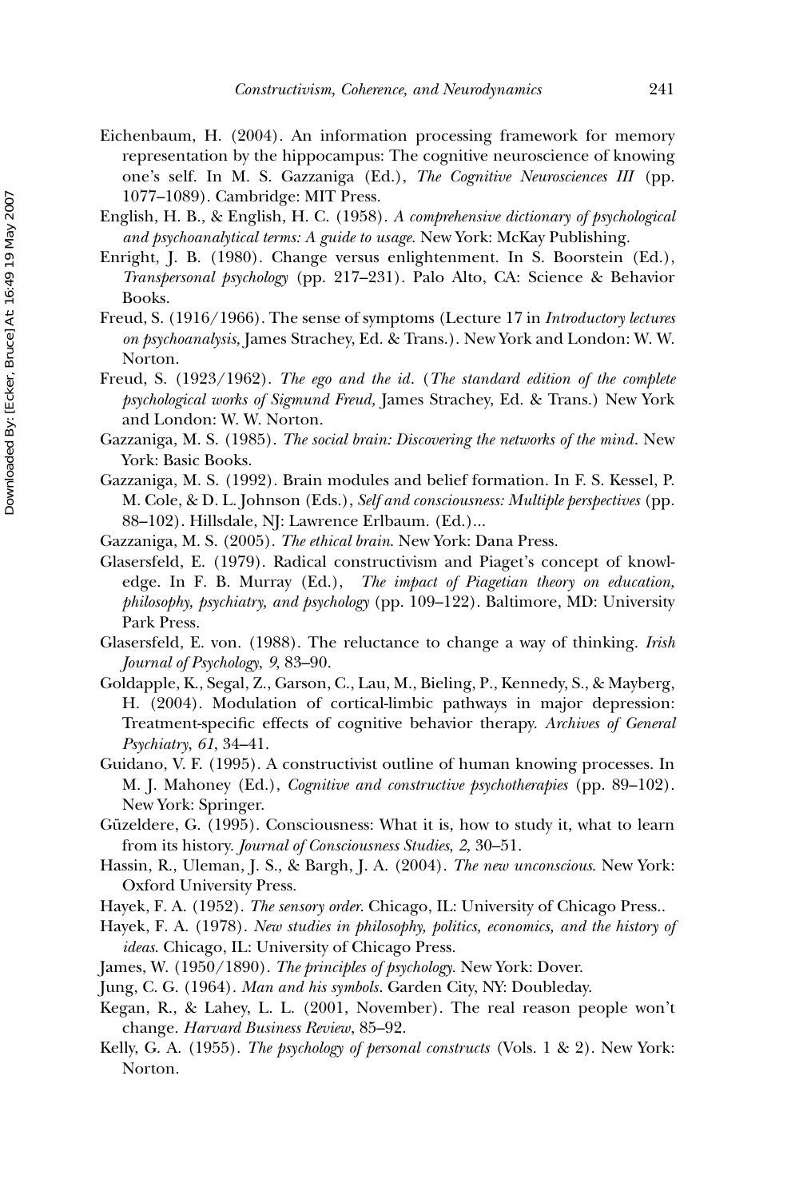- Eichenbaum, H. (2004). An information processing framework for memory representation by the hippocampus: The cognitive neuroscience of knowing one's self. In M. S. Gazzaniga (Ed.), *The Cognitive Neurosciences III* (pp. 1077–1089). Cambridge: MIT Press.
- English, H. B., & English, H. C. (1958). *A comprehensive dictionary of psychological and psychoanalytical terms: A guide to usage.* New York: McKay Publishing.
- Enright, J. B. (1980). Change versus enlightenment. In S. Boorstein (Ed.), *Transpersonal psychology* (pp. 217–231). Palo Alto, CA: Science & Behavior Books.
- Freud, S. (1916/1966). The sense of symptoms (Lecture 17 in *Introductory lectures on psychoanalysis,* James Strachey, Ed. & Trans.). New York and London: W. W. Norton.
- Freud, S. (1923/1962). *The ego and the id*. (*The standard edition of the complete psychological works of Sigmund Freud,* James Strachey, Ed. & Trans.) New York and London: W. W. Norton.
- Gazzaniga, M. S. (1985). *The social brain: Discovering the networks of the mind*. New York: Basic Books.
- Gazzaniga, M. S. (1992). Brain modules and belief formation. In F. S. Kessel, P. M. Cole, & D. L. Johnson (Eds.), *Self and consciousness: Multiple perspectives* (pp. 88–102). Hillsdale, NJ: Lawrence Erlbaum. (Ed.)...
- Gazzaniga, M. S. (2005). *The ethical brain*. New York: Dana Press.
- Glasersfeld, E. (1979). Radical constructivism and Piaget's concept of knowledge. In F. B. Murray (Ed.), *The impact of Piagetian theory on education, philosophy, psychiatry, and psychology* (pp. 109–122). Baltimore, MD: University Park Press.
- Glasersfeld, E. von. (1988). The reluctance to change a way of thinking. *Irish Journal of Psychology*, *9*, 83–90.
- Goldapple, K., Segal, Z., Garson, C., Lau, M., Bieling, P., Kennedy, S., & Mayberg, H. (2004). Modulation of cortical-limbic pathways in major depression: Treatment-specific effects of cognitive behavior therapy. *Archives of General Psychiatry*, *61*, 34–41.
- Guidano, V. F. (1995). A constructivist outline of human knowing processes. In M. J. Mahoney (Ed.), *Cognitive and constructive psychotherapies* (pp. 89–102). New York: Springer.
- Güzeldere, G. (1995). Consciousness: What it is, how to study it, what to learn from its history. *Journal of Consciousness Studies*, *2*, 30–51.
- Hassin, R., Uleman, J. S., & Bargh, J. A. (2004). *The new unconscious*. New York: Oxford University Press.
- Hayek, F. A. (1952). *The sensory order*. Chicago, IL: University of Chicago Press..
- Hayek, F. A. (1978). *New studies in philosophy, politics, economics, and the history of ideas*. Chicago, IL: University of Chicago Press.
- James, W. (1950/1890). *The principles of psychology.* New York: Dover.
- Jung, C. G. (1964). *Man and his symbols*. Garden City, NY: Doubleday.
- Kegan, R., & Lahey, L. L. (2001, November). The real reason people won't change. *Harvard Business Review*, 85–92.
- Kelly, G. A. (1955). *The psychology of personal constructs* (Vols. 1 & 2). New York: Norton.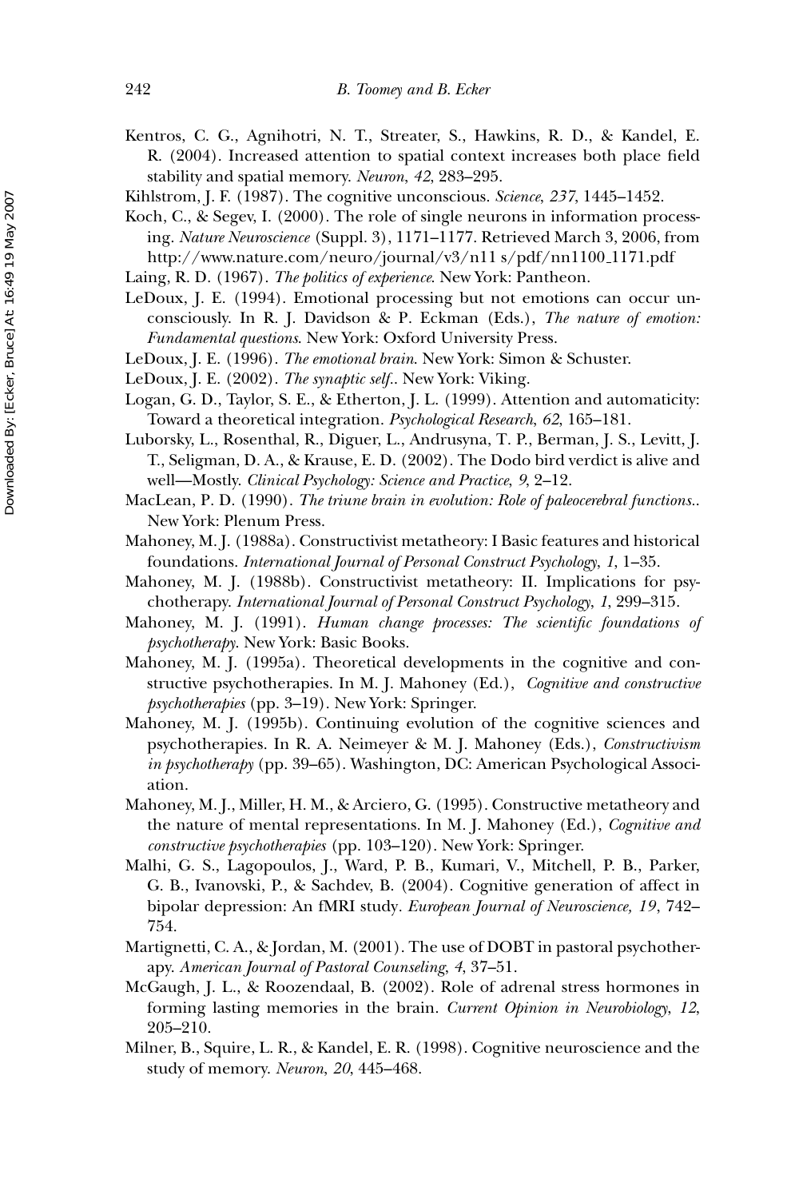- Kentros, C. G., Agnihotri, N. T., Streater, S., Hawkins, R. D., & Kandel, E. R. (2004). Increased attention to spatial context increases both place field stability and spatial memory. *Neuron*, *42*, 283–295.
- Kihlstrom, J. F. (1987). The cognitive unconscious. *Science*, *237*, 1445–1452.
- Koch, C., & Segev, I. (2000). The role of single neurons in information processing. *Nature Neuroscience* (Suppl. 3), 1171–1177. Retrieved March 3, 2006, from http://www.nature.com/neuro/journal/v3/n11 s/pdf/nn1100\_1171.pdf
- Laing, R. D. (1967). *The politics of experience*. New York: Pantheon.
- LeDoux, J. E. (1994). Emotional processing but not emotions can occur unconsciously. In R. J. Davidson & P. Eckman (Eds.), *The nature of emotion: Fundamental questions*. New York: Oxford University Press.
- LeDoux, J. E. (1996). *The emotional brain*. New York: Simon & Schuster.
- LeDoux, J. E. (2002). *The synaptic self.*. New York: Viking.
- Logan, G. D., Taylor, S. E., & Etherton, J. L. (1999). Attention and automaticity: Toward a theoretical integration. *Psychological Research*, *62*, 165–181.
- Luborsky, L., Rosenthal, R., Diguer, L., Andrusyna, T. P., Berman, J. S., Levitt, J. T., Seligman, D. A., & Krause, E. D. (2002). The Dodo bird verdict is alive and well—Mostly. *Clinical Psychology: Science and Practice*, *9*, 2–12.
- MacLean, P. D. (1990). *The triune brain in evolution: Role of paleocerebral functions.*. New York: Plenum Press.
- Mahoney, M. J. (1988a). Constructivist metatheory: I Basic features and historical foundations. *International Journal of Personal Construct Psychology*, *1*, 1–35.
- Mahoney, M. J. (1988b). Constructivist metatheory: II. Implications for psychotherapy. *International Journal of Personal Construct Psychology*, *1*, 299–315.
- Mahoney, M. J. (1991). *Human change processes: The scientific foundations of psychotherapy*. New York: Basic Books.
- Mahoney, M. J. (1995a). Theoretical developments in the cognitive and constructive psychotherapies. In M. J. Mahoney (Ed.), *Cognitive and constructive psychotherapies* (pp. 3–19). New York: Springer.
- Mahoney, M. J. (1995b). Continuing evolution of the cognitive sciences and psychotherapies. In R. A. Neimeyer & M. J. Mahoney (Eds.), *Constructivism in psychotherapy* (pp. 39–65). Washington, DC: American Psychological Association.
- Mahoney, M. J., Miller, H. M., & Arciero, G. (1995). Constructive metatheory and the nature of mental representations. In M. J. Mahoney (Ed.), *Cognitive and constructive psychotherapies* (pp. 103–120). New York: Springer.
- Malhi, G. S., Lagopoulos, J., Ward, P. B., Kumari, V., Mitchell, P. B., Parker, G. B., Ivanovski, P., & Sachdev, B. (2004). Cognitive generation of affect in bipolar depression: An fMRI study*. European Journal of Neuroscience, 19*, 742– 754.
- Martignetti, C. A., & Jordan, M. (2001). The use of DOBT in pastoral psychotherapy. *American Journal of Pastoral Counseling*, *4*, 37–51.
- McGaugh, J. L., & Roozendaal, B. (2002). Role of adrenal stress hormones in forming lasting memories in the brain. *Current Opinion in Neurobiology*, *12*, 205–210.
- Milner, B., Squire, L. R., & Kandel, E. R. (1998). Cognitive neuroscience and the study of memory. *Neuron*, *20*, 445–468.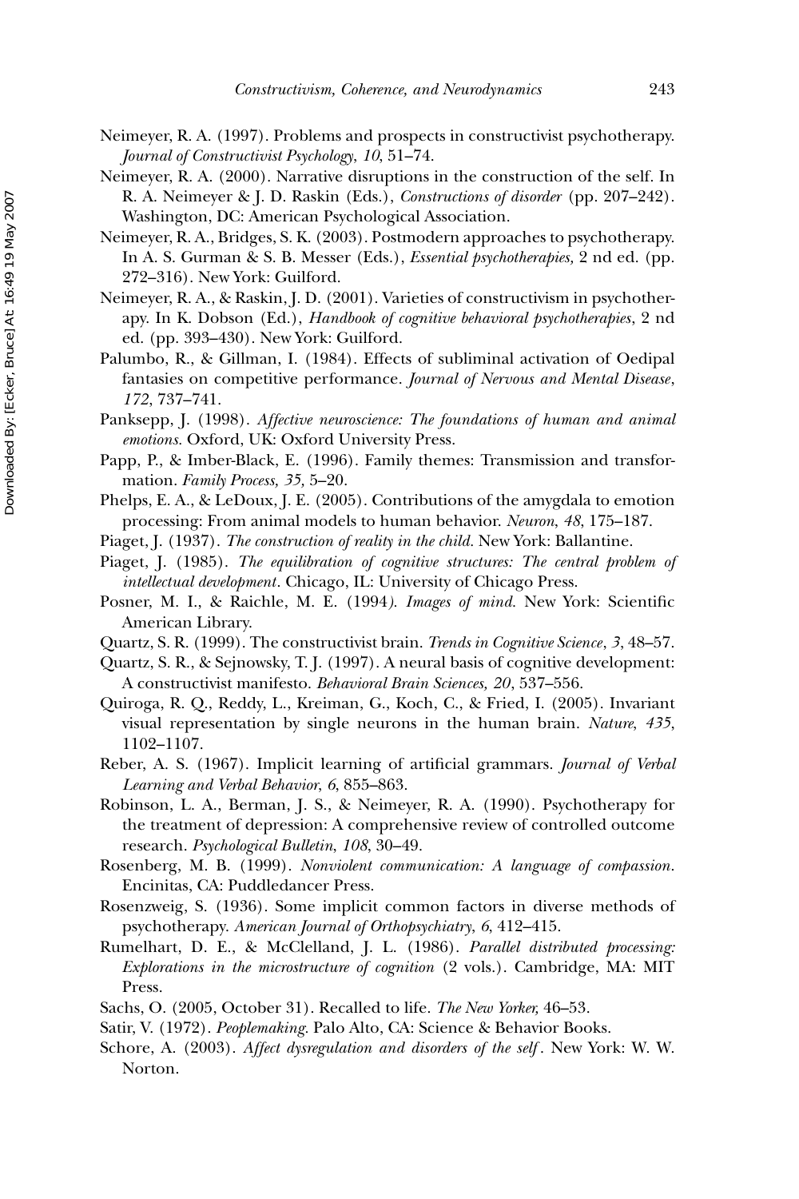- Neimeyer, R. A. (1997). Problems and prospects in constructivist psychotherapy. *Journal of Constructivist Psychology*, *10*, 51–74.
- Neimeyer, R. A. (2000). Narrative disruptions in the construction of the self. In R. A. Neimeyer & J. D. Raskin (Eds.), *Constructions of disorder* (pp. 207–242). Washington, DC: American Psychological Association.
- Neimeyer, R. A., Bridges, S. K. (2003). Postmodern approaches to psychotherapy. In A. S. Gurman & S. B. Messer (Eds.), *Essential psychotherapies,* 2 nd ed. (pp. 272–316). New York: Guilford.
- Neimeyer, R. A., & Raskin, J. D. (2001). Varieties of constructivism in psychotherapy. In K. Dobson (Ed.), *Handbook of cognitive behavioral psychotherapies*, 2 nd ed. (pp. 393–430). New York: Guilford.
- Palumbo, R., & Gillman, I. (1984). Effects of subliminal activation of Oedipal fantasies on competitive performance. *Journal of Nervous and Mental Disease*, *172*, 737–741.
- Panksepp, J. (1998). *Affective neuroscience: The foundations of human and animal emotions.* Oxford, UK: Oxford University Press.
- Papp, P., & Imber-Black, E. (1996). Family themes: Transmission and transformation. *Family Process, 35,* 5–20.
- Phelps, E. A., & LeDoux, J. E. (2005). Contributions of the amygdala to emotion processing: From animal models to human behavior. *Neuron*, *48*, 175–187.
- Piaget, J. (1937). *The construction of reality in the child.* New York: Ballantine.
- Piaget, J. (1985). *The equilibration of cognitive structures: The central problem of intellectual development*. Chicago, IL: University of Chicago Press.
- Posner, M. I., & Raichle, M. E. (1994*). Images of mind.* New York: Scientific American Library.
- Quartz, S. R. (1999). The constructivist brain. *Trends in Cognitive Science*, *3*, 48–57.
- Quartz, S. R., & Sejnowsky, T. J. (1997). A neural basis of cognitive development: A constructivist manifesto. *Behavioral Brain Sciences, 20*, 537–556.
- Quiroga, R. Q., Reddy, L., Kreiman, G., Koch, C., & Fried, I. (2005). Invariant visual representation by single neurons in the human brain. *Nature*, *435*, 1102–1107.
- Reber, A. S. (1967). Implicit learning of artificial grammars. *Journal of Verbal Learning and Verbal Behavior*, *6*, 855–863.
- Robinson, L. A., Berman, J. S., & Neimeyer, R. A. (1990). Psychotherapy for the treatment of depression: A comprehensive review of controlled outcome research. *Psychological Bulletin*, *108*, 30–49.
- Rosenberg, M. B. (1999). *Nonviolent communication: A language of compassion*. Encinitas, CA: Puddledancer Press.
- Rosenzweig, S. (1936). Some implicit common factors in diverse methods of psychotherapy. *American Journal of Orthopsychiatry*, *6*, 412–415.
- Rumelhart, D. E., & McClelland, J. L. (1986). *Parallel distributed processing: Explorations in the microstructure of cognition* (2 vols.). Cambridge, MA: MIT Press.
- Sachs, O. (2005, October 31). Recalled to life. *The New Yorker,* 46–53.

Satir, V. (1972). *Peoplemaking.* Palo Alto, CA: Science & Behavior Books.

Schore, A. (2003). *Affect dysregulation and disorders of the self* . New York: W. W. Norton.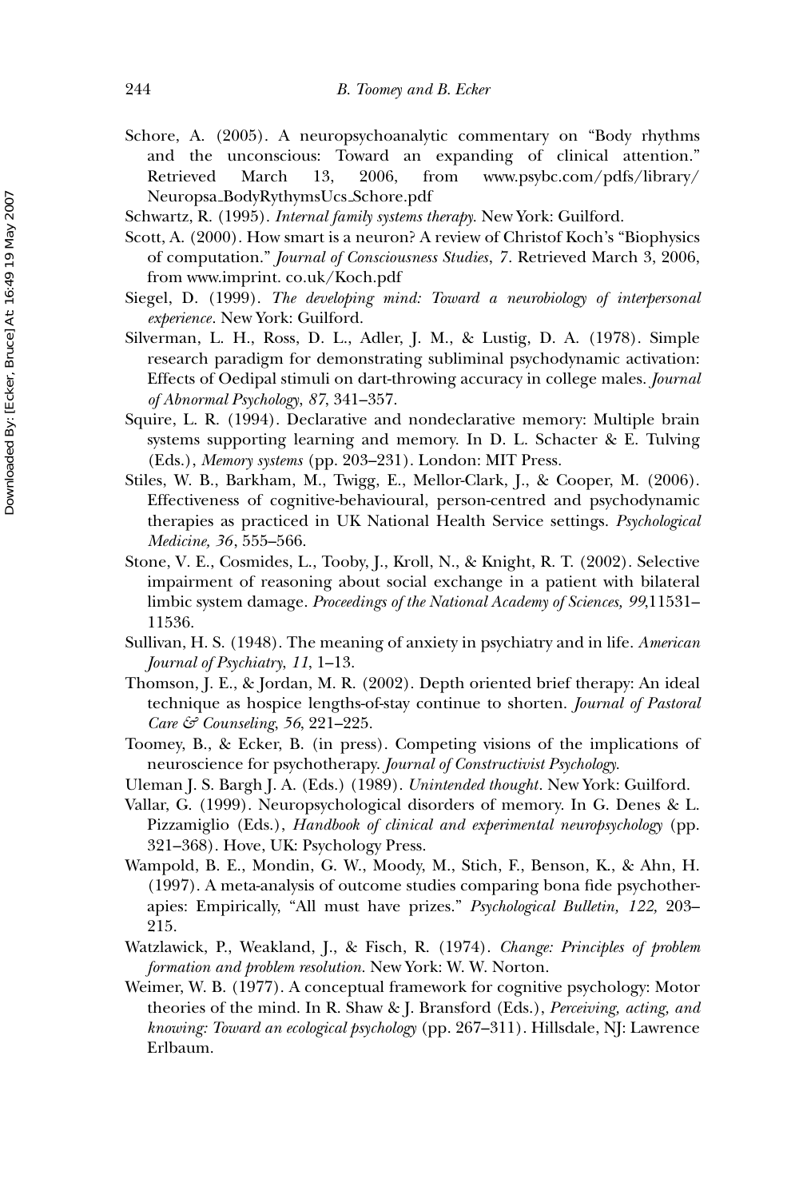- Schore, A. (2005). A neuropsychoanalytic commentary on "Body rhythms and the unconscious: Toward an expanding of clinical attention." Retrieved March 13, 2006, from www.psybc.com/pdfs/library/ Neuropsa BodyRythymsUcs Schore.pdf
- Schwartz, R. (1995). *Internal family systems therapy.* New York: Guilford.
- Scott, A. (2000). How smart is a neuron? A review of Christof Koch's "Biophysics of computation." *Journal of Consciousness Studies*, *7*. Retrieved March 3, 2006, from www.imprint. co.uk/Koch.pdf
- Siegel, D. (1999). *The developing mind: Toward a neurobiology of interpersonal experience*. New York: Guilford.
- Silverman, L. H., Ross, D. L., Adler, J. M., & Lustig, D. A. (1978). Simple research paradigm for demonstrating subliminal psychodynamic activation: Effects of Oedipal stimuli on dart-throwing accuracy in college males. *Journal of Abnormal Psychology*, *87*, 341–357.
- Squire, L. R. (1994). Declarative and nondeclarative memory: Multiple brain systems supporting learning and memory. In D. L. Schacter & E. Tulving (Eds.), *Memory systems* (pp. 203–231). London: MIT Press.
- Stiles, W. B., Barkham, M., Twigg, E., Mellor-Clark, J., & Cooper, M. (2006). Effectiveness of cognitive-behavioural, person-centred and psychodynamic therapies as practiced in UK National Health Service settings. *Psychological Medicine, 36*, 555–566.
- Stone, V. E., Cosmides, L., Tooby, J., Kroll, N., & Knight, R. T. (2002). Selective impairment of reasoning about social exchange in a patient with bilateral limbic system damage. *Proceedings of the National Academy of Sciences, 99*,11531– 11536.
- Sullivan, H. S. (1948). The meaning of anxiety in psychiatry and in life. *American Journal of Psychiatry*, *11*, 1–13.
- Thomson, J. E., & Jordan, M. R. (2002). Depth oriented brief therapy: An ideal technique as hospice lengths-of-stay continue to shorten. *Journal of Pastoral Care & Counseling*, *56*, 221–225.
- Toomey, B., & Ecker, B. (in press). Competing visions of the implications of neuroscience for psychotherapy. *Journal of Constructivist Psychology.*
- Uleman J. S. Bargh J. A. (Eds.) (1989). *Unintended thought*. New York: Guilford.
- Vallar, G. (1999). Neuropsychological disorders of memory. In G. Denes & L. Pizzamiglio (Eds.), *Handbook of clinical and experimental neuropsychology* (pp. 321–368). Hove, UK: Psychology Press.
- Wampold, B. E., Mondin, G. W., Moody, M., Stich, F., Benson, K., & Ahn, H. (1997). A meta-analysis of outcome studies comparing bona fide psychotherapies: Empirically, "All must have prizes." *Psychological Bulletin, 122,* 203– 215.
- Watzlawick, P., Weakland, J., & Fisch, R. (1974). *Change: Principles of problem formation and problem resolution.* New York: W. W. Norton.
- Weimer, W. B. (1977). A conceptual framework for cognitive psychology: Motor theories of the mind. In R. Shaw & J. Bransford (Eds.), *Perceiving, acting, and knowing: Toward an ecological psychology* (pp. 267–311). Hillsdale, NJ: Lawrence Erlbaum.